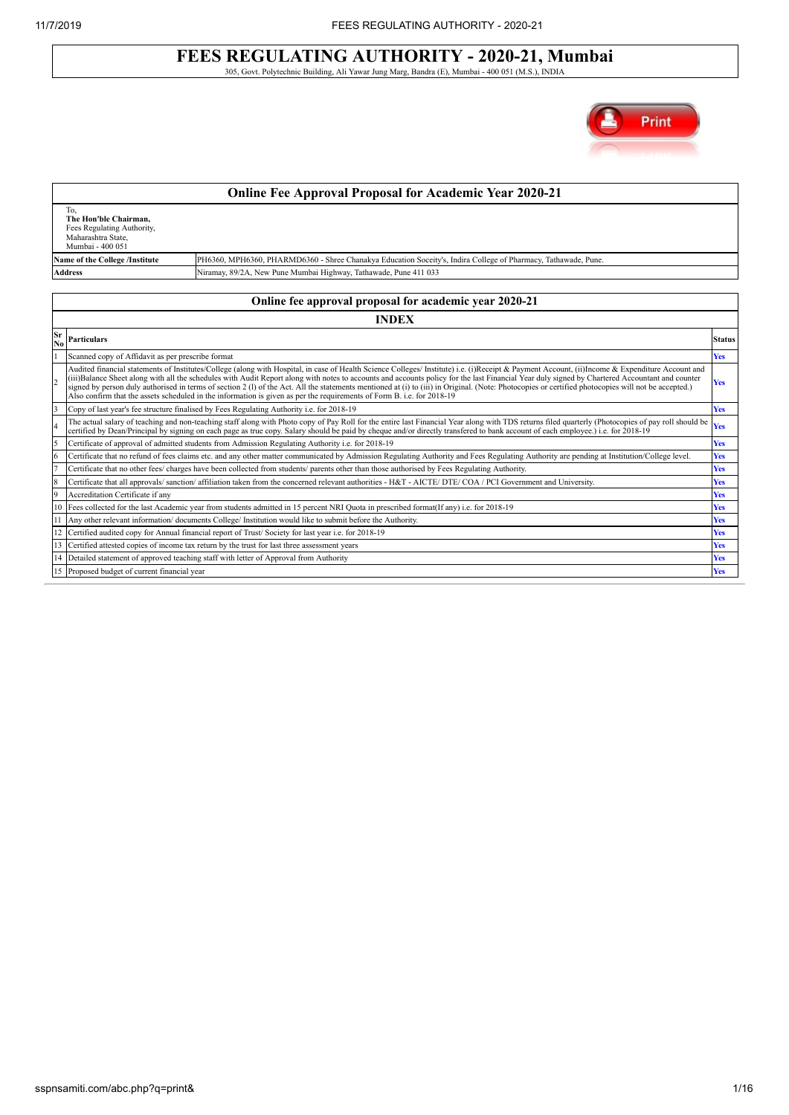# **FEES REGULATING AUTHORITY - 2020-21, Mumbai** 305, Govt. Polytechnic Building, Ali Yawar Jung Marg, Bandra (E), Mumbai - 400 051 (M.S.), INDIA

Print

|                         |                                                                                                                  | Online Fee Approval Proposal for Academic Year 2020-21                                                                                                                                                                                                                                                                                                                                                                                                                                                                                                                                                                                                                                                                             |               |  |  |  |  |  |  |  |  |  |
|-------------------------|------------------------------------------------------------------------------------------------------------------|------------------------------------------------------------------------------------------------------------------------------------------------------------------------------------------------------------------------------------------------------------------------------------------------------------------------------------------------------------------------------------------------------------------------------------------------------------------------------------------------------------------------------------------------------------------------------------------------------------------------------------------------------------------------------------------------------------------------------------|---------------|--|--|--|--|--|--|--|--|--|
|                         | To,<br>The Hon'ble Chairman.<br>Fees Regulating Authority,<br>Maharashtra State.<br>Mumbai - 400 051             |                                                                                                                                                                                                                                                                                                                                                                                                                                                                                                                                                                                                                                                                                                                                    |               |  |  |  |  |  |  |  |  |  |
|                         | Name of the College /Institute                                                                                   | PH6360, MPH6360, PHARMD6360 - Shree Chanakya Education Soceity's, Indira College of Pharmacy, Tathawade, Pune.                                                                                                                                                                                                                                                                                                                                                                                                                                                                                                                                                                                                                     |               |  |  |  |  |  |  |  |  |  |
|                         | <b>Address</b>                                                                                                   | Niramay, 89/2A, New Pune Mumbai Highway, Tathawade, Pune 411 033                                                                                                                                                                                                                                                                                                                                                                                                                                                                                                                                                                                                                                                                   |               |  |  |  |  |  |  |  |  |  |
|                         |                                                                                                                  |                                                                                                                                                                                                                                                                                                                                                                                                                                                                                                                                                                                                                                                                                                                                    |               |  |  |  |  |  |  |  |  |  |
|                         |                                                                                                                  | Online fee approval proposal for academic year 2020-21                                                                                                                                                                                                                                                                                                                                                                                                                                                                                                                                                                                                                                                                             |               |  |  |  |  |  |  |  |  |  |
|                         |                                                                                                                  | <b>INDEX</b>                                                                                                                                                                                                                                                                                                                                                                                                                                                                                                                                                                                                                                                                                                                       |               |  |  |  |  |  |  |  |  |  |
| Sr<br>No                | <b>Particulars</b>                                                                                               |                                                                                                                                                                                                                                                                                                                                                                                                                                                                                                                                                                                                                                                                                                                                    | <b>Status</b> |  |  |  |  |  |  |  |  |  |
|                         | Scanned copy of Affidavit as per prescribe format                                                                |                                                                                                                                                                                                                                                                                                                                                                                                                                                                                                                                                                                                                                                                                                                                    | Yes           |  |  |  |  |  |  |  |  |  |
| 12                      |                                                                                                                  | Audited financial statements of Institutes/College (along with Hospital, in case of Health Science Colleges/ Institute) i.e. (i)Receipt & Payment Account, (ii)Income & Expenditure Account and<br>(iii)Balance Sheet along with all the schedules with Audit Report along with notes to accounts and accounts policy for the last Financial Year duly signed by Chartered Accountant and counter<br>signed by person duly authorised in terms of section 2 (1) of the Act. All the statements mentioned at (i) to (iii) in Original. (Note: Photocopies or certified photocopies will not be accepted.)<br>Also confirm that the assets scheduled in the information is given as per the requirements of Form B. i.e. for 2018-19 | <b>Yes</b>    |  |  |  |  |  |  |  |  |  |
| 3                       |                                                                                                                  | Copy of last year's fee structure finalised by Fees Regulating Authority i.e. for 2018-19                                                                                                                                                                                                                                                                                                                                                                                                                                                                                                                                                                                                                                          | Yes           |  |  |  |  |  |  |  |  |  |
|                         |                                                                                                                  | The actual salary of teaching and non-teaching staff along with Photo copy of Pay Roll for the entire last Financial Year along with TDS returns filed quarterly (Photocopies of pay roll should be<br>certified by Dean/Principal by signing on each page as true copy. Salary should be paid by cheque and/or directly transfered to bank account of each employee.) i.e. for 2018-19                                                                                                                                                                                                                                                                                                                                            | Yes           |  |  |  |  |  |  |  |  |  |
| l5                      |                                                                                                                  | Certificate of approval of admitted students from Admission Regulating Authority i.e. for 2018-19                                                                                                                                                                                                                                                                                                                                                                                                                                                                                                                                                                                                                                  | <b>Yes</b>    |  |  |  |  |  |  |  |  |  |
| 6                       |                                                                                                                  | Certificate that no refund of fees claims etc. and any other matter communicated by Admission Regulating Authority and Fees Regulating Authority are pending at Institution/College level.                                                                                                                                                                                                                                                                                                                                                                                                                                                                                                                                         | Yes           |  |  |  |  |  |  |  |  |  |
|                         |                                                                                                                  | Certificate that no other fees/ charges have been collected from students/ parents other than those authorised by Fees Regulating Authority.                                                                                                                                                                                                                                                                                                                                                                                                                                                                                                                                                                                       | <b>Yes</b>    |  |  |  |  |  |  |  |  |  |
| $\overline{\mathbf{8}}$ |                                                                                                                  | Certificate that all approvals/sanction/affiliation taken from the concerned relevant authorities - H&T - AICTE/ DTE/ COA / PCI Government and University.                                                                                                                                                                                                                                                                                                                                                                                                                                                                                                                                                                         | <b>Yes</b>    |  |  |  |  |  |  |  |  |  |
| 9                       | Accreditation Certificate if any                                                                                 |                                                                                                                                                                                                                                                                                                                                                                                                                                                                                                                                                                                                                                                                                                                                    | <b>Yes</b>    |  |  |  |  |  |  |  |  |  |
| 10                      |                                                                                                                  | Fees collected for the last Academic year from students admitted in 15 percent NRI Quota in prescribed format(If any) i.e. for 2018-19                                                                                                                                                                                                                                                                                                                                                                                                                                                                                                                                                                                             | <b>Yes</b>    |  |  |  |  |  |  |  |  |  |
| 11                      |                                                                                                                  | Any other relevant information/documents College/ Institution would like to submit before the Authority.                                                                                                                                                                                                                                                                                                                                                                                                                                                                                                                                                                                                                           | Yes           |  |  |  |  |  |  |  |  |  |
| 12                      | Certified audited copy for Annual financial report of Trust/Society for last year i.e. for 2018-19<br><b>Yes</b> |                                                                                                                                                                                                                                                                                                                                                                                                                                                                                                                                                                                                                                                                                                                                    |               |  |  |  |  |  |  |  |  |  |
| 13                      |                                                                                                                  | Certified attested copies of income tax return by the trust for last three assessment years                                                                                                                                                                                                                                                                                                                                                                                                                                                                                                                                                                                                                                        | Yes           |  |  |  |  |  |  |  |  |  |
| 14                      |                                                                                                                  | Detailed statement of approved teaching staff with letter of Approval from Authority                                                                                                                                                                                                                                                                                                                                                                                                                                                                                                                                                                                                                                               | <b>Yes</b>    |  |  |  |  |  |  |  |  |  |
| 15                      | Proposed budget of current financial year                                                                        |                                                                                                                                                                                                                                                                                                                                                                                                                                                                                                                                                                                                                                                                                                                                    | <b>Yes</b>    |  |  |  |  |  |  |  |  |  |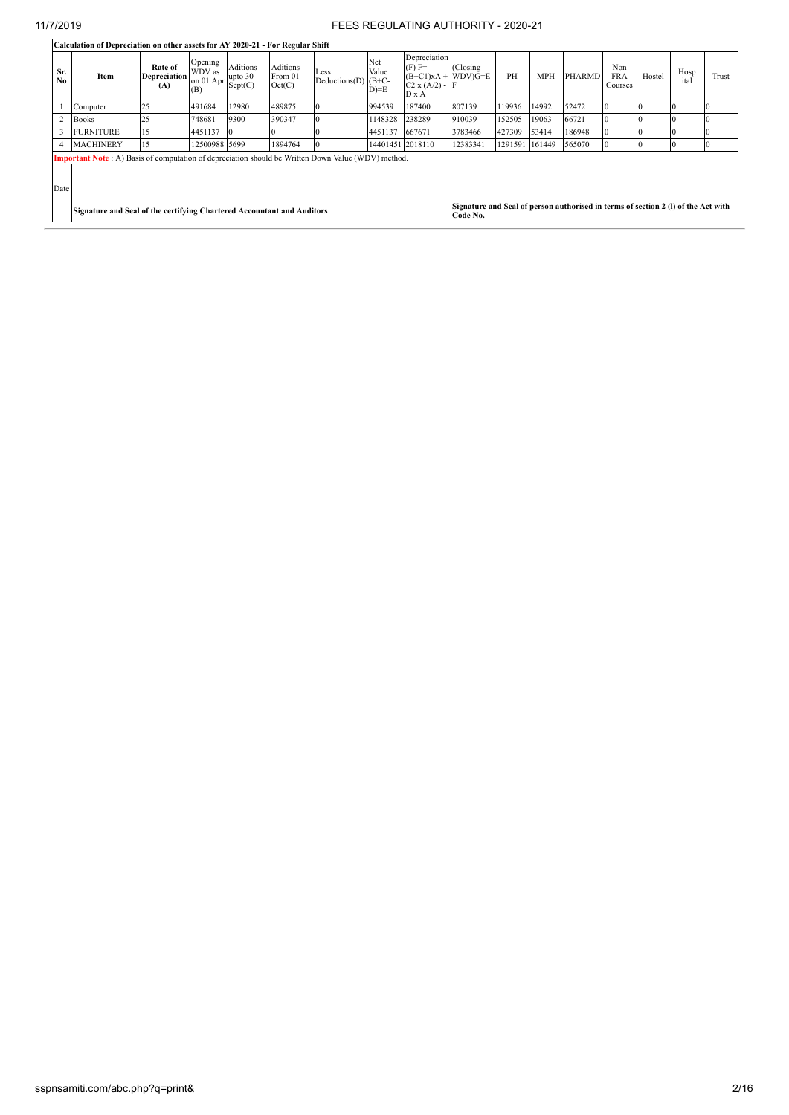|                       | Calculation of Depreciation on other assets for AY 2020-21 - For Regular Shift                     |                                       |                                                                                                                                                        |                 |                                      |                               |                        |                                                                                |                                                                                               |         |            |               |                              |        |              |       |
|-----------------------|----------------------------------------------------------------------------------------------------|---------------------------------------|--------------------------------------------------------------------------------------------------------------------------------------------------------|-----------------|--------------------------------------|-------------------------------|------------------------|--------------------------------------------------------------------------------|-----------------------------------------------------------------------------------------------|---------|------------|---------------|------------------------------|--------|--------------|-------|
| Sr.<br>N <sub>0</sub> | Item                                                                                               | Rate of<br><b>Depreciation</b><br>(A) | Opening<br>WDV as<br>$\begin{bmatrix} WDV & as \\ on & 01 \end{bmatrix}$ Apr $\begin{bmatrix} \text{upto} & 30 \\ \text{Sept}(C) \end{bmatrix}$<br>(B) | <b>Aditions</b> | <b>Aditions</b><br>From 01<br>Oct(C) | Less<br>Deductions(D) $(B+C-$ | Net<br>Value<br>$D)=E$ | Depreciation<br>$(F)$ F=<br>$(B+C1)xA + WDV)G=E-$<br>$C2 x (A/2) - F$<br>D x A | $\alpha$ Closing                                                                              | PH      | <b>MPH</b> | <b>PHARMD</b> | Non<br><b>FRA</b><br>Courses | Hostel | Hosp<br>ital | Trust |
|                       | Computer                                                                                           | 25                                    | 491684                                                                                                                                                 | 12980           | 489875                               |                               | 994539                 | 187400                                                                         | 807139                                                                                        | 119936  | 14992      | 52472         | -0                           |        |              |       |
|                       | <b>Books</b>                                                                                       | 25                                    | 748681                                                                                                                                                 | 9300            | 390347                               | Ю                             | 1148328                | 238289                                                                         | 910039                                                                                        | 152505  | 19063      | 66721         | Ю                            |        | Ю            | -0    |
| 3                     | <b>FURNITURE</b>                                                                                   | 15                                    | 4451137                                                                                                                                                | 10              |                                      |                               | 4451137                | 667671                                                                         | 3783466                                                                                       | 427309  | 53414      | 186948        |                              |        |              |       |
| 4                     | <b>MACHINERY</b>                                                                                   | 15                                    | 12500988 5699                                                                                                                                          |                 | 1894764                              | 10                            | 14401451 2018110       |                                                                                | 12383341                                                                                      | 1291591 | 161449     | 565070        |                              |        | Ю            | 10    |
|                       | Important Note: A) Basis of computation of depreciation should be Written Down Value (WDV) method. |                                       |                                                                                                                                                        |                 |                                      |                               |                        |                                                                                |                                                                                               |         |            |               |                              |        |              |       |
| Date                  | Signature and Seal of the certifying Chartered Accountant and Auditors                             |                                       |                                                                                                                                                        |                 |                                      |                               |                        |                                                                                | Signature and Seal of person authorised in terms of section 2 (I) of the Act with<br>Code No. |         |            |               |                              |        |              |       |
|                       |                                                                                                    |                                       |                                                                                                                                                        |                 |                                      |                               |                        |                                                                                |                                                                                               |         |            |               |                              |        |              |       |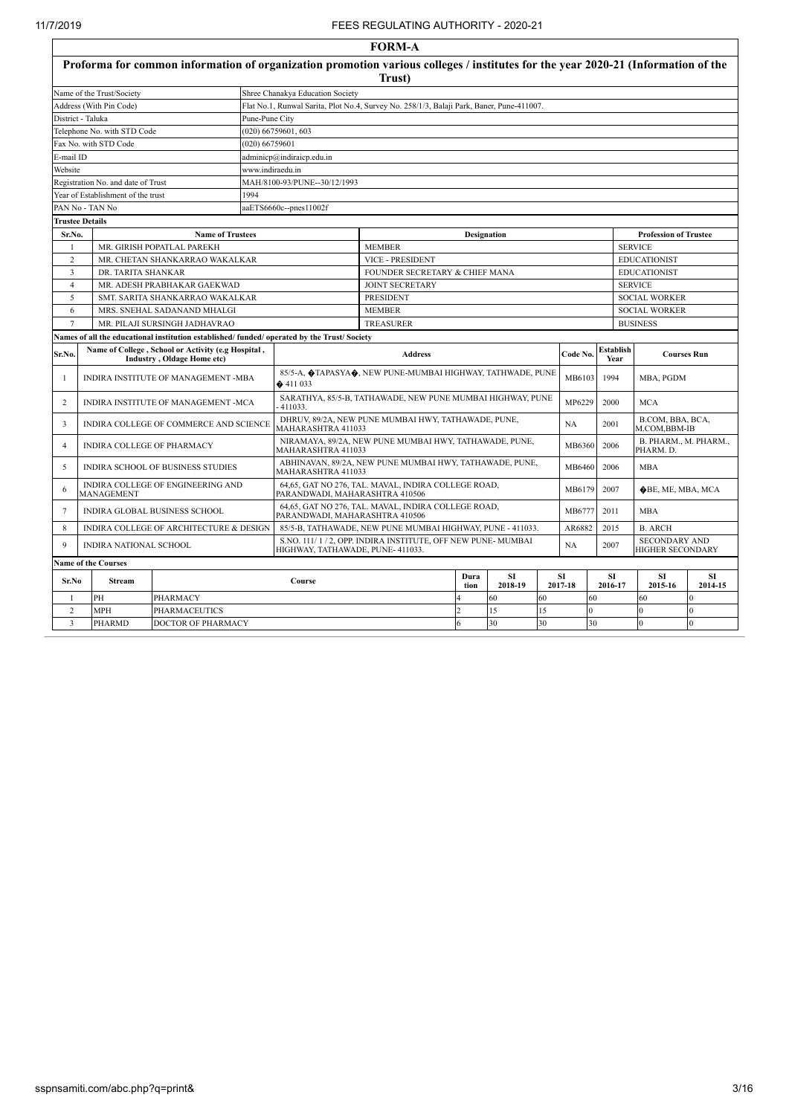|                | <b>FORM-A</b>                           |                                                                                                                                  |                                                                                               |                                                                                           |                |                      |        |                      |                                                 |                                    |               |  |  |  |
|----------------|-----------------------------------------|----------------------------------------------------------------------------------------------------------------------------------|-----------------------------------------------------------------------------------------------|-------------------------------------------------------------------------------------------|----------------|----------------------|--------|----------------------|-------------------------------------------------|------------------------------------|---------------|--|--|--|
|                |                                         | Proforma for common information of organization promotion various colleges / institutes for the year 2020-21 (Information of the |                                                                                               | Trust)                                                                                    |                |                      |        |                      |                                                 |                                    |               |  |  |  |
|                | Name of the Trust/Society               |                                                                                                                                  | Shree Chanakya Education Society                                                              |                                                                                           |                |                      |        |                      |                                                 |                                    |               |  |  |  |
|                | Address (With Pin Code)                 |                                                                                                                                  |                                                                                               | Flat No.1, Runwal Sarita, Plot No.4, Survey No. 258/1/3, Balaji Park, Baner, Pune-411007. |                |                      |        |                      |                                                 |                                    |               |  |  |  |
|                | District - Taluka                       |                                                                                                                                  | Pune-Pune City                                                                                |                                                                                           |                |                      |        |                      |                                                 |                                    |               |  |  |  |
|                | Telephone No. with STD Code             |                                                                                                                                  | $(020)$ 66759601, 603                                                                         |                                                                                           |                |                      |        |                      |                                                 |                                    |               |  |  |  |
|                | Fax No. with STD Code                   |                                                                                                                                  | $(020)$ 66759601                                                                              |                                                                                           |                |                      |        |                      |                                                 |                                    |               |  |  |  |
| E-mail ID      |                                         |                                                                                                                                  | adminicp@indiraicp.edu.in                                                                     |                                                                                           |                |                      |        |                      |                                                 |                                    |               |  |  |  |
| Website        |                                         |                                                                                                                                  | www.indiraedu.in                                                                              |                                                                                           |                |                      |        |                      |                                                 |                                    |               |  |  |  |
|                | Registration No. and date of Trust      |                                                                                                                                  | MAH/8100-93/PUNE--30/12/1993                                                                  |                                                                                           |                |                      |        |                      |                                                 |                                    |               |  |  |  |
|                | Year of Establishment of the trust      | 1994                                                                                                                             |                                                                                               |                                                                                           |                |                      |        |                      |                                                 |                                    |               |  |  |  |
|                | PAN No - TAN No                         |                                                                                                                                  | aaETS6660c--pnes11002f                                                                        |                                                                                           |                |                      |        |                      |                                                 |                                    |               |  |  |  |
|                | <b>Trustee Details</b>                  |                                                                                                                                  |                                                                                               |                                                                                           |                |                      |        |                      |                                                 |                                    |               |  |  |  |
| Sr.No.         |                                         | <b>Name of Trustees</b>                                                                                                          |                                                                                               |                                                                                           | Designation    |                      |        |                      |                                                 | <b>Profession of Trustee</b>       |               |  |  |  |
| -1             |                                         | MR. GIRISH POPATLAL PAREKH                                                                                                       |                                                                                               | <b>MEMBER</b>                                                                             |                |                      |        |                      |                                                 | <b>SERVICE</b>                     |               |  |  |  |
| 2              |                                         | MR. CHETAN SHANKARRAO WAKALKAR                                                                                                   |                                                                                               | VICE - PRESIDENT                                                                          |                |                      |        |                      |                                                 | <b>EDUCATIONIST</b>                |               |  |  |  |
| 3              | DR. TARITA SHANKAR                      |                                                                                                                                  |                                                                                               | FOUNDER SECRETARY & CHIEF MANA                                                            |                |                      |        |                      |                                                 | <b>EDUCATIONIST</b>                |               |  |  |  |
| $\overline{4}$ |                                         | MR. ADESH PRABHAKAR GAEKWAD                                                                                                      |                                                                                               | <b>JOINT SECRETARY</b>                                                                    |                |                      |        |                      |                                                 | <b>SERVICE</b>                     |               |  |  |  |
| 5              |                                         | SMT. SARITA SHANKARRAO WAKALKAR                                                                                                  |                                                                                               | PRESIDENT                                                                                 |                |                      |        |                      |                                                 | <b>SOCIAL WORKER</b>               |               |  |  |  |
| 6              |                                         | MRS. SNEHAL SADANAND MHALGI                                                                                                      |                                                                                               | <b>MEMBER</b><br><b>SOCIAL WORKER</b>                                                     |                |                      |        |                      |                                                 |                                    |               |  |  |  |
| $\tau$         |                                         | MR. PILAJI SURSINGH JADHAVRAO                                                                                                    |                                                                                               | <b>TREASURER</b>                                                                          |                |                      |        |                      |                                                 | <b>BUSINESS</b>                    |               |  |  |  |
|                |                                         | Names of all the educational institution established/funded/operated by the Trust/Society                                        |                                                                                               |                                                                                           |                |                      |        |                      |                                                 |                                    |               |  |  |  |
| Sr.No.         |                                         | Name of College, School or Activity (e.g Hospital,<br>Industry, Oldage Home etc)                                                 |                                                                                               | <b>Address</b>                                                                            |                |                      |        | Code No.             | Establish<br>Year                               | <b>Courses Run</b>                 |               |  |  |  |
| -1             |                                         | INDIRA INSTITUTE OF MANAGEMENT -MBA                                                                                              | $\triangle$ 411 033                                                                           | 85/5-A, OTAPASYAO, NEW PUNE-MUMBAI HIGHWAY, TATHWADE, PUNE                                |                |                      |        | MB6103               | 1994                                            | MBA, PGDM                          |               |  |  |  |
| 2              |                                         | INDIRA INSTITUTE OF MANAGEMENT -MCA                                                                                              | 411033.                                                                                       | SARATHYA, 85/5-B, TATHAWADE, NEW PUNE MUMBAI HIGHWAY, PUNE                                |                |                      |        | MP6229               | 2000                                            | <b>MCA</b>                         |               |  |  |  |
| 3              |                                         | INDIRA COLLEGE OF COMMERCE AND SCIENCE                                                                                           | <b>MAHARASHTRA 411033</b>                                                                     | DHRUV, 89/2A, NEW PUNE MUMBAI HWY, TATHAWADE, PUNE,                                       |                |                      |        | NA                   | 2001                                            | B.COM, BBA, BCA,<br>M.COM.BBM-IB   |               |  |  |  |
| 4              | INDIRA COLLEGE OF PHARMACY              |                                                                                                                                  | MAHARASHTRA 411033                                                                            | NIRAMAYA, 89/2A, NEW PUNE MUMBAI HWY, TATHAWADE, PUNE,                                    |                |                      |        | MB6360               | 2006                                            | B. PHARM., M. PHARM.,<br>PHARM. D. |               |  |  |  |
| 5              |                                         | INDIRA SCHOOL OF BUSINESS STUDIES                                                                                                | MAHARASHTRA 411033                                                                            | ABHINAVAN, 89/2A, NEW PUNE MUMBAI HWY, TATHAWADE, PUNE,                                   |                |                      |        | MB6460               | 2006                                            | <b>MBA</b>                         |               |  |  |  |
| 6              | MANAGEMENT                              | INDIRA COLLEGE OF ENGINEERING AND                                                                                                | PARANDWADI, MAHARASHTRA 410506                                                                | 64,65, GAT NO 276, TAL. MAVAL, INDIRA COLLEGE ROAD,                                       |                |                      |        | MB6179               | 2007                                            | <b>OBE, ME, MBA, MCA</b>           |               |  |  |  |
| 7              |                                         | INDIRA GLOBAL BUSINESS SCHOOL                                                                                                    | PARANDWADI, MAHARASHTRA 410506                                                                | 64,65, GAT NO 276, TAL. MAVAL, INDIRA COLLEGE ROAD,                                       |                |                      |        | MB6777               | 2011                                            | <b>MBA</b>                         |               |  |  |  |
| 8              | INDIRA COLLEGE OF ARCHITECTURE & DESIGN |                                                                                                                                  | 85/5-B, TATHAWADE, NEW PUNE MUMBAI HIGHWAY, PUNE - 411033.                                    |                                                                                           |                |                      | AR6882 | 2015                 | <b>B. ARCH</b>                                  |                                    |               |  |  |  |
| 9              | INDIRA NATIONAL SCHOOL                  |                                                                                                                                  | S.NO. 111/1/2, OPP. INDIRA INSTITUTE, OFF NEW PUNE-MUMBAI<br>HIGHWAY, TATHAWADE, PUNE-411033. |                                                                                           |                |                      | NA     | 2007                 | <b>SECONDARY AND</b><br><b>HIGHER SECONDARY</b> |                                    |               |  |  |  |
|                | <b>Name of the Courses</b>              |                                                                                                                                  |                                                                                               |                                                                                           |                |                      |        |                      |                                                 |                                    |               |  |  |  |
| Sr.No          | <b>Stream</b>                           |                                                                                                                                  | Course                                                                                        |                                                                                           | Dura<br>tion   | <b>SI</b><br>2018-19 |        | <b>SI</b><br>2017-18 | <b>SI</b><br>2016-17                            | <b>SI</b><br>2015-16               | SI<br>2014-15 |  |  |  |
| $\mathbf{1}$   | PH                                      | <b>PHARMACY</b>                                                                                                                  |                                                                                               | 4                                                                                         | 60             | 60                   |        | 60                   | 60                                              | $\Omega$                           |               |  |  |  |
| $\overline{2}$ | <b>MPH</b>                              | <b>PHARMACEUTICS</b>                                                                                                             |                                                                                               |                                                                                           | $\mathfrak{D}$ | 15                   | 15     | $\alpha$             |                                                 | $\alpha$                           | $\Omega$      |  |  |  |
| $\overline{3}$ | <b>PHARMD</b>                           | 6                                                                                                                                | 30                                                                                            | 30                                                                                        |                | 30                   |        | $\Omega$             |                                                 |                                    |               |  |  |  |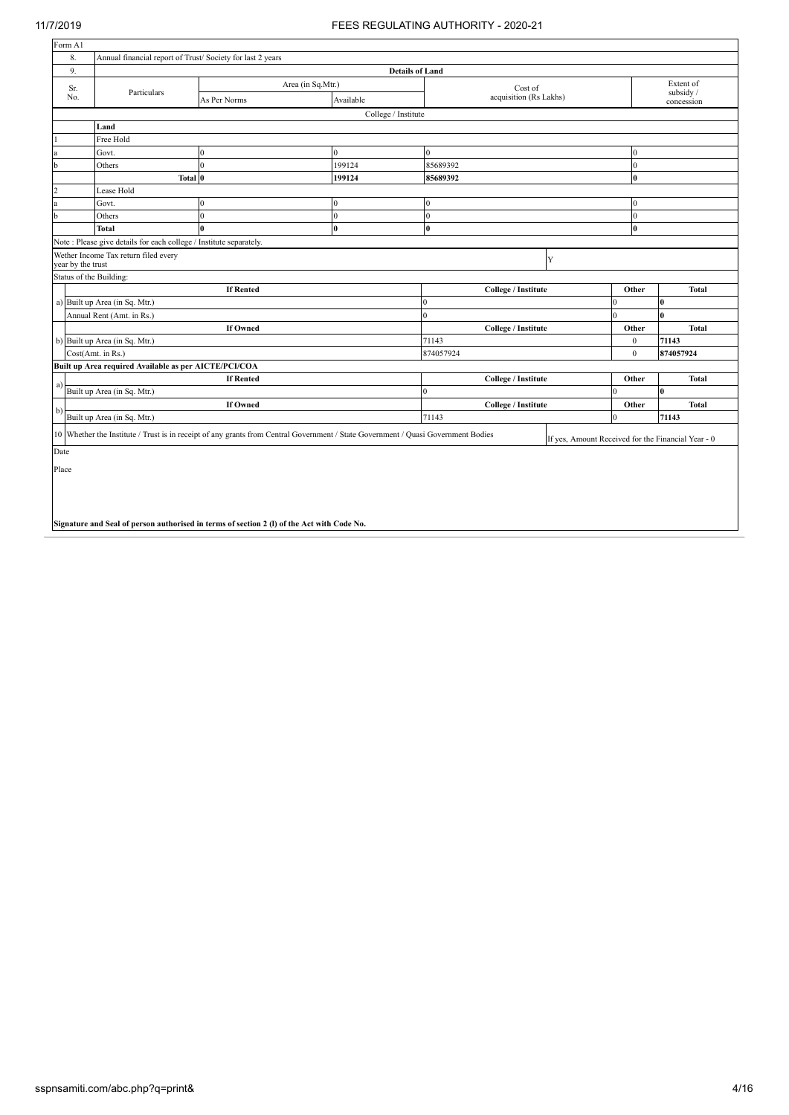| Form A1                 |                                                                    |                                                                                                                                   |                        |                        |                                                    |                  |                        |
|-------------------------|--------------------------------------------------------------------|-----------------------------------------------------------------------------------------------------------------------------------|------------------------|------------------------|----------------------------------------------------|------------------|------------------------|
| 8.                      | Annual financial report of Trust/Society for last 2 years          |                                                                                                                                   |                        |                        |                                                    |                  |                        |
| 9.                      |                                                                    |                                                                                                                                   | <b>Details of Land</b> |                        |                                                    |                  |                        |
| Sr.                     | Particulars                                                        | Area (in Sq.Mtr.)                                                                                                                 |                        | Cost of                |                                                    |                  | Extent of<br>subsidy / |
| No.                     |                                                                    | As Per Norms                                                                                                                      | Available              | acquisition (Rs Lakhs) |                                                    |                  | concession             |
|                         |                                                                    |                                                                                                                                   | College / Institute    |                        |                                                    |                  |                        |
|                         | Land                                                               |                                                                                                                                   |                        |                        |                                                    |                  |                        |
| $\vert$ 1               | Free Hold                                                          |                                                                                                                                   |                        |                        |                                                    |                  |                        |
| a                       | Govt.                                                              | $\Omega$                                                                                                                          | $\mathbf{0}$           | $\overline{0}$         |                                                    | $\mathbf{0}$     |                        |
| $\mathbf b$             | Others                                                             | $\mathbf{0}$                                                                                                                      | 199124                 | 85689392               |                                                    | $\mathbf{0}$     |                        |
|                         | Total 0                                                            |                                                                                                                                   | 199124                 | 85689392               |                                                    | $\mathbf{0}$     |                        |
| $\overline{2}$          | Lease Hold                                                         |                                                                                                                                   |                        |                        |                                                    |                  |                        |
| a                       | Govt.                                                              | $\mathbf{0}$                                                                                                                      | $\Omega$               | $\Omega$               |                                                    | $\overline{0}$   |                        |
| $\mathbf b$             | Others                                                             | $\mathbf{0}$                                                                                                                      | $\overline{0}$         | $\overline{0}$         |                                                    | $\mathbf{0}$     |                        |
|                         | <b>Total</b>                                                       | $\bf{0}$                                                                                                                          | $\bf{0}$               | $\bf{0}$               |                                                    | $\bf{0}$         |                        |
|                         | Note: Please give details for each college / Institute separately. |                                                                                                                                   |                        |                        |                                                    |                  |                        |
| year by the trust       | Wether Income Tax return filed every                               |                                                                                                                                   |                        |                        | Y                                                  |                  |                        |
| Status of the Building: |                                                                    |                                                                                                                                   |                        |                        |                                                    |                  |                        |
|                         |                                                                    | <b>If Rented</b>                                                                                                                  |                        | College / Institute    |                                                    | Other            | <b>Total</b>           |
|                         | a) Built up Area (in Sq. Mtr.)                                     |                                                                                                                                   |                        |                        |                                                    |                  | $\bf{0}$               |
|                         | Annual Rent (Amt. in Rs.)                                          |                                                                                                                                   |                        | Λ                      | $\Omega$                                           |                  | $\mathbf{0}$           |
|                         |                                                                    | <b>If Owned</b>                                                                                                                   |                        | College / Institute    |                                                    | Other            | <b>Total</b>           |
|                         | b) Built up Area (in Sq. Mtr.)                                     |                                                                                                                                   |                        | 71143                  |                                                    | $\boldsymbol{0}$ | 71143                  |
|                         | Cost(Amt. in Rs.)                                                  |                                                                                                                                   |                        | 874057924              |                                                    | $\mathbf{0}$     | 874057924              |
|                         | Built up Area required Available as per AICTE/PCI/COA              |                                                                                                                                   |                        |                        |                                                    |                  |                        |
| a)                      |                                                                    | <b>If Rented</b>                                                                                                                  |                        | College / Institute    |                                                    | Other            | <b>Total</b>           |
|                         | Built up Area (in Sq. Mtr.)                                        |                                                                                                                                   |                        | Λ                      | $\Omega$                                           |                  | $\bf{0}$               |
| $b$                     |                                                                    | <b>If Owned</b>                                                                                                                   |                        | College / Institute    |                                                    | Other            | <b>Total</b>           |
|                         | Built up Area (in Sq. Mtr.)                                        |                                                                                                                                   |                        | 71143                  | $\Omega$                                           |                  | 71143                  |
|                         |                                                                    | 10 Whether the Institute / Trust is in receipt of any grants from Central Government / State Government / Quasi Government Bodies |                        |                        | If yes, Amount Received for the Financial Year - 0 |                  |                        |
| Date                    |                                                                    |                                                                                                                                   |                        |                        |                                                    |                  |                        |
| Place                   |                                                                    |                                                                                                                                   |                        |                        |                                                    |                  |                        |
|                         |                                                                    |                                                                                                                                   |                        |                        |                                                    |                  |                        |
|                         |                                                                    | Signature and Seal of person authorised in terms of section 2 (1) of the Act with Code No.                                        |                        |                        |                                                    |                  |                        |
|                         |                                                                    |                                                                                                                                   |                        |                        |                                                    |                  |                        |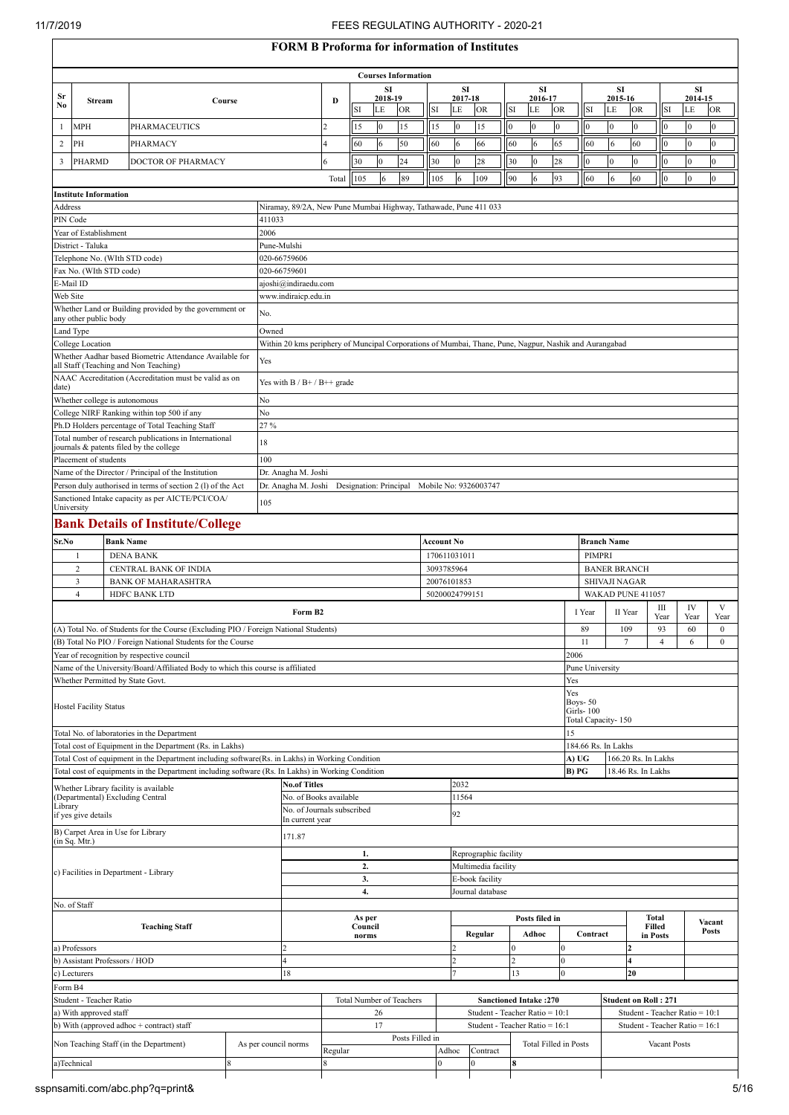## **FORM B Proforma for information of Institutes**

|                  |                                   |                                                                                                                              |                      |                                                                                                        |               |                   |                      |                            |                               |            |                | т в гтопогина пог иногинации от низици |                |                              |                  |                                             |                      |                             |                          |                     |                                |               |              |  |
|------------------|-----------------------------------|------------------------------------------------------------------------------------------------------------------------------|----------------------|--------------------------------------------------------------------------------------------------------|---------------|-------------------|----------------------|----------------------------|-------------------------------|------------|----------------|----------------------------------------|----------------|------------------------------|------------------|---------------------------------------------|----------------------|-----------------------------|--------------------------|---------------------|--------------------------------|---------------|--------------|--|
|                  |                                   |                                                                                                                              |                      |                                                                                                        |               |                   |                      | <b>Courses Information</b> |                               |            |                |                                        |                |                              |                  |                                             |                      |                             |                          |                     |                                |               |              |  |
| Sr               | Stream                            | Course                                                                                                                       |                      |                                                                                                        | D             |                   | <b>SI</b><br>2018-19 |                            |                               |            | SI<br>2017-18  |                                        |                | <b>SI</b><br>2016-17         |                  |                                             |                      | SI<br>2015-16               |                          |                     |                                | SI<br>2014-15 |              |  |
| No               |                                   |                                                                                                                              |                      |                                                                                                        |               | SI                | LE                   | <b>OR</b>                  |                               | SI         | LE             | <b>OR</b>                              | SI             | LE                           | <b>OR</b>        |                                             | SI                   | LE                          | <b>OR</b>                | SI                  | LE                             |               | <b>OR</b>    |  |
| $\mathbf{1}$     | <b>MPH</b>                        | <b>PHARMACEUTICS</b>                                                                                                         |                      |                                                                                                        | $\mathcal{D}$ | 15                | $\mathbf{0}$         | 15                         |                               | 15         | $\mathbf{0}$   | 15                                     | $\overline{0}$ | $\overline{0}$               | $\overline{0}$   |                                             | $\mathbf{0}$         | $\overline{0}$              | $\theta$                 | $\theta$            | $\mathbf{0}$                   | $\mathbf{0}$  |              |  |
| $\overline{c}$   | PH                                | PHARMACY                                                                                                                     |                      |                                                                                                        | 4             | 60                | 6                    | 50                         |                               | 60         | 6              | 66                                     | 60             | 6                            | 65               |                                             | 60                   | 6                           | 60                       |                     | $\mathbf{0}$                   | $\Omega$      |              |  |
| 3                | PHARMD                            | DOCTOR OF PHARMACY                                                                                                           |                      |                                                                                                        | 6             | 30                | $\overline{0}$       | 24                         |                               | 30         | $\mathbf{0}$   | 28                                     | 30             | $\overline{0}$               | 28               |                                             | $\overline{0}$       | $\overline{0}$              | $\overline{0}$           | $\Omega$            | $\mathbf{0}$                   | $\Omega$      |              |  |
|                  |                                   |                                                                                                                              |                      |                                                                                                        | Total         | 105               | 6                    | 89                         |                               | 105        | 6              | 109                                    | 90             | 6                            | 93               |                                             | 60                   | 6                           | 60                       | $\Omega$            | $\mathbf{0}$                   | $\theta$      |              |  |
|                  | <b>Institute Information</b>      |                                                                                                                              |                      |                                                                                                        |               |                   |                      |                            |                               |            |                |                                        |                |                              |                  |                                             |                      |                             |                          |                     |                                |               |              |  |
| Address          |                                   |                                                                                                                              |                      | Niramay, 89/2A, New Pune Mumbai Highway, Tathawade, Pune 411 033                                       |               |                   |                      |                            |                               |            |                |                                        |                |                              |                  |                                             |                      |                             |                          |                     |                                |               |              |  |
|                  | PIN Code                          |                                                                                                                              | 411033               |                                                                                                        |               |                   |                      |                            |                               |            |                |                                        |                |                              |                  |                                             |                      |                             |                          |                     |                                |               |              |  |
|                  | Year of Establishment             |                                                                                                                              | 2006                 |                                                                                                        |               |                   |                      |                            |                               |            |                |                                        |                |                              |                  |                                             |                      |                             |                          |                     |                                |               |              |  |
|                  | District - Taluka                 |                                                                                                                              |                      | Pune-Mulshi                                                                                            |               |                   |                      |                            |                               |            |                |                                        |                |                              |                  |                                             |                      |                             |                          |                     |                                |               |              |  |
|                  | Telephone No. (WIth STD code)     |                                                                                                                              |                      | 020-66759606                                                                                           |               |                   |                      |                            |                               |            |                |                                        |                |                              |                  |                                             |                      |                             |                          |                     |                                |               |              |  |
| E-Mail ID        | Fax No. (WIth STD code)           |                                                                                                                              |                      | 020-66759601<br>ajoshi@indiraedu.com                                                                   |               |                   |                      |                            |                               |            |                |                                        |                |                              |                  |                                             |                      |                             |                          |                     |                                |               |              |  |
| Web Site         |                                   |                                                                                                                              |                      | www.indiraicp.edu.in                                                                                   |               |                   |                      |                            |                               |            |                |                                        |                |                              |                  |                                             |                      |                             |                          |                     |                                |               |              |  |
|                  |                                   | Whether Land or Building provided by the government or                                                                       |                      |                                                                                                        |               |                   |                      |                            |                               |            |                |                                        |                |                              |                  |                                             |                      |                             |                          |                     |                                |               |              |  |
|                  | any other public body             |                                                                                                                              | No.                  |                                                                                                        |               |                   |                      |                            |                               |            |                |                                        |                |                              |                  |                                             |                      |                             |                          |                     |                                |               |              |  |
|                  | Land Type                         |                                                                                                                              | Owned                |                                                                                                        |               |                   |                      |                            |                               |            |                |                                        |                |                              |                  |                                             |                      |                             |                          |                     |                                |               |              |  |
|                  | College Location                  |                                                                                                                              |                      | Within 20 kms periphery of Muncipal Corporations of Mumbai, Thane, Pune, Nagpur, Nashik and Aurangabad |               |                   |                      |                            |                               |            |                |                                        |                |                              |                  |                                             |                      |                             |                          |                     |                                |               |              |  |
|                  |                                   | Whether Aadhar based Biometric Attendance Available for<br>all Staff (Teaching and Non Teaching)                             | Yes                  |                                                                                                        |               |                   |                      |                            |                               |            |                |                                        |                |                              |                  |                                             |                      |                             |                          |                     |                                |               |              |  |
|                  |                                   | NAAC Accreditation (Accreditation must be valid as on                                                                        |                      | Yes with $B / B + / B++$ grade                                                                         |               |                   |                      |                            |                               |            |                |                                        |                |                              |                  |                                             |                      |                             |                          |                     |                                |               |              |  |
| date)            |                                   |                                                                                                                              |                      |                                                                                                        |               |                   |                      |                            |                               |            |                |                                        |                |                              |                  |                                             |                      |                             |                          |                     |                                |               |              |  |
|                  | Whether college is autonomous     |                                                                                                                              | No                   |                                                                                                        |               |                   |                      |                            |                               |            |                |                                        |                |                              |                  |                                             |                      |                             |                          |                     |                                |               |              |  |
|                  |                                   | College NIRF Ranking within top 500 if any<br>Ph.D Holders percentage of Total Teaching Staff                                | No<br>27%            |                                                                                                        |               |                   |                      |                            |                               |            |                |                                        |                |                              |                  |                                             |                      |                             |                          |                     |                                |               |              |  |
|                  |                                   | Total number of research publications in International                                                                       |                      |                                                                                                        |               |                   |                      |                            |                               |            |                |                                        |                |                              |                  |                                             |                      |                             |                          |                     |                                |               |              |  |
|                  |                                   | journals & patents filed by the college                                                                                      | 18                   |                                                                                                        |               |                   |                      |                            |                               |            |                |                                        |                |                              |                  |                                             |                      |                             |                          |                     |                                |               |              |  |
|                  | Placement of students             |                                                                                                                              | 100                  |                                                                                                        |               |                   |                      |                            |                               |            |                |                                        |                |                              |                  |                                             |                      |                             |                          |                     |                                |               |              |  |
|                  |                                   | Name of the Director / Principal of the Institution                                                                          |                      | Dr. Anagha M. Joshi                                                                                    |               |                   |                      |                            |                               |            |                |                                        |                |                              |                  |                                             |                      |                             |                          |                     |                                |               |              |  |
|                  |                                   | Person duly authorised in terms of section 2 (l) of the Act                                                                  |                      | Dr. Anagha M. Joshi Designation: Principal Mobile No: 9326003747                                       |               |                   |                      |                            |                               |            |                |                                        |                |                              |                  |                                             |                      |                             |                          |                     |                                |               |              |  |
| University       |                                   | Sanctioned Intake capacity as per AICTE/PCI/COA/                                                                             | 105                  |                                                                                                        |               |                   |                      |                            |                               |            |                |                                        |                |                              |                  |                                             |                      |                             |                          |                     |                                |               |              |  |
|                  |                                   | <b>Bank Details of Institute/College</b>                                                                                     |                      |                                                                                                        |               |                   |                      |                            |                               |            |                |                                        |                |                              |                  |                                             |                      |                             |                          |                     |                                |               |              |  |
|                  |                                   |                                                                                                                              |                      |                                                                                                        |               |                   |                      |                            |                               |            |                |                                        |                |                              |                  |                                             |                      |                             |                          |                     |                                |               |              |  |
| Sr.No            |                                   | <b>Bank Name</b>                                                                                                             |                      |                                                                                                        |               |                   |                      |                            |                               | Account No |                |                                        |                |                              |                  |                                             |                      | <b>Branch Name</b>          |                          |                     |                                |               |              |  |
|                  | -1                                | <b>DENA BANK</b>                                                                                                             |                      |                                                                                                        |               |                   |                      |                            |                               |            | 170611031011   |                                        |                |                              |                  |                                             | PIMPRI               |                             |                          |                     |                                |               |              |  |
|                  | 2<br>$\overline{3}$               | CENTRAL BANK OF INDIA<br><b>BANK OF MAHARASHTRA</b>                                                                          |                      |                                                                                                        |               |                   |                      |                            |                               | 3093785964 |                |                                        |                |                              |                  | <b>BANER BRANCH</b><br><b>SHIVAJI NAGAR</b> |                      |                             |                          |                     |                                |               |              |  |
|                  | $\overline{4}$                    | HDFC BANK LTD                                                                                                                |                      |                                                                                                        |               |                   |                      |                            | 20076101853<br>50200024799151 |            |                |                                        |                |                              |                  |                                             |                      | WAKAD PUNE 411057           |                          |                     |                                |               |              |  |
|                  |                                   |                                                                                                                              |                      |                                                                                                        |               |                   |                      |                            |                               |            |                |                                        |                |                              |                  |                                             |                      |                             |                          | $\rm III$           | IV                             |               | V            |  |
|                  |                                   |                                                                                                                              |                      | Form B <sub>2</sub>                                                                                    |               |                   |                      |                            |                               |            |                |                                        |                |                              |                  |                                             | I Year               | II Year                     |                          | Year                | Year                           |               | Year         |  |
|                  |                                   | (A) Total No. of Students for the Course (Excluding PIO / Foreign National Students)                                         |                      |                                                                                                        |               |                   |                      |                            |                               |            |                |                                        |                |                              |                  |                                             | 89                   | 109                         |                          | 93                  | 60                             |               | $\mathbf{0}$ |  |
|                  |                                   | (B) Total No PIO / Foreign National Students for the Course                                                                  |                      |                                                                                                        |               |                   |                      |                            |                               |            |                |                                        |                |                              |                  | 2006                                        | 11                   | $\tau$                      |                          | $\overline{4}$      | 6                              |               | $\mathbf{0}$ |  |
|                  |                                   | Year of recognition by respective council<br>Name of the University/Board/Affiliated Body to which this course is affiliated |                      |                                                                                                        |               |                   |                      |                            |                               |            |                |                                        |                |                              |                  |                                             | Pune University      |                             |                          |                     |                                |               |              |  |
|                  | Whether Permitted by State Govt.  |                                                                                                                              |                      |                                                                                                        |               |                   |                      |                            |                               |            |                |                                        |                |                              |                  | Yes                                         |                      |                             |                          |                     |                                |               |              |  |
|                  |                                   |                                                                                                                              |                      |                                                                                                        |               |                   |                      |                            |                               |            |                |                                        |                |                              |                  | Yes                                         |                      |                             |                          |                     |                                |               |              |  |
|                  | <b>Hostel Facility Status</b>     |                                                                                                                              |                      |                                                                                                        |               |                   |                      |                            |                               |            |                |                                        |                |                              |                  |                                             | Boys-50<br>Girls-100 |                             |                          |                     |                                |               |              |  |
|                  |                                   |                                                                                                                              |                      |                                                                                                        |               |                   |                      |                            |                               |            |                |                                        |                |                              |                  |                                             |                      | Total Capacity-150          |                          |                     |                                |               |              |  |
|                  |                                   | Total No. of laboratories in the Department                                                                                  |                      |                                                                                                        |               |                   |                      |                            |                               |            |                |                                        |                |                              |                  | 15                                          |                      |                             |                          |                     |                                |               |              |  |
|                  |                                   | Total cost of Equipment in the Department (Rs. in Lakhs)                                                                     |                      |                                                                                                        |               |                   |                      |                            |                               |            |                |                                        |                |                              |                  |                                             |                      | 184.66 Rs. In Lakhs         |                          |                     |                                |               |              |  |
|                  |                                   | Total Cost of equipment in the Department including software(Rs. in Lakhs) in Working Condition                              |                      |                                                                                                        |               |                   |                      |                            |                               |            |                |                                        |                |                              |                  | A) UG                                       |                      |                             |                          | 166.20 Rs. In Lakhs |                                |               |              |  |
|                  |                                   | Total cost of equipments in the Department including software (Rs. In Lakhs) in Working Condition                            |                      |                                                                                                        |               |                   |                      |                            |                               |            |                |                                        |                |                              |                  | B) PG                                       |                      |                             |                          | 18.46 Rs. In Lakhs  |                                |               |              |  |
|                  |                                   | Whether Library facility is available                                                                                        |                      | <b>No.of Titles</b>                                                                                    |               |                   |                      |                            |                               |            | 2032           |                                        |                |                              |                  |                                             |                      |                             |                          |                     |                                |               |              |  |
| Library          |                                   | (Departmental) Excluding Central                                                                                             |                      | No. of Books available<br>No. of Journals subscribed                                                   |               |                   |                      |                            |                               |            | 11564          |                                        |                |                              |                  |                                             |                      |                             |                          |                     |                                |               |              |  |
|                  | if yes give details               |                                                                                                                              |                      | In current year                                                                                        |               |                   |                      |                            |                               |            | 92             |                                        |                |                              |                  |                                             |                      |                             |                          |                     |                                |               |              |  |
|                  | B) Carpet Area in Use for Library |                                                                                                                              |                      | 171.87                                                                                                 |               |                   |                      |                            |                               |            |                |                                        |                |                              |                  |                                             |                      |                             |                          |                     |                                |               |              |  |
|                  | (in Sq. Mtr.)                     |                                                                                                                              |                      |                                                                                                        |               | 1.                |                      |                            |                               |            |                | Reprographic facility                  |                |                              |                  |                                             |                      |                             |                          |                     |                                |               |              |  |
|                  |                                   |                                                                                                                              |                      |                                                                                                        |               | 2.                |                      |                            |                               |            |                | Multimedia facility                    |                |                              |                  |                                             |                      |                             |                          |                     |                                |               |              |  |
|                  |                                   | c) Facilities in Department - Library                                                                                        |                      |                                                                                                        |               | 3.                |                      |                            |                               |            |                | E-book facility                        |                |                              |                  |                                             |                      |                             |                          |                     |                                |               |              |  |
|                  |                                   |                                                                                                                              |                      |                                                                                                        |               | 4.                |                      |                            |                               |            |                | Journal database                       |                |                              |                  |                                             |                      |                             |                          |                     |                                |               |              |  |
|                  | No. of Staff                      |                                                                                                                              |                      |                                                                                                        |               |                   |                      |                            |                               |            |                |                                        |                |                              |                  |                                             |                      |                             |                          |                     |                                |               |              |  |
|                  |                                   |                                                                                                                              |                      |                                                                                                        |               | As per<br>Council |                      |                            |                               |            |                |                                        |                | Posts filed in               |                  |                                             |                      |                             |                          | Total<br>Filled     |                                | Vacant        |              |  |
|                  |                                   | <b>Teaching Staff</b>                                                                                                        |                      |                                                                                                        |               | norms             |                      |                            |                               |            |                | Regular                                |                | Adhoc                        |                  |                                             | Contract             |                             |                          | in Posts            |                                | <b>Posts</b>  |              |  |
|                  | a) Professors                     |                                                                                                                              |                      | $\mathcal{P}$                                                                                          |               |                   |                      |                            |                               |            | $\overline{c}$ |                                        | $\theta$       |                              | $\boldsymbol{0}$ |                                             |                      |                             | $\overline{\phantom{a}}$ |                     |                                |               |              |  |
|                  | b) Assistant Professors / HOD     |                                                                                                                              |                      | 4                                                                                                      |               |                   |                      |                            |                               |            | $\overline{c}$ |                                        | $\mathfrak{D}$ |                              | $\boldsymbol{0}$ |                                             |                      |                             |                          |                     |                                |               |              |  |
|                  | c) Lecturers                      |                                                                                                                              |                      | 18                                                                                                     |               |                   |                      |                            |                               |            | $\overline{7}$ |                                        | 13             |                              | $\boldsymbol{0}$ |                                             |                      |                             | 20                       |                     |                                |               |              |  |
| Form B4          |                                   |                                                                                                                              |                      |                                                                                                        |               |                   |                      |                            |                               |            |                |                                        |                |                              |                  |                                             |                      |                             |                          |                     |                                |               |              |  |
|                  | Student - Teacher Ratio           |                                                                                                                              |                      |                                                                                                        |               |                   |                      | Total Number of Teachers   |                               |            |                |                                        |                | <b>Sanctioned Intake:270</b> |                  |                                             |                      | <b>Student on Roll: 271</b> |                          |                     |                                |               |              |  |
|                  | a) With approved staff            |                                                                                                                              |                      |                                                                                                        |               |                   | 26<br>17             |                            |                               |            |                | Student - Teacher Ratio = 10:1         |                |                              |                  |                                             |                      |                             |                          |                     | Student - Teacher Ratio = 10:1 |               |              |  |
|                  |                                   | b) With (approved adhoc + contract) staff                                                                                    |                      |                                                                                                        |               |                   |                      | Posts Filled in            |                               |            |                | Student - Teacher Ratio = 16:1         |                |                              |                  |                                             |                      |                             |                          |                     | Student - Teacher Ratio = 16:1 |               |              |  |
|                  |                                   | Non Teaching Staff (in the Department)                                                                                       | As per council norms |                                                                                                        | Regular       |                   |                      |                            |                               | Adhoc      |                | Contract                               |                | Total Filled in Posts        |                  |                                             |                      |                             |                          | Vacant Posts        |                                |               |              |  |
| 8<br>a)Technical |                                   |                                                                                                                              |                      |                                                                                                        |               |                   |                      |                            |                               |            | $\mathbf{0}$   | 8                                      |                |                              |                  |                                             |                      |                             |                          |                     |                                |               |              |  |
|                  |                                   |                                                                                                                              |                      |                                                                                                        |               |                   |                      |                            |                               |            |                |                                        |                |                              |                  |                                             |                      |                             |                          |                     |                                |               |              |  |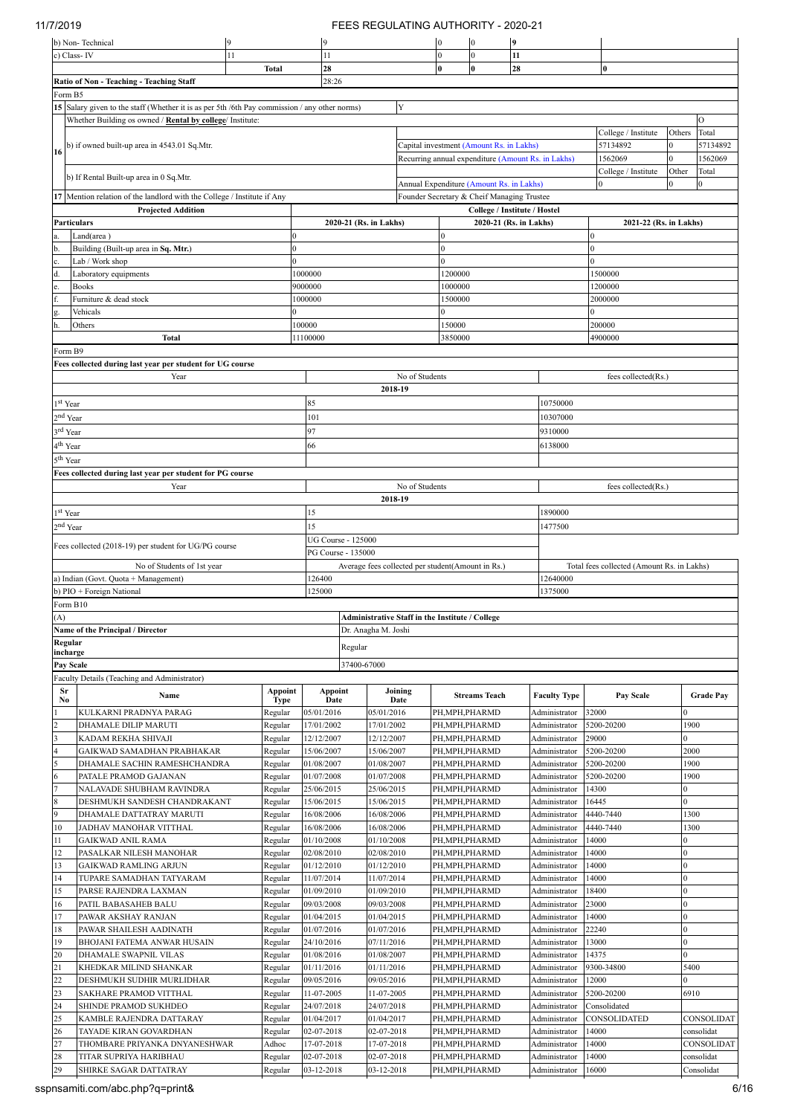|                      | b) Non-Technical                                                                           | 9                  |                          |                           |                                                   |                |                |                                                                                        | $\boldsymbol{9}$ |                                |                                            |                      |                  |
|----------------------|--------------------------------------------------------------------------------------------|--------------------|--------------------------|---------------------------|---------------------------------------------------|----------------|----------------|----------------------------------------------------------------------------------------|------------------|--------------------------------|--------------------------------------------|----------------------|------------------|
|                      | c) Class-IV                                                                                | 11                 |                          | 11                        |                                                   |                | $\overline{0}$ | 0                                                                                      | 11               |                                |                                            |                      |                  |
|                      |                                                                                            | <b>Total</b>       |                          | 28                        |                                                   |                | $\bf{0}$       | $\bf{0}$                                                                               | 28               |                                | $\bf{0}$                                   |                      |                  |
|                      | Ratio of Non - Teaching - Teaching Staff                                                   |                    |                          | 28:26                     |                                                   |                |                |                                                                                        |                  |                                |                                            |                      |                  |
| Form B5              |                                                                                            |                    |                          |                           |                                                   |                |                |                                                                                        |                  |                                |                                            |                      |                  |
| 15                   | Salary given to the staff (Whether it is as per 5th /6th Pay commission / any other norms) |                    |                          |                           | Y                                                 |                |                |                                                                                        |                  |                                |                                            |                      |                  |
|                      | Whether Building os owned / Rental by college/ Institute:                                  |                    |                          |                           |                                                   |                |                |                                                                                        |                  |                                |                                            |                      | $\circ$          |
|                      |                                                                                            |                    |                          |                           |                                                   |                |                |                                                                                        |                  |                                | College / Institute                        | Others               | Total            |
| 16                   | b) if owned built-up area in 4543.01 Sq.Mtr.                                               |                    |                          |                           |                                                   |                |                | Capital investment (Amount Rs. in Lakhs)                                               |                  |                                | 57134892                                   | $\Omega$             | 57134892         |
|                      |                                                                                            |                    |                          |                           |                                                   |                |                | Recurring annual expenditure (Amount Rs. in Lakhs)                                     |                  |                                | 1562069                                    | $\theta$             | 1562069          |
|                      | b) If Rental Built-up area in 0 Sq.Mtr.                                                    |                    |                          |                           |                                                   |                |                |                                                                                        |                  |                                | College / Institute                        | Other                | Total            |
|                      |                                                                                            |                    |                          |                           |                                                   |                |                | Annual Expenditure (Amount Rs. in Lakhs)<br>Founder Secretary & Cheif Managing Trustee |                  |                                |                                            |                      | $\theta$         |
| 17                   | Mention relation of the landlord with the College / Institute if Any                       |                    |                          |                           |                                                   |                |                |                                                                                        |                  |                                |                                            |                      |                  |
|                      | <b>Projected Addition</b><br><b>Particulars</b>                                            |                    |                          | 2020-21 (Rs. in Lakhs)    |                                                   |                |                | College / Institute / Hostel<br>2020-21 (Rs. in Lakhs)                                 |                  |                                | 2021-22 (Rs. in Lakhs)                     |                      |                  |
|                      | Land(area)                                                                                 |                    |                          |                           |                                                   |                |                |                                                                                        |                  |                                |                                            |                      |                  |
| b.                   | Building (Built-up area in Sq. Mtr.)                                                       |                    | $\theta$                 |                           |                                                   |                | $\mathbf{0}$   |                                                                                        |                  |                                | $\Omega$                                   |                      |                  |
| c.                   | Lab / Work shop                                                                            |                    | $\theta$                 |                           |                                                   |                | $\mathbf{0}$   |                                                                                        |                  |                                | $\Omega$                                   |                      |                  |
| d.                   | Laboratory equipments                                                                      |                    | 1000000                  |                           |                                                   |                | 1200000        |                                                                                        |                  |                                | 1500000                                    |                      |                  |
| e.                   | Books                                                                                      |                    | 9000000                  |                           |                                                   |                | 1000000        |                                                                                        |                  |                                | 1200000                                    |                      |                  |
| f.                   | Furniture & dead stock                                                                     |                    | 1000000                  |                           |                                                   |                | 1500000        |                                                                                        |                  |                                | 2000000                                    |                      |                  |
|                      | Vehicals                                                                                   |                    |                          |                           |                                                   |                |                |                                                                                        |                  |                                |                                            |                      |                  |
| h.                   | Others                                                                                     |                    | 100000                   |                           |                                                   |                | 150000         |                                                                                        |                  |                                | 200000                                     |                      |                  |
|                      | <b>Total</b>                                                                               |                    | 11100000                 |                           |                                                   |                | 3850000        |                                                                                        |                  |                                | 4900000                                    |                      |                  |
| Form B9              |                                                                                            |                    |                          |                           |                                                   |                |                |                                                                                        |                  |                                |                                            |                      |                  |
|                      | Fees collected during last year per student for UG course                                  |                    |                          |                           |                                                   |                |                |                                                                                        |                  |                                |                                            |                      |                  |
|                      | Year                                                                                       |                    |                          |                           |                                                   | No of Students |                |                                                                                        |                  |                                | fees collected(Rs.)                        |                      |                  |
|                      |                                                                                            |                    |                          |                           | 2018-19                                           |                |                |                                                                                        |                  |                                |                                            |                      |                  |
| 1 <sup>st</sup> Year |                                                                                            |                    | 85                       |                           |                                                   |                |                |                                                                                        |                  | 10750000                       |                                            |                      |                  |
| 2 <sup>nd</sup> Year |                                                                                            |                    | 101                      |                           |                                                   |                |                |                                                                                        |                  | 10307000                       |                                            |                      |                  |
| 3 <sup>rd</sup> Year |                                                                                            |                    | 97                       |                           |                                                   |                |                |                                                                                        |                  | 9310000                        |                                            |                      |                  |
| 4 <sup>th</sup> Year |                                                                                            |                    | 66                       |                           |                                                   |                |                |                                                                                        |                  | 6138000                        |                                            |                      |                  |
| 5 <sup>th</sup> Year |                                                                                            |                    |                          |                           |                                                   |                |                |                                                                                        |                  |                                |                                            |                      |                  |
|                      | Fees collected during last year per student for PG course                                  |                    |                          |                           |                                                   |                |                |                                                                                        |                  |                                |                                            |                      |                  |
|                      | Year                                                                                       |                    |                          |                           |                                                   | No of Students |                |                                                                                        |                  |                                | fees collected(Rs.)                        |                      |                  |
|                      |                                                                                            |                    |                          |                           | 2018-19                                           |                |                |                                                                                        |                  |                                |                                            |                      |                  |
| l <sup>st</sup> Year |                                                                                            |                    | 15                       |                           |                                                   |                |                |                                                                                        |                  | 1890000                        |                                            |                      |                  |
| 2 <sup>nd</sup> Year |                                                                                            |                    | 15                       |                           |                                                   |                |                |                                                                                        |                  | 1477500                        |                                            |                      |                  |
|                      | Fees collected (2018-19) per student for UG/PG course                                      |                    |                          | <b>UG Course - 125000</b> |                                                   |                |                |                                                                                        |                  |                                |                                            |                      |                  |
|                      |                                                                                            |                    |                          | PG Course - 135000        |                                                   |                |                |                                                                                        |                  |                                |                                            |                      |                  |
|                      | No of Students of 1st year                                                                 |                    |                          |                           | Average fees collected per student(Amount in Rs.) |                |                |                                                                                        |                  |                                | Total fees collected (Amount Rs. in Lakhs) |                      |                  |
|                      | a) Indian (Govt. Quota + Management)                                                       |                    | 126400                   |                           |                                                   |                |                |                                                                                        |                  | 12640000                       |                                            |                      |                  |
| Form B10             | b) PIO + Foreign National                                                                  |                    | 125000                   |                           |                                                   |                |                |                                                                                        |                  | 1375000                        |                                            |                      |                  |
|                      |                                                                                            |                    |                          |                           | Administrative Staff in the Institute / College   |                |                |                                                                                        |                  |                                |                                            |                      |                  |
| (A)                  | Name of the Principal / Director                                                           |                    |                          |                           | Dr. Anagha M. Joshi                               |                |                |                                                                                        |                  |                                |                                            |                      |                  |
| Regular              |                                                                                            |                    |                          |                           |                                                   |                |                |                                                                                        |                  |                                |                                            |                      |                  |
| incharge             |                                                                                            |                    |                          | Regular                   |                                                   |                |                |                                                                                        |                  |                                |                                            |                      |                  |
| <b>Pay Scale</b>     |                                                                                            |                    |                          | 37400-67000               |                                                   |                |                |                                                                                        |                  |                                |                                            |                      |                  |
|                      | Faculty Details (Teaching and Administrator)                                               |                    |                          |                           |                                                   |                |                |                                                                                        |                  |                                |                                            |                      |                  |
| Sr                   | Name                                                                                       | Appoint            |                          | Appoint                   | Joining                                           |                |                | <b>Streams Teach</b>                                                                   |                  | <b>Faculty Type</b>            | Pay Scale                                  |                      | <b>Grade Pay</b> |
| No                   |                                                                                            | Type               |                          | Date                      | Date                                              |                |                |                                                                                        |                  |                                |                                            |                      |                  |
| 2                    | KULKARNI PRADNYA PARAG<br><b>DHAMALE DILIP MARUTI</b>                                      | Regular<br>Regular | 05/01/2016<br>17/01/2002 |                           | 05/01/2016<br>17/01/2002                          |                |                | PH, MPH, PHARMD<br>PH, MPH, PHARMD                                                     |                  | Administrator<br>Administrator | 32000<br>5200-20200                        | 1900                 |                  |
| 3                    | KADAM REKHA SHIVAJI                                                                        | Regular            | 12/12/2007               |                           | 12/12/2007                                        |                |                | PH,MPH,PHARMD                                                                          |                  | Administrator                  | 29000                                      | $\Omega$             |                  |
|                      | GAIKWAD SAMADHAN PRABHAKAR                                                                 | Regular            | 15/06/2007               |                           | 15/06/2007                                        |                |                | PH, MPH, PHARMD                                                                        |                  | Administrator                  | 5200-20200                                 | 2000                 |                  |
| 5                    | DHAMALE SACHIN RAMESHCHANDRA                                                               | Regular            | 01/08/2007               |                           | 01/08/2007                                        |                |                | PH, MPH, PHARMD                                                                        |                  | Administrator                  | 5200-20200                                 | 1900                 |                  |
| 6                    | PATALE PRAMOD GAJANAN                                                                      | Regular            | 01/07/2008               |                           | 01/07/2008                                        |                |                | PH,MPH,PHARMD                                                                          |                  | Administrator                  | 5200-20200                                 | 1900                 |                  |
| $\overline{7}$       | NALAVADE SHUBHAM RAVINDRA                                                                  | Regular            | 25/06/2015               |                           | 25/06/2015                                        |                |                | PH,MPH,PHARMD                                                                          |                  | Administrator                  | 14300                                      |                      |                  |
| $\,$ 8 $\,$          | DESHMUKH SANDESH CHANDRAKANT                                                               | Regular            | 15/06/2015               |                           | 15/06/2015                                        |                |                | PH,MPH,PHARMD                                                                          |                  | Administrator                  | 16445                                      | $\theta$             |                  |
| 9                    | DHAMALE DATTATRAY MARUTI                                                                   | Regular            | 16/08/2006               |                           | 16/08/2006                                        |                |                | PH, MPH, PHARMD                                                                        |                  | Administrator                  | 4440-7440                                  | 1300                 |                  |
| 10                   | JADHAV MANOHAR VITTHAL                                                                     | Regular            | 16/08/2006               |                           | 16/08/2006                                        |                |                | PH, MPH, PHARMD                                                                        |                  | Administrator                  | 4440-7440                                  | 1300                 |                  |
| 11                   | <b>GAIKWAD ANIL RAMA</b>                                                                   | Regular            | 01/10/2008               |                           | 01/10/2008                                        |                |                | PH,MPH,PHARMD                                                                          |                  | Administrator                  | 14000                                      | 0                    |                  |
| 12                   | PASALKAR NILESH MANOHAR                                                                    | Regular            | 02/08/2010               |                           | 02/08/2010                                        |                |                | PH, MPH, PHARMD                                                                        |                  | Administrator                  | 14000                                      | $\Omega$             |                  |
| 13                   | <b>GAIKWAD RAMLING ARJUN</b>                                                               | Regular            | 01/12/2010               |                           | 01/12/2010                                        |                |                | PH, MPH, PHARMD                                                                        |                  | Administrator                  | 14000                                      | $\Omega$             |                  |
| 14                   | TUPARE SAMADHAN TATYARAM                                                                   | Regular            | 11/07/2014               |                           | 11/07/2014                                        |                |                | PH, MPH, PHARMD                                                                        |                  | Administrator                  | 14000                                      |                      |                  |
| 15                   | PARSE RAJENDRA LAXMAN                                                                      | Regular            | 01/09/2010               |                           | 01/09/2010                                        |                |                | PH, MPH, PHARMD                                                                        |                  | Administrator                  | 18400                                      | 0                    |                  |
| 16                   | PATIL BABASAHEB BALU                                                                       | Regular            | 09/03/2008               |                           | 09/03/2008                                        |                |                | PH, MPH, PHARMD                                                                        |                  | Administrator                  | 23000                                      | $\Omega$             |                  |
| 17<br>$1\,8$         | PAWAR AKSHAY RANJAN                                                                        | Regular            | 01/04/2015               |                           | 01/04/2015                                        |                |                | PH, MPH, PHARMD                                                                        |                  | Administrator                  | 14000                                      | $\Omega$<br>$\Omega$ |                  |
| 19                   | PAWAR SHAILESH AADINATH<br>BHOJANI FATEMA ANWAR HUSAIN                                     | Regular            | 01/07/2016<br>24/10/2016 |                           | 01/07/2016<br>07/11/2016                          |                |                | PH, MPH, PHARMD<br>PH, MPH, PHARMD                                                     |                  | Administrator<br>Administrator | 22240<br>13000                             | $\Omega$             |                  |
| 20                   | DHAMALE SWAPNIL VILAS                                                                      | Regular<br>Regular | 01/08/2016               |                           | 01/08/2007                                        |                |                | PH, MPH, PHARMD                                                                        |                  | Administrator                  | 14375                                      |                      |                  |
| 21                   | KHEDKAR MILIND SHANKAR                                                                     | Regular            | 01/11/2016               |                           | 01/11/2016                                        |                |                | PH,MPH,PHARMD                                                                          |                  | Administrator                  | 9300-34800                                 | 5400                 |                  |
| 22                   | DESHMUKH SUDHIR MURLIDHAR                                                                  | Regular            | 09/05/2016               |                           | 09/05/2016                                        |                |                | PH, MPH, PHARMD                                                                        |                  | Administrator                  | 12000                                      |                      |                  |
| 23                   | SAKHARE PRAMOD VITTHAL                                                                     | Regular            | 11-07-2005               |                           | 11-07-2005                                        |                |                | PH, MPH, PHARMD                                                                        |                  | Administrator                  | 5200-20200                                 | 6910                 |                  |
| 24                   | SHINDE PRAMOD SUKHDEO                                                                      | Regular            | 24/07/2018               |                           | 24/07/2018                                        |                |                | PH, MPH, PHARMD                                                                        |                  | Administrator                  | Consolidated                               |                      |                  |
| 25                   | KAMBLE RAJENDRA DATTARAY                                                                   | Regular            | 01/04/2017               |                           | 01/04/2017                                        |                |                | PH, MPH, PHARMD                                                                        |                  | Administrator                  | CONSOLIDATED                               |                      | CONSOLIDAT       |
| 26                   | TAYADE KIRAN GOVARDHAN                                                                     | Regular            | 02-07-2018               |                           | 02-07-2018                                        |                |                | PH, MPH, PHARMD                                                                        |                  | Administrator                  | 14000                                      |                      | consolidat       |
| 27                   | THOMBARE PRIYANKA DNYANESHWAR                                                              | Adhoc              | 17-07-2018               |                           | 17-07-2018                                        |                |                | PH, MPH, PHARMD                                                                        |                  | Administrator                  | 14000                                      |                      | CONSOLIDAT       |
| 28                   | TITAR SUPRIYA HARIBHAU                                                                     | Regular            | 02-07-2018               |                           | 02-07-2018                                        |                |                | PH, MPH, PHARMD                                                                        |                  | Administrator                  | 14000                                      |                      | consolidat       |
| 29                   | SHIRKE SAGAR DATTATRAY                                                                     | Regular            | 03-12-2018               |                           | 03-12-2018                                        |                |                | PH, MPH, PHARMD                                                                        |                  | Administrator                  | 16000                                      |                      | Consolidat       |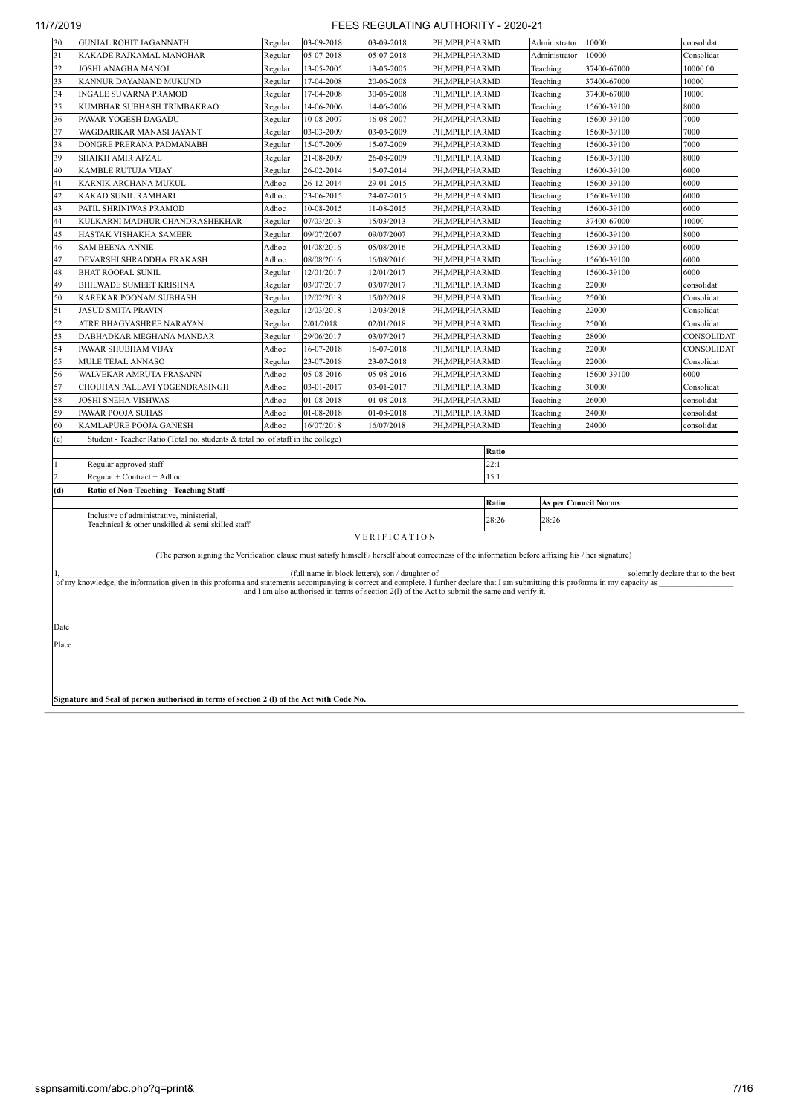| .     |                                                                                                                                                                                                                                |         |                                                 | , _____________________________ |                 |       |                             |             |                                   |
|-------|--------------------------------------------------------------------------------------------------------------------------------------------------------------------------------------------------------------------------------|---------|-------------------------------------------------|---------------------------------|-----------------|-------|-----------------------------|-------------|-----------------------------------|
| 130   | <b>GUNJAL ROHIT JAGANNATH</b>                                                                                                                                                                                                  | Regular | 03-09-2018                                      | 03-09-2018                      | PH, MPH, PHARMD |       | Administrator               | 10000       | consolidat                        |
| 31    | KAKADE RAJKAMAL MANOHAR                                                                                                                                                                                                        | Regular | 05-07-2018                                      | 05-07-2018                      | PH, MPH, PHARMD |       | Administrator               | 10000       | Consolidat                        |
| 32    | JOSHI ANAGHA MANOJ                                                                                                                                                                                                             | Regular | 13-05-2005                                      | 13-05-2005                      | PH, MPH, PHARMD |       | Teaching                    | 37400-67000 | 10000.00                          |
| 33    | KANNUR DAYANAND MUKUND                                                                                                                                                                                                         | Regular | 17-04-2008                                      | 20-06-2008                      | PH, MPH, PHARMD |       | Teaching                    | 37400-67000 | 10000                             |
| 34    | <b>INGALE SUVARNA PRAMOD</b>                                                                                                                                                                                                   | Regular | 17-04-2008                                      | 30-06-2008                      | PH, MPH, PHARMD |       | Teaching                    | 37400-67000 | 10000                             |
| 35    | KUMBHAR SUBHASH TRIMBAKRAO                                                                                                                                                                                                     | Regular | 14-06-2006                                      | 14-06-2006                      | PH, MPH, PHARMD |       | Teaching                    | 15600-39100 | 8000                              |
| 36    | PAWAR YOGESH DAGADU                                                                                                                                                                                                            | Regular | 10-08-2007                                      | 16-08-2007                      | PH, MPH, PHARMD |       | Teaching                    | 15600-39100 | 7000                              |
| 37    | WAGDARIKAR MANASI JAYANT                                                                                                                                                                                                       | Regular | 03-03-2009                                      | 03-03-2009                      | PH, MPH, PHARMD |       | Teaching                    | 15600-39100 | 7000                              |
| 38    | DONGRE PRERANA PADMANABH                                                                                                                                                                                                       | Regular | 15-07-2009                                      | 15-07-2009                      | PH, MPH, PHARMD |       | Teaching                    | 15600-39100 | 7000                              |
| 39    | SHAIKH AMIR AFZAL                                                                                                                                                                                                              | Regular | 21-08-2009                                      | 26-08-2009                      | PH, MPH, PHARMD |       | Teaching                    | 15600-39100 | 8000                              |
| 40    | KAMBLE RUTUJA VIJAY                                                                                                                                                                                                            | Regular | 26-02-2014                                      | 15-07-2014                      | PH, MPH, PHARMD |       | Teaching                    | 15600-39100 | 6000                              |
| 41    | KARNIK ARCHANA MUKUL                                                                                                                                                                                                           | Adhoc   | 26-12-2014                                      | 29-01-2015                      | PH, MPH, PHARMD |       | Teaching                    | 15600-39100 | 6000                              |
| 42    | KAKAD SUNIL RAMHARI                                                                                                                                                                                                            | Adhoc   | 23-06-2015                                      | 24-07-2015                      | PH, MPH, PHARMD |       | Teaching                    | 15600-39100 | 6000                              |
| 43    | PATIL SHRINIWAS PRAMOD                                                                                                                                                                                                         | Adhoc   | 10-08-2015                                      | 11-08-2015                      | PH, MPH, PHARMD |       | Teaching                    | 15600-39100 | 6000                              |
| 44    | KULKARNI MADHUR CHANDRASHEKHAR                                                                                                                                                                                                 | Regular | 07/03/2013                                      | 15/03/2013                      | PH, MPH, PHARMD |       | Teaching                    | 37400-67000 | 10000                             |
| 45    | HASTAK VISHAKHA SAMEER                                                                                                                                                                                                         | Regular | 09/07/2007                                      | 09/07/2007                      | PH, MPH, PHARMD |       | Teaching                    | 15600-39100 | 8000                              |
| 46    | <b>SAM BEENA ANNIE</b>                                                                                                                                                                                                         | Adhoc   | 01/08/2016                                      | 05/08/2016                      | PH, MPH, PHARMD |       | Teaching                    | 15600-39100 | 6000                              |
| 47    | DEVARSHI SHRADDHA PRAKASH                                                                                                                                                                                                      | Adhoc   | 08/08/2016                                      | 16/08/2016                      | PH, MPH, PHARMD |       | Teaching                    | 15600-39100 | 6000                              |
| 48    | <b>BHAT ROOPAL SUNIL</b>                                                                                                                                                                                                       | Regular | 12/01/2017                                      | 12/01/2017                      | PH, MPH, PHARMD |       | Teaching                    | 15600-39100 | 6000                              |
| 49    | BHILWADE SUMEET KRISHNA                                                                                                                                                                                                        | Regular | 03/07/2017                                      | 03/07/2017                      | PH, MPH, PHARMD |       | Teaching                    | 22000       | consolidat                        |
| 50    | KAREKAR POONAM SUBHASH                                                                                                                                                                                                         | Regular | 12/02/2018                                      | 15/02/2018                      | PH, MPH, PHARMD |       | Teaching                    | 25000       | Consolidat                        |
| 51    | <b>JASUD SMITA PRAVIN</b>                                                                                                                                                                                                      | Regular | 12/03/2018                                      | 12/03/2018                      | PH, MPH, PHARMD |       | Teaching                    | 22000       | Consolidat                        |
| 52    | ATRE BHAGYASHREE NARAYAN                                                                                                                                                                                                       | Regular | 2/01/2018                                       | 02/01/2018                      | PH, MPH, PHARMD |       | Teaching                    | 25000       | Consolidat                        |
| 53    | DABHADKAR MEGHANA MANDAR                                                                                                                                                                                                       | Regular | 29/06/2017                                      | 03/07/2017                      | PH, MPH, PHARMD |       | Teaching                    | 28000       | CONSOLIDAT                        |
| 54    | PAWAR SHUBHAM VIJAY                                                                                                                                                                                                            | Adhoc   | 16-07-2018                                      | 16-07-2018                      | PH, MPH, PHARMD |       | Teaching                    | 22000       | CONSOLIDAT                        |
| 55    | MULE TEJAL ANNASO                                                                                                                                                                                                              | Regular | 23-07-2018                                      | 23-07-2018                      | PH, MPH, PHARMD |       | Teaching                    | 22000       | Consolidat                        |
| 56    | WALVEKAR AMRUTA PRASANN                                                                                                                                                                                                        | Adhoc   | 05-08-2016                                      | 05-08-2016                      | PH, MPH, PHARMD |       | Teaching                    | 15600-39100 | 6000                              |
| 57    | CHOUHAN PALLAVI YOGENDRASINGH                                                                                                                                                                                                  | Adhoc   | 03-01-2017                                      | 03-01-2017                      | PH, MPH, PHARMD |       | Teaching                    | 30000       | Consolidat                        |
| 58    | JOSHI SNEHA VISHWAS                                                                                                                                                                                                            | Adhoc   | 01-08-2018                                      | 01-08-2018                      | PH, MPH, PHARMD |       | Teaching                    | 26000       | consolidat                        |
| 59    | PAWAR POOJA SUHAS                                                                                                                                                                                                              | Adhoc   | 01-08-2018                                      | 01-08-2018                      | PH, MPH, PHARMD |       | Teaching                    | 24000       | consolidat                        |
| 60    | KAMLAPURE POOJA GANESH                                                                                                                                                                                                         | Adhoc   | 16/07/2018                                      | 16/07/2018                      | PH, MPH, PHARMD |       | Teaching                    | 24000       | consolidat                        |
| (c)   | Student - Teacher Ratio (Total no. students & total no. of staff in the college)                                                                                                                                               |         |                                                 |                                 |                 |       |                             |             |                                   |
|       |                                                                                                                                                                                                                                |         |                                                 |                                 |                 | Ratio |                             |             |                                   |
|       | Regular approved staff                                                                                                                                                                                                         |         |                                                 |                                 |                 | 22:1  |                             |             |                                   |
|       | Regular + Contract + Adhoc                                                                                                                                                                                                     |         |                                                 |                                 |                 | 15:1  |                             |             |                                   |
| (d)   | Ratio of Non-Teaching - Teaching Staff -                                                                                                                                                                                       |         |                                                 |                                 |                 |       |                             |             |                                   |
|       |                                                                                                                                                                                                                                |         |                                                 |                                 |                 | Ratio | <b>As per Council Norms</b> |             |                                   |
|       | Inclusive of administrative, ministerial,                                                                                                                                                                                      |         |                                                 |                                 |                 |       |                             |             |                                   |
|       | Teachnical & other unskilled & semi skilled staff                                                                                                                                                                              |         |                                                 |                                 |                 | 28:26 | 28:26                       |             |                                   |
|       |                                                                                                                                                                                                                                |         |                                                 | VERIFICATION                    |                 |       |                             |             |                                   |
|       | (The person signing the Verification clause must satisfy himself / herself about correctness of the information before affixing his / her signature)                                                                           |         |                                                 |                                 |                 |       |                             |             |                                   |
|       |                                                                                                                                                                                                                                |         |                                                 |                                 |                 |       |                             |             |                                   |
|       |                                                                                                                                                                                                                                |         | (full name in block letters), son / daughter of |                                 |                 |       |                             |             | solemnly declare that to the best |
|       | of my knowledge, the information given in this proforma and statements accompanying is correct and complete. I further declare that I am submitting this proforma in my capacity as and I am also authorised in terms of secti |         |                                                 |                                 |                 |       |                             |             |                                   |
|       |                                                                                                                                                                                                                                |         |                                                 |                                 |                 |       |                             |             |                                   |
|       |                                                                                                                                                                                                                                |         |                                                 |                                 |                 |       |                             |             |                                   |
| Date  |                                                                                                                                                                                                                                |         |                                                 |                                 |                 |       |                             |             |                                   |
|       |                                                                                                                                                                                                                                |         |                                                 |                                 |                 |       |                             |             |                                   |
| Place |                                                                                                                                                                                                                                |         |                                                 |                                 |                 |       |                             |             |                                   |
|       |                                                                                                                                                                                                                                |         |                                                 |                                 |                 |       |                             |             |                                   |
|       |                                                                                                                                                                                                                                |         |                                                 |                                 |                 |       |                             |             |                                   |
|       |                                                                                                                                                                                                                                |         |                                                 |                                 |                 |       |                             |             |                                   |
|       | Signature and Seal of person authorised in terms of section 2 (1) of the Act with Code No.                                                                                                                                     |         |                                                 |                                 |                 |       |                             |             |                                   |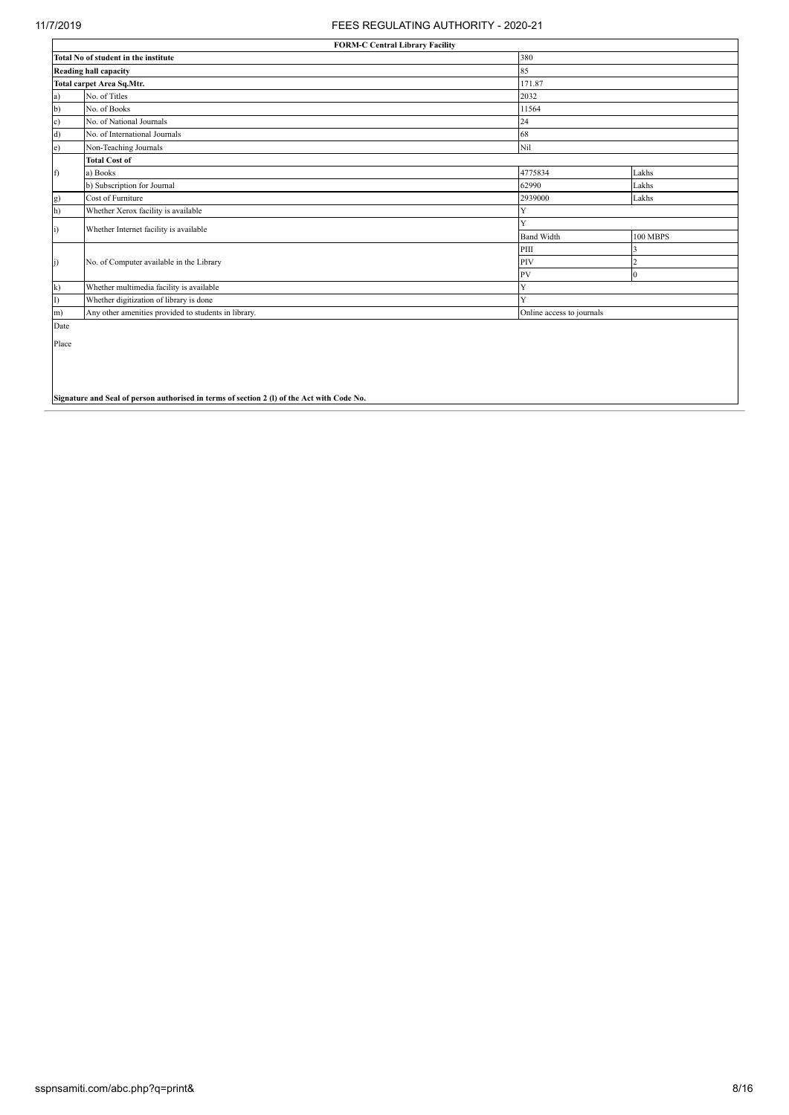|                     | <b>FORM-C Central Library Facility</b>                                                     |                           |                 |  |  |  |  |
|---------------------|--------------------------------------------------------------------------------------------|---------------------------|-----------------|--|--|--|--|
|                     | Total No of student in the institute                                                       | 380                       |                 |  |  |  |  |
|                     | <b>Reading hall capacity</b>                                                               | 85                        |                 |  |  |  |  |
|                     | Total carpet Area Sq.Mtr.                                                                  | 171.87                    |                 |  |  |  |  |
| a)                  | No. of Titles                                                                              | 2032                      |                 |  |  |  |  |
| $b$                 | No. of Books                                                                               | 11564                     |                 |  |  |  |  |
| c)                  | No. of National Journals                                                                   | 24                        |                 |  |  |  |  |
| d)                  | No. of International Journals                                                              | 68                        |                 |  |  |  |  |
| $\epsilon$ )        | Non-Teaching Journals                                                                      | Nil                       |                 |  |  |  |  |
|                     | <b>Total Cost of</b>                                                                       |                           |                 |  |  |  |  |
| f)                  | a) Books                                                                                   | 4775834                   | Lakhs           |  |  |  |  |
|                     | b) Subscription for Journal                                                                | 62990                     | Lakhs           |  |  |  |  |
| g)                  | Cost of Furniture                                                                          | 2939000                   | Lakhs           |  |  |  |  |
| h)                  | Whether Xerox facility is available                                                        | Y                         |                 |  |  |  |  |
|                     | Whether Internet facility is available                                                     | Y                         |                 |  |  |  |  |
| $\ddot{\mathbf{i}}$ |                                                                                            | <b>Band Width</b>         | <b>100 MBPS</b> |  |  |  |  |
|                     |                                                                                            | PIII                      |                 |  |  |  |  |
| j)                  | No. of Computer available in the Library                                                   | PIV                       | $\overline{c}$  |  |  |  |  |
|                     |                                                                                            | PV                        | $\mathbf{0}$    |  |  |  |  |
| $\bf k)$            | Whether multimedia facility is available                                                   | Y                         |                 |  |  |  |  |
| I)                  | Whether digitization of library is done                                                    | Y                         |                 |  |  |  |  |
| m)                  | Any other amenities provided to students in library.                                       | Online access to journals |                 |  |  |  |  |
| Date                |                                                                                            |                           |                 |  |  |  |  |
| Place               |                                                                                            |                           |                 |  |  |  |  |
|                     |                                                                                            |                           |                 |  |  |  |  |
|                     |                                                                                            |                           |                 |  |  |  |  |
|                     |                                                                                            |                           |                 |  |  |  |  |
|                     |                                                                                            |                           |                 |  |  |  |  |
|                     | Signature and Seal of person authorised in terms of section 2 (I) of the Act with Code No. |                           |                 |  |  |  |  |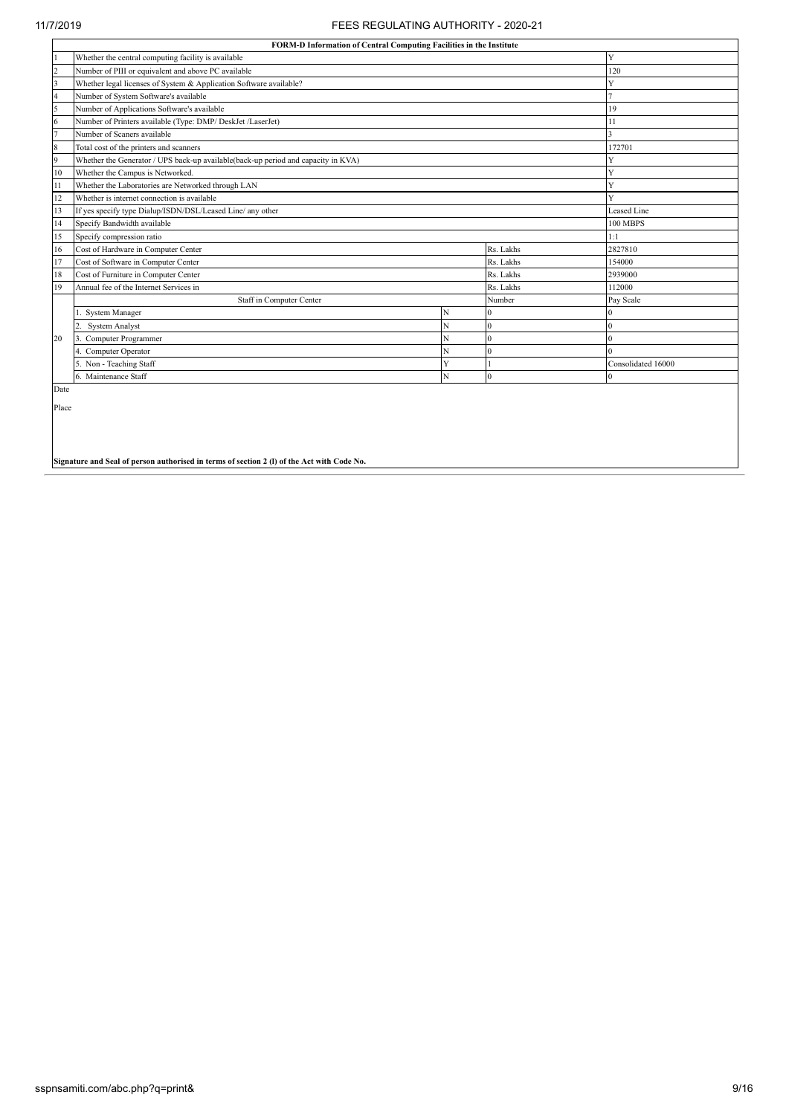|                | FORM-D Information of Central Computing Facilities in the Institute               |    |           |                    |  |  |  |  |  |  |  |
|----------------|-----------------------------------------------------------------------------------|----|-----------|--------------------|--|--|--|--|--|--|--|
|                | Whether the central computing facility is available                               |    |           | Y                  |  |  |  |  |  |  |  |
| $\overline{2}$ | Number of PIII or equivalent and above PC available                               |    |           | 120                |  |  |  |  |  |  |  |
| 3              | Whether legal licenses of System & Application Software available?                |    |           |                    |  |  |  |  |  |  |  |
| $\overline{4}$ | Number of System Software's available                                             |    |           |                    |  |  |  |  |  |  |  |
| 5              | Number of Applications Software's available                                       |    |           | 19                 |  |  |  |  |  |  |  |
| 6              | Number of Printers available (Type: DMP/ DeskJet /LaserJet)                       | 11 |           |                    |  |  |  |  |  |  |  |
| $\overline{7}$ | Number of Scaners available                                                       |    |           |                    |  |  |  |  |  |  |  |
| $\,$ 8 $\,$    | Total cost of the printers and scanners                                           |    |           | 172701             |  |  |  |  |  |  |  |
| 9              | Whether the Generator / UPS back-up available(back-up period and capacity in KVA) |    |           |                    |  |  |  |  |  |  |  |
| 10             | Whether the Campus is Networked.                                                  |    |           | Y                  |  |  |  |  |  |  |  |
| 11             | Whether the Laboratories are Networked through LAN                                |    |           |                    |  |  |  |  |  |  |  |
| 12             | Whether is internet connection is available                                       |    |           |                    |  |  |  |  |  |  |  |
| 13             | If yes specify type Dialup/ISDN/DSL/Leased Line/ any other                        |    |           | <b>Leased Line</b> |  |  |  |  |  |  |  |
| 14             | Specify Bandwidth available                                                       |    |           | 100 MBPS           |  |  |  |  |  |  |  |
| 15             | Specify compression ratio                                                         |    |           | 1:1                |  |  |  |  |  |  |  |
| 16             | Cost of Hardware in Computer Center                                               |    | Rs. Lakhs | 2827810            |  |  |  |  |  |  |  |
| 17             | Cost of Software in Computer Center                                               |    | Rs. Lakhs | 154000             |  |  |  |  |  |  |  |
| 18             | Cost of Furniture in Computer Center                                              |    | Rs. Lakhs | 2939000            |  |  |  |  |  |  |  |
| 19             | Annual fee of the Internet Services in                                            |    | Rs. Lakhs | 112000             |  |  |  |  |  |  |  |
|                | Staff in Computer Center                                                          |    | Number    | Pay Scale          |  |  |  |  |  |  |  |
|                | 1. System Manager                                                                 | N  |           |                    |  |  |  |  |  |  |  |
|                | <b>System Analyst</b>                                                             | N  | $\Omega$  |                    |  |  |  |  |  |  |  |
| 20             | 3. Computer Programmer                                                            |    |           |                    |  |  |  |  |  |  |  |
|                | Computer Operator                                                                 | N  | $\Omega$  |                    |  |  |  |  |  |  |  |
|                | 5. Non - Teaching Staff                                                           | Ÿ  |           | Consolidated 16000 |  |  |  |  |  |  |  |
|                | 6. Maintenance Staff                                                              |    | $\Omega$  |                    |  |  |  |  |  |  |  |
| Date           |                                                                                   |    |           |                    |  |  |  |  |  |  |  |

Place

**Signature and Seal of person authorised in terms of section 2 (l) of the Act with Code No.**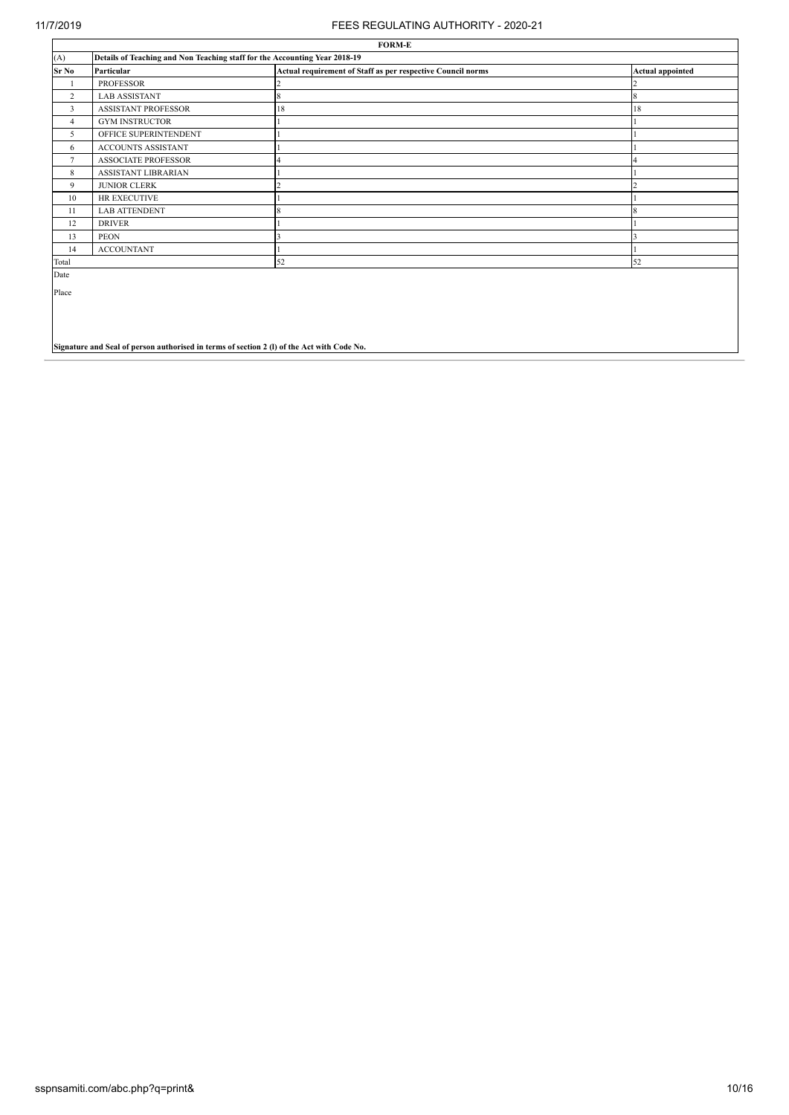| <b>FORM-E</b>  |                                                                                            |                                                             |                         |  |  |  |  |  |  |  |  |
|----------------|--------------------------------------------------------------------------------------------|-------------------------------------------------------------|-------------------------|--|--|--|--|--|--|--|--|
| (A)            | Details of Teaching and Non Teaching staff for the Accounting Year 2018-19                 |                                                             |                         |  |  |  |  |  |  |  |  |
| Sr No          | Particular                                                                                 | Actual requirement of Staff as per respective Council norms | <b>Actual appointed</b> |  |  |  |  |  |  |  |  |
|                | <b>PROFESSOR</b>                                                                           |                                                             |                         |  |  |  |  |  |  |  |  |
| $\overline{2}$ | <b>LAB ASSISTANT</b>                                                                       |                                                             |                         |  |  |  |  |  |  |  |  |
| 3              | <b>ASSISTANT PROFESSOR</b>                                                                 | 18                                                          | 18                      |  |  |  |  |  |  |  |  |
| $\overline{4}$ | <b>GYM INSTRUCTOR</b>                                                                      |                                                             |                         |  |  |  |  |  |  |  |  |
| 5              | OFFICE SUPERINTENDENT                                                                      |                                                             |                         |  |  |  |  |  |  |  |  |
| 6              | <b>ACCOUNTS ASSISTANT</b>                                                                  |                                                             |                         |  |  |  |  |  |  |  |  |
| $\tau$         | <b>ASSOCIATE PROFESSOR</b>                                                                 |                                                             |                         |  |  |  |  |  |  |  |  |
| $\,$ 8 $\,$    | ASSISTANT LIBRARIAN                                                                        |                                                             |                         |  |  |  |  |  |  |  |  |
| 9              | JUNIOR CLERK                                                                               |                                                             |                         |  |  |  |  |  |  |  |  |
| 10             | HR EXECUTIVE                                                                               |                                                             |                         |  |  |  |  |  |  |  |  |
| 11             | <b>LAB ATTENDENT</b>                                                                       |                                                             |                         |  |  |  |  |  |  |  |  |
| 12             | <b>DRIVER</b>                                                                              |                                                             |                         |  |  |  |  |  |  |  |  |
| 13             | <b>PEON</b>                                                                                |                                                             |                         |  |  |  |  |  |  |  |  |
| 14             | <b>ACCOUNTANT</b>                                                                          |                                                             |                         |  |  |  |  |  |  |  |  |
| Total          |                                                                                            | 52                                                          | 52                      |  |  |  |  |  |  |  |  |
| Date           |                                                                                            |                                                             |                         |  |  |  |  |  |  |  |  |
| Place          |                                                                                            |                                                             |                         |  |  |  |  |  |  |  |  |
|                |                                                                                            |                                                             |                         |  |  |  |  |  |  |  |  |
|                |                                                                                            |                                                             |                         |  |  |  |  |  |  |  |  |
|                |                                                                                            |                                                             |                         |  |  |  |  |  |  |  |  |
|                |                                                                                            |                                                             |                         |  |  |  |  |  |  |  |  |
|                | Signature and Seal of person authorised in terms of section 2 (I) of the Act with Code No. |                                                             |                         |  |  |  |  |  |  |  |  |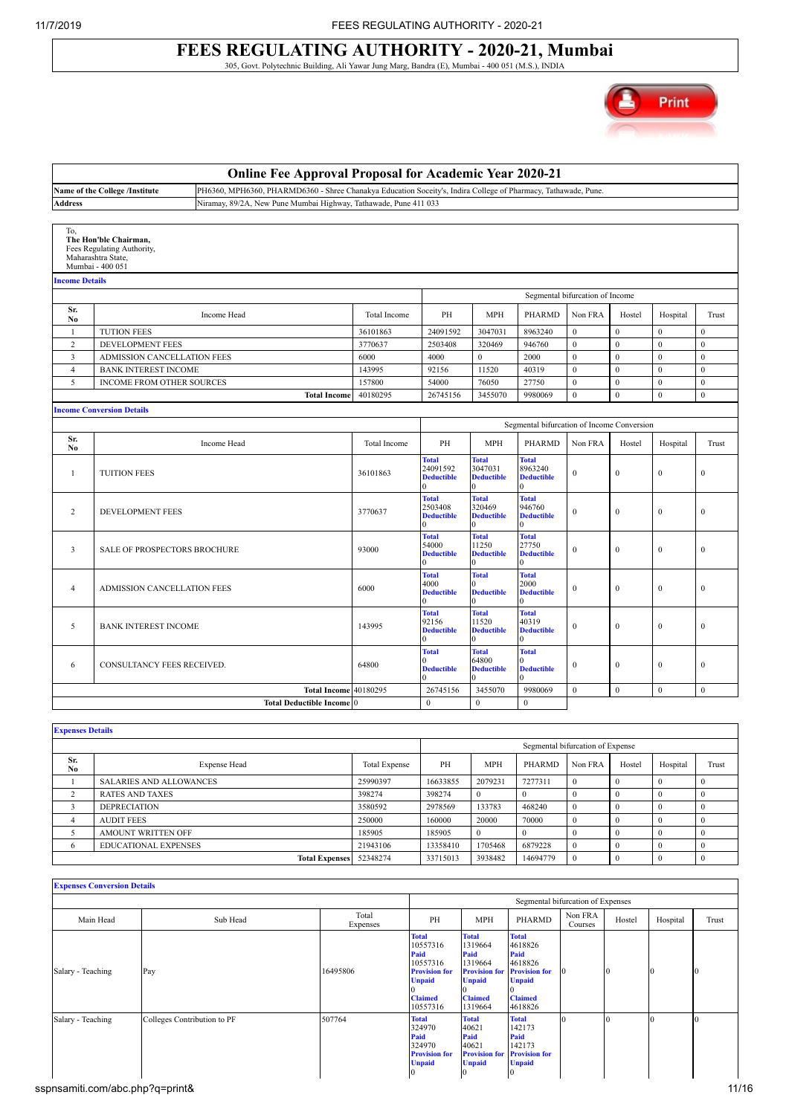# **FEES REGULATING AUTHORITY - 2020-21, Mumbai** 305, Govt. Polytechnic Building, Ali Yawar Jung Marg, Bandra (E), Mumbai - 400 051 (M.S.), INDIA

Print

|                       |                                                                                               | <b>Online Fee Approval Proposal for Academic Year 2020-21</b>                                                  |                     |                                                               |                                                          |                                                          |                                 |                  |              |              |
|-----------------------|-----------------------------------------------------------------------------------------------|----------------------------------------------------------------------------------------------------------------|---------------------|---------------------------------------------------------------|----------------------------------------------------------|----------------------------------------------------------|---------------------------------|------------------|--------------|--------------|
|                       | Name of the College /Institute                                                                | PH6360, MPH6360, PHARMD6360 - Shree Chanakya Education Soceity's, Indira College of Pharmacy, Tathawade, Pune. |                     |                                                               |                                                          |                                                          |                                 |                  |              |              |
| <b>Address</b>        |                                                                                               | Niramay, 89/2A, New Pune Mumbai Highway, Tathawade, Pune 411 033                                               |                     |                                                               |                                                          |                                                          |                                 |                  |              |              |
|                       |                                                                                               |                                                                                                                |                     |                                                               |                                                          |                                                          |                                 |                  |              |              |
| To,                   | The Hon'ble Chairman,<br>Fees Regulating Authority,<br>Maharashtra State,<br>Mumbai - 400 051 |                                                                                                                |                     |                                                               |                                                          |                                                          |                                 |                  |              |              |
| <b>Income Details</b> |                                                                                               |                                                                                                                |                     |                                                               |                                                          |                                                          |                                 |                  |              |              |
|                       |                                                                                               |                                                                                                                |                     |                                                               |                                                          |                                                          | Segmental bifurcation of Income |                  |              |              |
| Sr.<br>No             |                                                                                               | Income Head                                                                                                    | <b>Total Income</b> | PH                                                            | <b>MPH</b>                                               | <b>PHARMD</b>                                            | Non FRA                         | Hostel           | Hospital     | Trust        |
| $\mathbf{1}$          | <b>TUTION FEES</b>                                                                            |                                                                                                                | 36101863            | 24091592                                                      | 3047031                                                  | 8963240                                                  | $\mathbf{0}$                    | $\mathbf{0}$     | $\mathbf{0}$ | $\mathbf{0}$ |
| $\overline{c}$        | DEVELOPMENT FEES                                                                              |                                                                                                                | 3770637             | 2503408                                                       | 320469                                                   | 946760                                                   | $\theta$                        | $\mathbf{0}$     | $\mathbf{0}$ | $\theta$     |
| $\overline{3}$        | ADMISSION CANCELLATION FEES                                                                   |                                                                                                                | 6000                | 4000                                                          | $\Omega$                                                 | 2000                                                     | $\theta$                        | $\Omega$         | $\Omega$     | $\theta$     |
| $\overline{4}$        | <b>BANK INTEREST INCOME</b>                                                                   |                                                                                                                | 143995              | 92156                                                         | 11520                                                    | 40319                                                    | $\theta$                        | $\Omega$         | $\mathbf{0}$ | $\theta$     |
| 5                     | INCOME FROM OTHER SOURCES                                                                     |                                                                                                                | 157800              | 54000                                                         | 76050                                                    | 27750                                                    | $\mathbf{0}$                    | $\mathbf{0}$     | $\mathbf{0}$ | $\mathbf{0}$ |
|                       |                                                                                               | <b>Total Income</b>                                                                                            | 40180295            | 26745156                                                      | 3455070                                                  | 9980069                                                  | $\theta$                        | $\theta$         | $\theta$     | $\theta$     |
|                       | <b>Income Conversion Details</b>                                                              |                                                                                                                |                     |                                                               |                                                          |                                                          |                                 |                  |              |              |
|                       |                                                                                               |                                                                                                                |                     |                                                               |                                                          | Segmental bifurcation of Income Conversion               |                                 |                  |              |              |
| Sr.<br>No             |                                                                                               | Income Head                                                                                                    | <b>Total Income</b> | PH                                                            | <b>MPH</b>                                               | <b>PHARMD</b>                                            | Non FRA                         | Hostel           | Hospital     | Trust        |
| $\mathbf{1}$          | <b>TUITION FEES</b>                                                                           |                                                                                                                | 36101863            | <b>Total</b><br>24091592<br><b>Deductible</b><br>$\mathbf{0}$ | <b>Total</b><br>3047031<br><b>Deductible</b><br>$\theta$ | <b>Total</b><br>8963240<br><b>Deductible</b><br>$\Omega$ | $\mathbf{0}$                    | $\boldsymbol{0}$ | $\mathbf{0}$ | $\bf{0}$     |
| $\overline{2}$        | <b>DEVELOPMENT FEES</b>                                                                       |                                                                                                                | 3770637             | <b>Total</b><br>2503408<br><b>Deductible</b><br>0             | <b>Total</b><br>320469<br><b>Deductible</b><br>$\Omega$  | <b>Total</b><br>946760<br><b>Deductible</b><br>$\theta$  | $\mathbf{0}$                    | $\mathbf{0}$     | $\mathbf{0}$ | $\mathbf{0}$ |
| $\mathbf{3}$          | <b>SALE OF PROSPECTORS BROCHURE</b>                                                           |                                                                                                                | 93000               | <b>Total</b><br>54000<br><b>Deductible</b><br>$\Omega$        | <b>Total</b><br>11250<br><b>Deductible</b><br>$\Omega$   | <b>Total</b><br>27750<br><b>Deductible</b><br>$\Omega$   | $\mathbf{0}$                    | $\mathbf{0}$     | $\mathbf{0}$ | $\mathbf{0}$ |
| $\overline{4}$        | ADMISSION CANCELLATION FEES                                                                   |                                                                                                                | 6000                | <b>Total</b><br>4000<br><b>Deductible</b><br>0                | <b>Total</b><br><b>Deductible</b><br>$\Omega$            | <b>Total</b><br>2000<br><b>Deductible</b><br>$\theta$    | $\mathbf{0}$                    | $\mathbf{0}$     | $\mathbf{0}$ | $\mathbf{0}$ |
| 5                     | <b>BANK INTEREST INCOME</b>                                                                   |                                                                                                                | 143995              | <b>Total</b><br>92156<br><b>Deductible</b><br>$\Omega$        | <b>Total</b><br>11520<br><b>Deductible</b><br>$\Omega$   | <b>Total</b><br>40319<br><b>Deductible</b><br>$\theta$   | $\mathbf{0}$                    | $\boldsymbol{0}$ | $\mathbf{0}$ | $\mathbf{0}$ |
| 6                     | CONSULTANCY FEES RECEIVED.                                                                    |                                                                                                                | 64800               | <b>Total</b><br>0<br><b>Deductible</b><br>$\Omega$            | <b>Total</b><br>64800<br><b>Deductible</b>               | <b>Total</b><br>0<br><b>Deductible</b><br>$\Omega$       | $\mathbf{0}$                    | $\boldsymbol{0}$ | $\mathbf{0}$ | $\bf{0}$     |
|                       |                                                                                               | Total Income 40180295                                                                                          |                     | 26745156                                                      | 3455070                                                  | 9980069                                                  | $\mathbf{0}$                    | $\mathbf{0}$     | $\mathbf{0}$ | $\mathbf{0}$ |
|                       |                                                                                               | <b>Total Deductible Income 0</b>                                                                               |                     | $\mathbf{0}$                                                  | $\mathbf{0}$                                             | $\mathbf{0}$                                             |                                 |                  |              |              |

| <b>Expenses Details</b> |                                |                                  |          |            |          |         |        |          |       |  |  |  |
|-------------------------|--------------------------------|----------------------------------|----------|------------|----------|---------|--------|----------|-------|--|--|--|
|                         |                                | Segmental bifurcation of Expense |          |            |          |         |        |          |       |  |  |  |
| Sr.<br>No.              | <b>Expense Head</b>            | <b>Total Expense</b>             | PH       | <b>MPH</b> | PHARMD   | Non FRA | Hostel | Hospital | Trust |  |  |  |
|                         | <b>SALARIES AND ALLOWANCES</b> | 25990397                         | 16633855 | 2079231    | 7277311  |         |        |          |       |  |  |  |
|                         | <b>RATES AND TAXES</b>         | 398274                           | 398274   | 0          |          |         |        |          |       |  |  |  |
|                         | <b>DEPRECIATION</b>            | 3580592                          | 2978569  | 133783     | 468240   |         |        |          |       |  |  |  |
| 4                       | <b>AUDIT FEES</b>              | 250000                           | 160000   | 20000      | 70000    |         |        |          |       |  |  |  |
|                         | AMOUNT WRITTEN OFF             | 185905                           | 185905   |            |          |         |        |          |       |  |  |  |
| $\sigma$                | <b>EDUCATIONAL EXPENSES</b>    | 21943106                         | 13358410 | 1705468    | 6879228  |         |        |          |       |  |  |  |
|                         | Total Expenses 52348274        |                                  | 33715013 | 3938482    | 14694779 |         |        |          |       |  |  |  |

| <b>Expenses Conversion Details</b> |                             |                   |                                                                                                                     |                                                                                                                                |                                                                                          |                    |        |          |       |
|------------------------------------|-----------------------------|-------------------|---------------------------------------------------------------------------------------------------------------------|--------------------------------------------------------------------------------------------------------------------------------|------------------------------------------------------------------------------------------|--------------------|--------|----------|-------|
|                                    |                             |                   |                                                                                                                     |                                                                                                                                | Segmental bifurcation of Expenses                                                        |                    |        |          |       |
| Main Head                          | Sub Head                    | Total<br>Expenses | PH                                                                                                                  | <b>MPH</b>                                                                                                                     | PHARMD                                                                                   | Non FRA<br>Courses | Hostel | Hospital | Trust |
| Salary - Teaching                  | Pay                         | 16495806          | <b>Total</b><br>10557316<br>Paid<br>10557316<br><b>Provision for</b><br><b>Unpaid</b><br><b>Claimed</b><br>10557316 | <b>Total</b><br>1319664<br>Paid<br>1319664<br><b>Provision for Provision for</b><br><b>Unpaid</b><br><b>Claimed</b><br>1319664 | <b>Total</b><br>4618826<br>Paid<br>4618826<br><b>Unpaid</b><br><b>Claimed</b><br>4618826 | 10                 |        |          | 10    |
| Salary - Teaching                  | Colleges Contribution to PF | 507764            | <b>Total</b><br>324970<br>Paid<br>324970<br><b>Provision for</b><br><b>Unpaid</b>                                   | <b>Total</b><br>40621<br>Paid<br>40621<br><b>Provision for Provision for</b><br><b>Unpaid</b>                                  | <b>Total</b><br>142173<br>Paid<br>142173<br><b>Unpaid</b><br>10                          | $\mathbf{0}$       |        |          | 10    |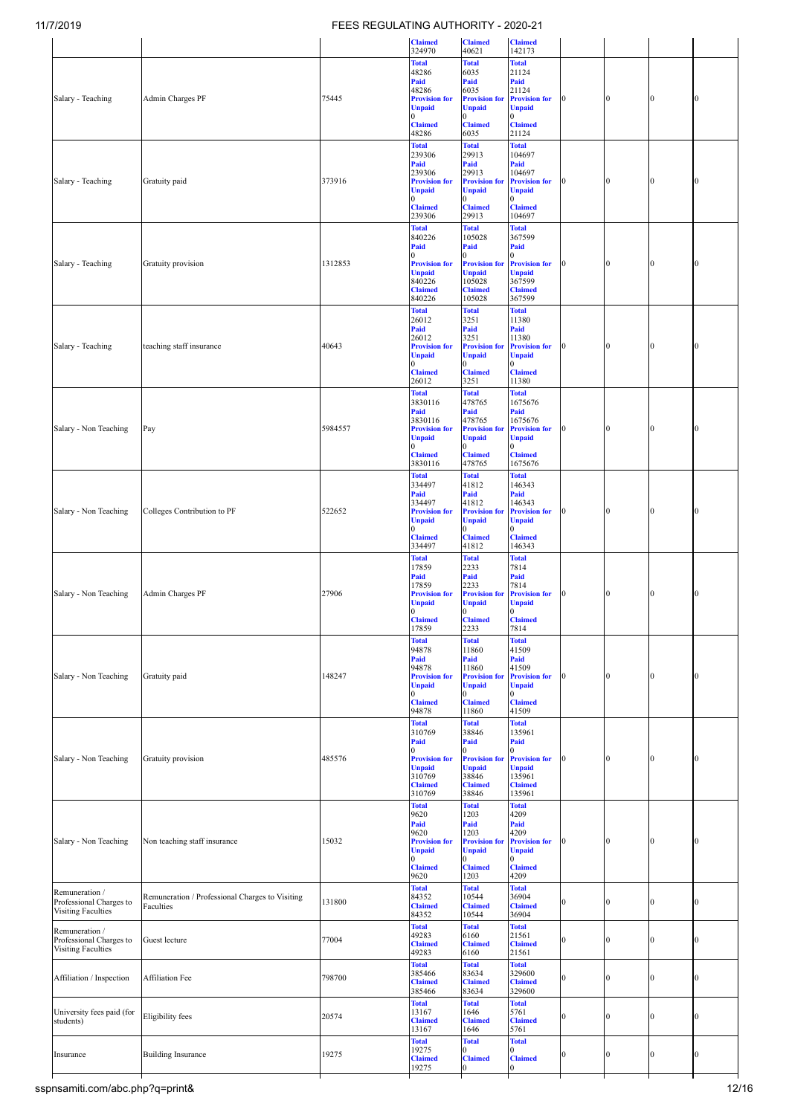| 77 L J J                                             |                                                              | LLO INLOULATING AUTHONITY |                                          |                                       | $-2020-Z$                             |                 |              |              |                |
|------------------------------------------------------|--------------------------------------------------------------|---------------------------|------------------------------------------|---------------------------------------|---------------------------------------|-----------------|--------------|--------------|----------------|
|                                                      |                                                              |                           | <b>Claimed</b><br>324970                 | <b>Claimed</b><br>40621               | <b>Claimed</b><br>142173              |                 |              |              |                |
|                                                      |                                                              |                           | <b>Total</b>                             | <b>Total</b>                          | <b>Total</b>                          |                 |              |              |                |
|                                                      |                                                              |                           | 48286<br>Paid                            | 6035<br>Paid                          | 21124<br>Paid                         |                 |              |              |                |
|                                                      |                                                              |                           | 48286                                    | 6035                                  | 21124                                 |                 |              |              |                |
| Salary - Teaching                                    | Admin Charges PF                                             | 75445                     | <b>Provision for</b><br><b>Unpaid</b>    | <b>Provision for</b><br><b>Unpaid</b> | <b>Provision for</b><br><b>Unpaid</b> | $\bf{0}$        | $\Omega$     | $\bf{0}$     | Iθ             |
|                                                      |                                                              |                           | $\boldsymbol{0}$                         | $\Omega$                              | $\Omega$                              |                 |              |              |                |
|                                                      |                                                              |                           | <b>Claimed</b><br>48286                  | <b>Claimed</b><br>6035                | <b>Claimed</b><br>21124               |                 |              |              |                |
|                                                      |                                                              |                           | <b>Total</b>                             | <b>Total</b>                          | <b>Total</b>                          |                 |              |              |                |
|                                                      |                                                              |                           | 239306                                   | 29913                                 | 104697                                |                 |              |              |                |
|                                                      |                                                              |                           | Paid<br>239306                           | Paid<br>29913                         | Paid<br>104697                        |                 |              |              |                |
| Salary - Teaching                                    | Gratuity paid                                                | 373916                    | <b>Provision for</b>                     | <b>Provision for</b>                  | <b>Provision for</b>                  | $\mathbf{0}$    | $\bf{0}$     | $\mathbf{0}$ | I٥             |
|                                                      |                                                              |                           | <b>Unpaid</b><br>0                       | <b>Unpaid</b><br>0                    | <b>Unpaid</b><br>$\theta$             |                 |              |              |                |
|                                                      |                                                              |                           | <b>Claimed</b>                           | <b>Claimed</b>                        | <b>Claimed</b>                        |                 |              |              |                |
|                                                      |                                                              |                           | 239306<br><b>Total</b>                   | 29913<br><b>Total</b>                 | 104697<br><b>Total</b>                |                 |              |              |                |
|                                                      |                                                              |                           | 840226                                   | 105028                                | 367599                                |                 |              |              |                |
|                                                      |                                                              |                           | Paid<br>$\Omega$                         | Paid<br>0                             | Paid                                  |                 |              |              |                |
| Salary - Teaching                                    | Gratuity provision                                           | 1312853                   | <b>Provision for</b>                     | <b>Provision for</b>                  | <b>Provision for</b>                  | 10              | $\Omega$     | $\bf{0}$     | I٥             |
|                                                      |                                                              |                           | <b>Unpaid</b><br>840226                  | <b>Unpaid</b><br>105028               | <b>Unpaid</b><br>367599               |                 |              |              |                |
|                                                      |                                                              |                           | <b>Claimed</b>                           | <b>Claimed</b>                        | <b>Claimed</b>                        |                 |              |              |                |
|                                                      |                                                              |                           | 840226                                   | 105028                                | 367599                                |                 |              |              |                |
|                                                      |                                                              |                           | <b>Total</b><br>26012                    | <b>Total</b><br>3251                  | <b>Total</b><br>11380                 |                 |              |              |                |
|                                                      |                                                              |                           | Paid                                     | Paid                                  | Paid                                  |                 |              |              |                |
| Salary - Teaching                                    | teaching staff insurance                                     | 40643                     | 26012<br><b>Provision for</b>            | 3251<br><b>Provision for</b>          | 11380<br><b>Provision for</b>         | $\mathbf{0}$    | $\Omega$     | $\bf{0}$     | $\overline{0}$ |
|                                                      |                                                              |                           | <b>Unpaid</b>                            | <b>Unpaid</b>                         | <b>Unpaid</b>                         |                 |              |              |                |
|                                                      |                                                              |                           | 0<br><b>Claimed</b>                      | <b>Claimed</b>                        | 0<br><b>Claimed</b>                   |                 |              |              |                |
|                                                      |                                                              |                           | 26012                                    | 3251                                  | 11380                                 |                 |              |              |                |
|                                                      |                                                              |                           | <b>Total</b><br>3830116                  | <b>Total</b><br>478765                | <b>Total</b><br>1675676               |                 |              |              |                |
|                                                      |                                                              |                           | Paid                                     | Paid                                  | Paid                                  |                 |              |              |                |
| Salary - Non Teaching                                | Pay                                                          | 5984557                   | 3830116<br><b>Provision for</b>          | 478765<br><b>Provision for</b>        | 1675676<br><b>Provision for</b>       | $\bf{0}$        | $\Omega$     | $\bf{0}$     | 0              |
|                                                      |                                                              |                           | <b>Unpaid</b>                            | <b>Unpaid</b>                         | <b>Unpaid</b>                         |                 |              |              |                |
|                                                      |                                                              |                           | $\overline{0}$<br><b>Claimed</b>         | <b>Claimed</b>                        | 0<br><b>Claimed</b>                   |                 |              |              |                |
|                                                      |                                                              |                           | 3830116                                  | 478765                                | 1675676                               |                 |              |              |                |
|                                                      |                                                              |                           | <b>Total</b>                             | <b>Total</b>                          | <b>Total</b>                          |                 |              |              |                |
|                                                      |                                                              |                           | 334497<br>Paid                           | 41812<br>Paid                         | 146343<br>Paid                        |                 |              |              |                |
|                                                      |                                                              |                           | 334497                                   | 41812                                 | 146343                                |                 |              |              |                |
| Salary - Non Teaching                                | Colleges Contribution to PF                                  | 522652                    | <b>Provision for</b>                     | <b>Provision for</b>                  | <b>Provision for</b>                  | $\vert 0 \vert$ |              | $\bf{0}$     |                |
|                                                      |                                                              |                           | <b>Unpaid</b><br>0                       | Unpaid<br>0                           | <b>Unpaid</b><br>$\theta$             |                 |              |              |                |
|                                                      |                                                              |                           | <b>Claimed</b><br>334497                 | <b>Claimed</b><br>41812               | <b>Claimed</b><br>146343              |                 |              |              |                |
|                                                      |                                                              |                           | <b>Total</b>                             | <b>Total</b>                          | <b>Total</b>                          |                 |              |              |                |
|                                                      |                                                              |                           | 17859                                    | 2233                                  | 7814                                  |                 |              |              |                |
|                                                      |                                                              |                           | Paid<br>17859                            | Paid<br>2233                          | Paid<br>7814                          |                 |              |              |                |
| Salary - Non Teaching                                | Admin Charges PF                                             | 27906                     | <b>Provision for</b>                     | <b>Provision for</b>                  | <b>Provision for</b>                  | $\overline{10}$ | $\bf{0}$     | $\bf{0}$     | $\overline{0}$ |
|                                                      |                                                              |                           | <b>Unpaid</b><br>$\bf{0}$                | <b>Unpaid</b><br>0                    | <b>Unpaid</b><br>$\overline{0}$       |                 |              |              |                |
|                                                      |                                                              |                           | <b>Claimed</b>                           | <b>Claimed</b>                        | <b>Claimed</b>                        |                 |              |              |                |
|                                                      |                                                              |                           | 17859<br><b>Total</b>                    | 2233<br><b>Total</b>                  | 7814<br><b>Total</b>                  |                 |              |              |                |
|                                                      |                                                              |                           | 94878                                    | 11860                                 | 41509                                 |                 |              |              |                |
|                                                      |                                                              |                           | Paid<br>94878                            | Paid<br>11860                         | Paid<br>41509                         |                 |              |              |                |
| Salary - Non Teaching                                | Gratuity paid                                                | 148247                    | <b>Provision for</b>                     | <b>Provision for</b>                  | <b>Provision for</b>                  | $\bf{0}$        | $\bf{0}$     | $\bf{0}$     | $\Omega$       |
|                                                      |                                                              |                           | <b>Unpaid</b>                            | <b>Unpaid</b>                         | <b>Unpaid</b><br>$\Omega$             |                 |              |              |                |
|                                                      |                                                              |                           | $\overline{0}$<br><b>Claimed</b>         | <b>Claimed</b>                        | <b>Claimed</b>                        |                 |              |              |                |
|                                                      |                                                              |                           | 94878                                    | 11860                                 | 41509                                 |                 |              |              |                |
|                                                      |                                                              |                           | <b>Total</b><br>310769                   | <b>Total</b><br>38846                 | <b>Total</b><br>135961                |                 |              |              |                |
|                                                      |                                                              |                           | Paid                                     | Paid                                  | Paid                                  |                 |              |              |                |
| Salary - Non Teaching                                | Gratuity provision                                           | 485576                    | $\boldsymbol{0}$<br><b>Provision for</b> | 0<br><b>Provision for</b>             | 0<br><b>Provision for</b>             | $\bf{0}$        | $\bf{0}$     | $\bf{0}$     | 0              |
|                                                      |                                                              |                           | <b>Unpaid</b>                            | <b>Unpaid</b>                         | <b>Unpaid</b>                         |                 |              |              |                |
|                                                      |                                                              |                           | 310769<br><b>Claimed</b>                 | 38846<br><b>Claimed</b>               | 135961<br><b>Claimed</b>              |                 |              |              |                |
|                                                      |                                                              |                           | 310769                                   | 38846                                 | 135961                                |                 |              |              |                |
|                                                      |                                                              |                           | <b>Total</b><br>9620                     | <b>Total</b><br>1203                  | <b>Total</b><br>4209                  |                 |              |              |                |
|                                                      |                                                              |                           | Paid                                     | Paid                                  | Paid                                  |                 |              |              |                |
|                                                      |                                                              |                           | 9620                                     | 1203                                  | 4209                                  |                 |              |              |                |
| Salary - Non Teaching                                | Non teaching staff insurance                                 | 15032                     | <b>Provision for</b><br><b>Unpaid</b>    | <b>Provision for</b><br><b>Unpaid</b> | <b>Provision for</b><br><b>Unpaid</b> | $\bf{0}$        | $\bf{0}$     | $\bf{0}$     | $\Omega$       |
|                                                      |                                                              |                           | $\mathbf{0}$<br><b>Claimed</b>           | $\Omega$<br><b>Claimed</b>            | 0<br><b>Claimed</b>                   |                 |              |              |                |
|                                                      |                                                              |                           | 9620                                     | 1203                                  | 4209                                  |                 |              |              |                |
| Remuneration /                                       |                                                              |                           | <b>Total</b>                             | <b>Total</b>                          | <b>Total</b>                          |                 |              |              |                |
| Professional Charges to                              | Remuneration / Professional Charges to Visiting<br>Faculties | 131800                    | 84352<br><b>Claimed</b>                  | 10544<br><b>Claimed</b>               | 36904<br><b>Claimed</b>               | 0               | $\mathbf{0}$ | $\mathbf{0}$ | $\overline{0}$ |
| <b>Visiting Faculties</b>                            |                                                              |                           | 84352                                    | 10544                                 | 36904                                 |                 |              |              |                |
| Remuneration /                                       |                                                              |                           | <b>Total</b><br>49283                    | <b>Total</b><br>6160                  | <b>Total</b><br>21561                 |                 |              |              |                |
| Professional Charges to<br><b>Visiting Faculties</b> | Guest lecture                                                | 77004                     | <b>Claimed</b>                           | <b>Claimed</b>                        | <b>Claimed</b>                        | $\bf{0}$        | $\Omega$     | $\bf{0}$     | $\Omega$       |
|                                                      |                                                              |                           | 49283                                    | 6160                                  | 21561                                 |                 |              |              |                |
|                                                      |                                                              |                           | <b>Total</b><br>385466                   | <b>Total</b><br>83634                 | <b>Total</b><br>329600                |                 |              |              |                |
| Affiliation / Inspection                             | Affiliation Fee                                              | 798700                    | <b>Claimed</b>                           | <b>Claimed</b>                        | <b>Claimed</b>                        | $\bf{0}$        | $\Omega$     | $\bf{0}$     | $\Omega$       |
|                                                      |                                                              |                           | 385466                                   | 83634                                 | 329600                                |                 |              |              |                |
| University fees paid (for                            |                                                              |                           | <b>Total</b><br>13167                    | <b>Total</b><br>1646                  | <b>Total</b><br>5761                  |                 | $\Omega$     |              |                |
| students)                                            | Eligibility fees                                             | 20574                     | <b>Claimed</b>                           | <b>Claimed</b><br>1646                | <b>Claimed</b><br>5761                | $\bf{0}$        |              | $\mathbf{0}$ | $\overline{0}$ |
|                                                      |                                                              |                           | 13167<br><b>Total</b>                    | <b>Total</b>                          | <b>Total</b>                          |                 |              |              |                |
| Insurance                                            | <b>Building Insurance</b>                                    | 19275                     | 19275                                    |                                       |                                       | 0               | $\Omega$     | $\bf{0}$     | $\Omega$       |
|                                                      |                                                              |                           | <b>Claimed</b><br>19275                  | <b>Claimed</b><br>0                   | <b>Claimed</b><br>0                   |                 |              |              |                |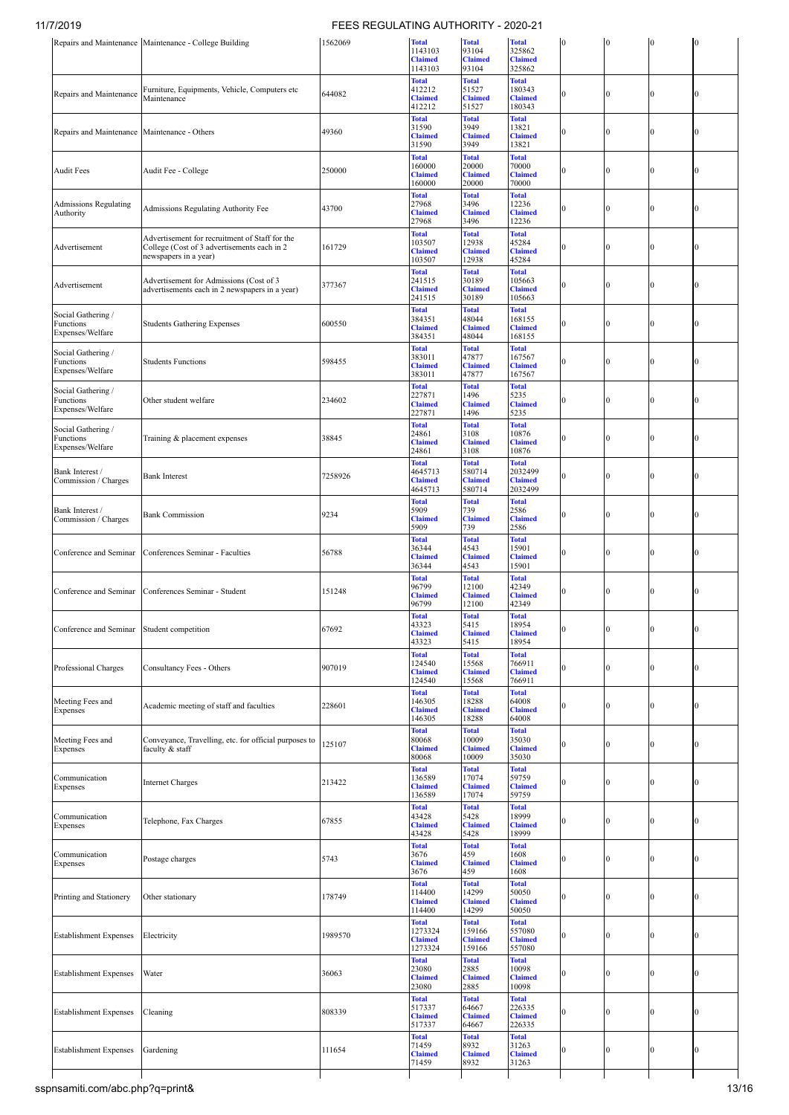|                                                | Repairs and Maintenance Maintenance - College Building                                        | 1562069 | <b>Total</b>              | <b>Total</b>             | <b>Total</b>              |              | $\mathbf{0}$ | $\bf{0}$         |                |
|------------------------------------------------|-----------------------------------------------------------------------------------------------|---------|---------------------------|--------------------------|---------------------------|--------------|--------------|------------------|----------------|
|                                                |                                                                                               |         | 1143103<br><b>Claimed</b> | 93104<br><b>Claimed</b>  | 325862<br><b>Claimed</b>  |              |              |                  |                |
|                                                |                                                                                               |         | 1143103                   | 93104                    | 325862                    |              |              |                  |                |
|                                                | Furniture, Equipments, Vehicle, Computers etc                                                 | 644082  | <b>Total</b><br>412212    | <b>Total</b><br>51527    | <b>Total</b><br>180343    | $\Omega$     |              | $\boldsymbol{0}$ | $\Omega$       |
| Repairs and Maintenance                        | Maintenance                                                                                   |         | <b>Claimed</b><br>412212  | <b>Claimed</b><br>51527  | <b>Claimed</b><br>180343  |              | $\mathbf{0}$ |                  |                |
|                                                |                                                                                               |         | <b>Total</b>              | <b>Total</b>             | <b>Total</b>              |              |              |                  |                |
| Repairs and Maintenance   Maintenance - Others |                                                                                               | 49360   | 31590<br><b>Claimed</b>   | 3949<br><b>Claimed</b>   | 13821<br><b>Claimed</b>   | 0            | $\Omega$     | $\theta$         |                |
|                                                |                                                                                               |         | 31590                     | 3949                     | 13821                     |              |              |                  |                |
|                                                |                                                                                               |         | <b>Total</b><br>160000    | <b>Total</b><br>20000    | <b>Total</b><br>70000     |              |              |                  |                |
| <b>Audit Fees</b>                              | Audit Fee - College                                                                           | 250000  | <b>Claimed</b>            | <b>Claimed</b>           | <b>Claimed</b>            | 0            | $\Omega$     | $\Omega$         | lo             |
|                                                |                                                                                               |         | 160000                    | 20000                    | 70000                     |              |              |                  |                |
| Admissions Regulating                          |                                                                                               | 43700   | <b>Total</b><br>27968     | <b>Total</b><br>3496     | <b>Total</b><br>12236     | 0            | $\Omega$     | $\overline{0}$   | $\Omega$       |
| Authority                                      | Admissions Regulating Authority Fee                                                           |         | <b>Claimed</b><br>27968   | <b>Claimed</b><br>3496   | <b>Claimed</b><br>12236   |              |              |                  |                |
|                                                |                                                                                               |         | <b>Total</b>              | <b>Total</b>             | <b>Total</b>              |              |              |                  |                |
| Advertisement                                  | Advertisement for recruitment of Staff for the<br>College (Cost of 3 advertisements each in 2 | 161729  | 103507<br><b>Claimed</b>  | 12938<br><b>Claimed</b>  | 45284<br><b>Claimed</b>   | $\Omega$     | $\Omega$     | $\theta$         | $\Omega$       |
|                                                | newspapers in a year)                                                                         |         | 103507                    | 12938                    | 45284                     |              |              |                  |                |
|                                                |                                                                                               |         | <b>Total</b>              | <b>Total</b>             | <b>Total</b>              |              |              |                  |                |
| Advertisement                                  | Advertisement for Admissions (Cost of 3<br>advertisements each in 2 newspapers in a year)     | 377367  | 241515<br><b>Claimed</b>  | 30189<br><b>Claimed</b>  | 105663<br><b>Claimed</b>  | 0            | $\theta$     | 0                | $\bf{0}$       |
|                                                |                                                                                               |         | 241515                    | 30189                    | 105663                    |              |              |                  |                |
| Social Gathering /                             |                                                                                               |         | <b>Total</b><br>384351    | <b>Total</b><br>48044    | <b>Total</b><br>168155    |              |              |                  |                |
| Functions<br>Expenses/Welfare                  | <b>Students Gathering Expenses</b>                                                            | 600550  | <b>Claimed</b>            | <b>Claimed</b>           | <b>Claimed</b>            | 0            | $\Omega$     | $\theta$         | lo             |
|                                                |                                                                                               |         | 384351<br><b>Total</b>    | 48044<br><b>Total</b>    | 168155<br><b>Total</b>    |              |              |                  |                |
| Social Gathering /<br>Functions                | <b>Students Functions</b>                                                                     | 598455  | 383011                    | 47877                    | 167567                    | $\Omega$     | $\Omega$     | $\boldsymbol{0}$ | $\Omega$       |
| Expenses/Welfare                               |                                                                                               |         | <b>Claimed</b><br>383011  | <b>Claimed</b><br>47877  | <b>Claimed</b><br>167567  |              |              |                  |                |
| Social Gathering /                             |                                                                                               |         | <b>Total</b>              | <b>Total</b>             | <b>Total</b>              |              |              |                  |                |
| Functions                                      | Other student welfare                                                                         | 234602  | 227871<br><b>Claimed</b>  | 1496<br><b>Claimed</b>   | 5235<br><b>Claimed</b>    | 0            | $\theta$     | $\Omega$         | $\Omega$       |
| Expenses/Welfare                               |                                                                                               |         | 227871                    | 1496                     | 5235                      |              |              |                  |                |
| Social Gathering /                             |                                                                                               |         | <b>Total</b><br>24861     | <b>Total</b><br>3108     | <b>Total</b><br>10876     |              |              |                  |                |
| Functions<br>Expenses/Welfare                  | Training & placement expenses                                                                 | 38845   | <b>Claimed</b>            | <b>Claimed</b>           | <b>Claimed</b>            | 0            | $\Omega$     | $\Omega$         |                |
|                                                |                                                                                               |         | 24861                     | 3108                     | 10876                     |              |              |                  |                |
| Bank Interest /                                |                                                                                               |         | <b>Total</b><br>4645713   | <b>Total</b><br>580714   | <b>Total</b><br>2032499   |              |              |                  |                |
| Commission / Charges                           | <b>Bank Interest</b>                                                                          | 7258926 | <b>Claimed</b><br>4645713 | <b>Claimed</b><br>580714 | <b>Claimed</b><br>2032499 | $\Omega$     | $\Omega$     | 0                | $\Omega$       |
|                                                |                                                                                               |         | <b>Total</b>              | <b>Total</b>             | <b>Total</b>              |              |              |                  |                |
| Bank Interest /                                | <b>Bank Commission</b>                                                                        | 9234    | 5909                      | 739                      | 2586                      | 0            | $\Omega$     | $\theta$         | $\Omega$       |
| Commission / Charges                           |                                                                                               |         | <b>Claimed</b><br>5909    | <b>Claimed</b><br>739    | <b>Claimed</b><br>2586    |              |              |                  |                |
|                                                |                                                                                               |         | <b>Total</b>              | <b>Total</b>             | <b>Total</b>              |              |              |                  |                |
| Conference and Seminar                         | Conferences Seminar - Faculties                                                               | 56788   | 36344<br><b>Claimed</b>   | 4543<br><b>Claimed</b>   | 15901<br><b>Claimed</b>   | 0            | $\Omega$     | $\overline{0}$   | $\Omega$       |
|                                                |                                                                                               |         | 36344                     | 4543                     | 15901                     |              |              |                  |                |
|                                                |                                                                                               |         | <b>Total</b><br>96799     | <b>Total</b><br>12100    | <b>Total</b><br>42349     |              |              |                  |                |
| Conference and Seminar                         | Conferences Seminar - Student                                                                 | 151248  | <b>Claimed</b>            | <b>Claimed</b>           | <b>Claimed</b>            | 0            | $\mathbf{0}$ | $\mathbf{0}$     | lo             |
|                                                |                                                                                               |         | 96799<br><b>Total</b>     | 12100<br><b>Total</b>    | 42349<br><b>Total</b>     |              |              |                  |                |
| Conference and Seminar                         | Student competition                                                                           | 67692   | 43323                     | 5415                     | 18954                     | $\bf{0}$     | $\bf{0}$     | $\boldsymbol{0}$ | $\overline{0}$ |
|                                                |                                                                                               |         | <b>Claimed</b><br>43323   | <b>Claimed</b><br>5415   | <b>Claimed</b><br>18954   |              |              |                  |                |
|                                                |                                                                                               |         | <b>Total</b>              | <b>Total</b>             | <b>Total</b>              |              |              |                  |                |
| Professional Charges                           | Consultancy Fees - Others                                                                     | 907019  | 124540<br><b>Claimed</b>  | 15568<br><b>Claimed</b>  | 766911<br><b>Claimed</b>  | $\mathbf{0}$ | $\mathbf{0}$ | $\boldsymbol{0}$ | $\Omega$       |
|                                                |                                                                                               |         | 124540                    | 15568                    | 766911                    |              |              |                  |                |
| Meeting Fees and                               |                                                                                               |         | <b>Total</b><br>146305    | <b>Total</b><br>18288    | <b>Total</b><br>64008     |              |              |                  |                |
| Expenses                                       | Academic meeting of staff and faculties                                                       | 228601  | <b>Claimed</b>            | <b>Claimed</b>           | <b>Claimed</b>            | 0            | $\mathbf{0}$ | $\boldsymbol{0}$ | $\bf{0}$       |
|                                                |                                                                                               |         | 146305                    | 18288                    | 64008<br><b>Total</b>     |              |              |                  |                |
| Meeting Fees and                               | Conveyance, Travelling, etc. for official purposes to                                         | 25107   | <b>Total</b><br>80068     | <b>Total</b><br>10009    | 35030                     | 0            | $\theta$     | $\boldsymbol{0}$ | $\Omega$       |
| Expenses                                       | faculty & staff                                                                               |         | <b>Claimed</b><br>80068   | <b>Claimed</b><br>10009  | <b>Claimed</b><br>35030   |              |              |                  |                |
|                                                |                                                                                               |         | <b>Total</b>              | <b>Total</b>             | <b>Total</b>              |              |              |                  |                |
| Communication<br>Expenses                      | <b>Internet Charges</b>                                                                       | 213422  | 136589<br><b>Claimed</b>  | 17074<br><b>Claimed</b>  | 59759<br><b>Claimed</b>   | $\Omega$     | $\Omega$     | $\boldsymbol{0}$ | $\Omega$       |
|                                                |                                                                                               |         | 136589                    | 17074                    | 59759                     |              |              |                  |                |
| Communication                                  |                                                                                               |         | <b>Total</b><br>43428     | <b>Total</b><br>5428     | <b>Total</b><br>18999     |              |              |                  |                |
| Expenses                                       | Telephone, Fax Charges                                                                        | 67855   | <b>Claimed</b>            | <b>Claimed</b>           | <b>Claimed</b>            | 0            | $\theta$     | $\mathbf{0}$     | $\mathbf{0}$   |
|                                                |                                                                                               |         | 43428<br><b>Total</b>     | 5428<br><b>Total</b>     | 18999<br><b>Total</b>     |              |              |                  |                |
| Communication                                  |                                                                                               | 5743    | 3676                      | 459                      | 1608                      |              |              | $\boldsymbol{0}$ | $\Omega$       |
| Expenses                                       | Postage charges                                                                               |         | <b>Claimed</b><br>3676    | <b>Claimed</b><br>459    | <b>Claimed</b><br>1608    | 0            | $\mathbf{0}$ |                  |                |
|                                                |                                                                                               |         | <b>Total</b>              | <b>Total</b>             | <b>Total</b>              |              |              |                  |                |
| Printing and Stationery                        | Other stationary                                                                              | 178749  | 114400                    | 14299                    | 50050                     | 0            | $\mathbf{0}$ | 0                | $\mathbf{0}$   |
|                                                |                                                                                               |         | <b>Claimed</b><br>114400  | <b>Claimed</b><br>14299  | <b>Claimed</b><br>50050   |              |              |                  |                |
|                                                |                                                                                               |         | <b>Total</b>              | <b>Total</b>             | <b>Total</b>              |              |              |                  |                |
| <b>Establishment Expenses</b>                  | Electricity                                                                                   | 1989570 | 1273324<br><b>Claimed</b> | 159166<br><b>Claimed</b> | 557080<br><b>Claimed</b>  | 0            | $\mathbf{0}$ | $\mathbf{0}$     | $\Omega$       |
|                                                |                                                                                               |         | 1273324                   | 159166                   | 557080                    |              |              |                  |                |
|                                                |                                                                                               |         | <b>Total</b><br>23080     | <b>Total</b><br>2885     | <b>Total</b><br>10098     |              |              |                  |                |
| <b>Establishment Expenses</b>                  | Water                                                                                         | 36063   | <b>Claimed</b><br>23080   | <b>Claimed</b><br>2885   | <b>Claimed</b><br>10098   | $\Omega$     | $\mathbf{0}$ | $\boldsymbol{0}$ | $\Omega$       |
|                                                |                                                                                               |         | <b>Total</b>              | <b>Total</b>             | <b>Total</b>              |              |              |                  |                |
| <b>Establishment Expenses</b>                  | Cleaning                                                                                      | 808339  | 517337                    | 64667                    | 226335                    | 0            | $\theta$     | $\boldsymbol{0}$ | $\bf{0}$       |
|                                                |                                                                                               |         | <b>Claimed</b><br>517337  | <b>Claimed</b><br>64667  | <b>Claimed</b><br>226335  |              |              |                  |                |
|                                                |                                                                                               |         | <b>Total</b>              | <b>Total</b>             | <b>Total</b>              |              |              |                  |                |
| <b>Establishment Expenses</b>                  | Gardening                                                                                     | 111654  | 71459<br><b>Claimed</b>   | 8932<br><b>Claimed</b>   | 31263<br><b>Claimed</b>   |              | $\theta$     | $\overline{0}$   | ıo             |
|                                                |                                                                                               |         | 71459                     | 8932                     | 31263                     |              |              |                  |                |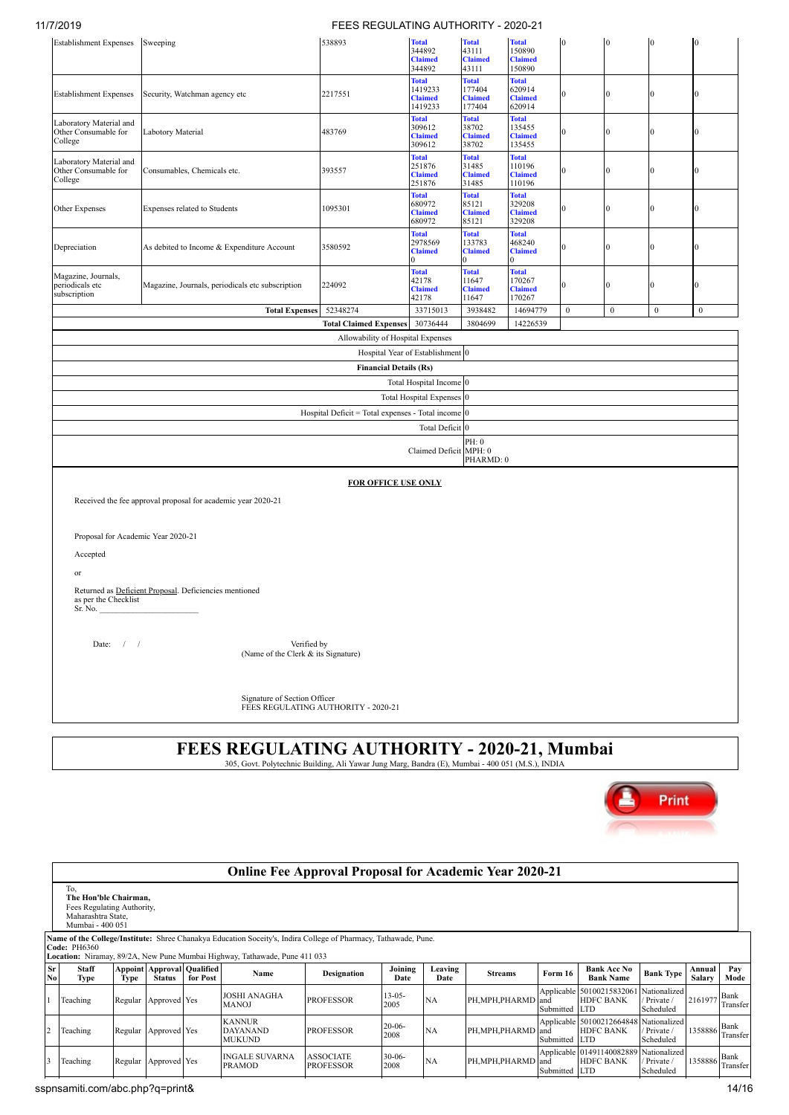| <b>Establishment Expenses</b>                              | Sweeping                                                     | 538893                                           | <b>Total</b><br>344892<br><b>Claimed</b><br>344892    | <b>Total</b><br>43111<br><b>Claimed</b><br>43111   | <b>Total</b><br>150890<br><b>Claimed</b><br>150890 | $\mathbf{0}$     | $\overline{0}$   | $\mathbf{0}$     | $\Omega$         |
|------------------------------------------------------------|--------------------------------------------------------------|--------------------------------------------------|-------------------------------------------------------|----------------------------------------------------|----------------------------------------------------|------------------|------------------|------------------|------------------|
| <b>Establishment Expenses</b>                              | Security, Watchman agency etc                                | 2217551                                          | <b>Total</b><br>1419233<br><b>Claimed</b><br>1419233  | <b>Total</b><br>177404<br><b>Claimed</b><br>177404 | <b>Total</b><br>620914<br><b>Claimed</b><br>620914 | $\Omega$         | $\Omega$         | $\mathbf{0}$     | $\Omega$         |
| Laboratory Material and<br>Other Consumable for<br>College | Labotory Material                                            | 483769                                           | <b>Total</b><br>309612<br><b>Claimed</b><br>309612    | <b>Total</b><br>38702<br><b>Claimed</b><br>38702   | <b>Total</b><br>135455<br><b>Claimed</b><br>135455 | 0                | $\mathbf{0}$     | $\mathbf{0}$     | $\theta$         |
| Laboratory Material and<br>Other Consumable for<br>College | Consumables, Chemicals etc.                                  | 393557                                           | <b>Total</b><br>251876<br><b>Claimed</b><br>251876    | <b>Total</b><br>31485<br><b>Claimed</b><br>31485   | <b>Total</b><br>110196<br><b>Claimed</b><br>110196 | $\Omega$         | $\mathbf{0}$     | $\boldsymbol{0}$ | $\boldsymbol{0}$ |
| Other Expenses                                             | Expenses related to Students                                 | 1095301                                          | <b>Total</b><br>680972<br><b>Claimed</b><br>680972    | <b>Total</b><br>85121<br><b>Claimed</b><br>85121   | <b>Total</b><br>329208<br><b>Claimed</b><br>329208 | $\theta$         | $\Omega$         | $\theta$         | $\theta$         |
| Depreciation                                               | As debited to Income & Expenditure Account                   | 3580592                                          | <b>Total</b><br>2978569<br><b>Claimed</b><br>$\Omega$ | <b>Total</b><br>133783<br><b>Claimed</b>           | <b>Total</b><br>468240<br><b>Claimed</b>           | $\mathbf{0}$     | $\mathbf{0}$     | $\mathbf{0}$     | $\mathbf{0}$     |
| Magazine, Journals,<br>periodicals etc<br>subscription     | Magazine, Journals, periodicals etc subscription             | 224092                                           | <b>Total</b><br>42178<br><b>Claimed</b><br>42178      | <b>Total</b><br>11647<br><b>Claimed</b><br>11647   | <b>Total</b><br>170267<br><b>Claimed</b><br>170267 | 0                | $\mathbf{0}$     | $\mathbf{0}$     | $\theta$         |
|                                                            | <b>Total Expenses</b>                                        | 52348274                                         | 33715013                                              | 3938482                                            | 14694779                                           | $\boldsymbol{0}$ | $\boldsymbol{0}$ | $\boldsymbol{0}$ | $\boldsymbol{0}$ |
|                                                            |                                                              | <b>Total Claimed Expenses</b>                    | 30736444                                              | 3804699                                            | 14226539                                           |                  |                  |                  |                  |
|                                                            |                                                              | Allowability of Hospital Expenses                |                                                       |                                                    |                                                    |                  |                  |                  |                  |
|                                                            |                                                              |                                                  | Hospital Year of Establishment 0                      |                                                    |                                                    |                  |                  |                  |                  |
|                                                            |                                                              | <b>Financial Details (Rs)</b>                    |                                                       |                                                    |                                                    |                  |                  |                  |                  |
|                                                            |                                                              |                                                  | Total Hospital Income <sup>0</sup>                    |                                                    |                                                    |                  |                  |                  |                  |
|                                                            |                                                              |                                                  | <b>Total Hospital Expenses</b>                        | $\Omega$                                           |                                                    |                  |                  |                  |                  |
|                                                            |                                                              | Hospital Deficit = Total expenses - Total income |                                                       | 10                                                 |                                                    |                  |                  |                  |                  |
|                                                            |                                                              |                                                  | Total Deficit 0                                       |                                                    |                                                    |                  |                  |                  |                  |
|                                                            |                                                              |                                                  | Claimed Deficit MPH: 0                                | PH: 0<br>PHARMD: 0                                 |                                                    |                  |                  |                  |                  |
|                                                            |                                                              | <b>FOR OFFICE USE ONLY</b>                       |                                                       |                                                    |                                                    |                  |                  |                  |                  |
|                                                            | Received the fee approval proposal for academic year 2020-21 |                                                  |                                                       |                                                    |                                                    |                  |                  |                  |                  |
| Proposal for Academic Year 2020-21                         |                                                              |                                                  |                                                       |                                                    |                                                    |                  |                  |                  |                  |
| Accepted                                                   |                                                              |                                                  |                                                       |                                                    |                                                    |                  |                  |                  |                  |
| or                                                         |                                                              |                                                  |                                                       |                                                    |                                                    |                  |                  |                  |                  |
| as per the Checklist<br>Sr. No.                            | Returned as Deficient Proposal. Deficiencies mentioned       |                                                  |                                                       |                                                    |                                                    |                  |                  |                  |                  |
| Date: $/$ /                                                | Verified by<br>(Name of the Clerk & its Signature)           |                                                  |                                                       |                                                    |                                                    |                  |                  |                  |                  |
|                                                            | Signature of Section Officer                                 | FEES REGULATING AUTHORITY - 2020-21              |                                                       |                                                    |                                                    |                  |                  |                  |                  |

# **FEES REGULATING AUTHORITY - 2020-21, Mumbai** 305, Govt. Polytechnic Building, Ali Yawar Jung Marg, Bandra (E), Mumbai - 400 051 (M.S.), INDIA



|                  | <b>Online Fee Approval Proposal for Academic Year 2020-21</b>                                        |                                                                                                                                                                                               |                                                    |          |                                                   |                                      |                     |                 |                     |                   |                                                                           |                        |                  |                  |
|------------------|------------------------------------------------------------------------------------------------------|-----------------------------------------------------------------------------------------------------------------------------------------------------------------------------------------------|----------------------------------------------------|----------|---------------------------------------------------|--------------------------------------|---------------------|-----------------|---------------------|-------------------|---------------------------------------------------------------------------|------------------------|------------------|------------------|
|                  | To.<br>The Hon'ble Chairman,<br>Fees Regulating Authority,<br>Maharashtra State.<br>Mumbai - 400 051 |                                                                                                                                                                                               |                                                    |          |                                                   |                                      |                     |                 |                     |                   |                                                                           |                        |                  |                  |
|                  | <b>Code: PH6360</b>                                                                                  | Name of the College/Institute: Shree Chanakya Education Soceity's, Indira College of Pharmacy, Tathawade, Pune.<br>Location: Niramay, 89/2A, New Pune Mumbai Highway, Tathawade, Pune 411 033 |                                                    |          |                                                   |                                      |                     |                 |                     |                   |                                                                           |                        |                  |                  |
| <b>Sr</b><br>No. | <b>Staff</b><br>Type                                                                                 | Type                                                                                                                                                                                          | <b>Appoint Approval Qualified</b><br><b>Status</b> | for Post | Name                                              | <b>Designation</b>                   | Joining<br>Date     | Leaving<br>Date | <b>Streams</b>      | Form 16           | <b>Bank Acc No</b><br><b>Bank Name</b>                                    | <b>Bank Type</b>       | Annual<br>Salary | Pay<br>Mode      |
|                  | Teaching                                                                                             |                                                                                                                                                                                               | Regular Approved Yes                               |          | <b>JOSHI ANAGHA</b><br><b>MANOJ</b>               | <b>PROFESSOR</b>                     | $13 - 05 -$<br>2005 | NA              | PH, MPH, PHARMD and | Submitted         | Applicable 50100215832061 Nationalized<br><b>HDFC BANK</b><br><b>LTD</b>  | Private /<br>Scheduled | 2161977          | Bank<br>Transfer |
|                  | Teaching                                                                                             |                                                                                                                                                                                               | Regular Approved Yes                               |          | <b>KANNUR</b><br><b>DAYANAND</b><br><b>MUKUND</b> | <b>PROFESSOR</b>                     | $20 - 06 -$<br>2008 | NA              | PH, MPH, PHARMD     | land<br>Submitted | Applicable 50100212664848 Nationalized<br><b>HDFC BANK</b><br><b>ILTD</b> | Private /<br>Scheduled | 1358886          | Bank<br>Transfer |
|                  | Teaching                                                                                             |                                                                                                                                                                                               | Regular Approved Yes                               |          | <b>INGALE SUVARNA</b><br><b>PRAMOD</b>            | <b>ASSOCIATE</b><br><b>PROFESSOR</b> | $30 - 06 -$<br>2008 | NA              | PH, MPH, PHARMD and | Submitted         | Applicable 01491140082889 Nationalized<br><b>HDFC BANK</b><br><b>ILTD</b> | Private /<br>Scheduled | 1358886          | Bank<br>Transfer |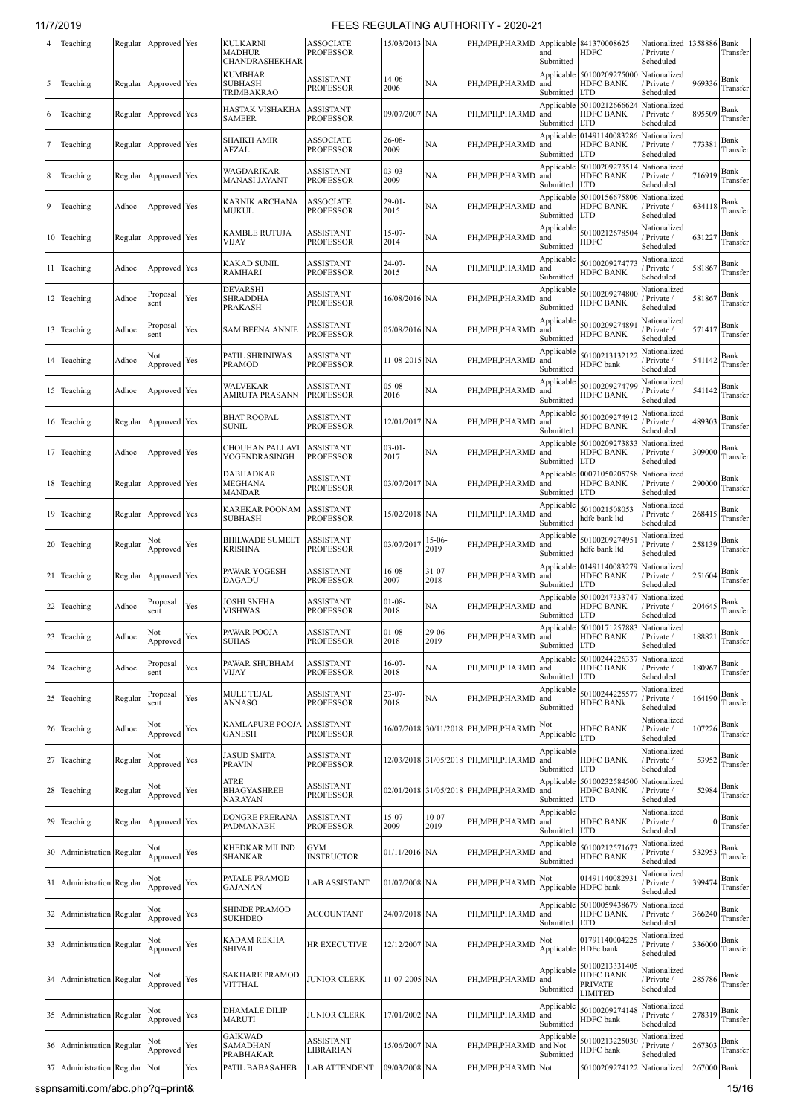| $\overline{4}$  | Teaching                      |         | Regular Approved Yes |     | <b>KULKARNI</b><br>MADHUR<br>CHANDRASHEKHAR         | <b>ASSOCIATE</b><br><b>PROFESSOR</b> | 15/03/2013 NA       |                     | PH, MPH, PHARMD Applicable 841370008625 | and<br>Submitted                   | HDFC                                                                     | Nationalized 1358886<br>Private /<br>Scheduled |        | Bank<br>Transfer |
|-----------------|-------------------------------|---------|----------------------|-----|-----------------------------------------------------|--------------------------------------|---------------------|---------------------|-----------------------------------------|------------------------------------|--------------------------------------------------------------------------|------------------------------------------------|--------|------------------|
| 5               | Teaching                      |         | Regular Approved Yes |     | KUMBHAR<br>SUBHASH<br>TRIMBAKRAO                    | <b>ASSISTANT</b><br>PROFESSOR        | $14-06-$<br>2006    | NA                  | PH, MPH, PHARMD                         | Applicable<br>and<br>Submitted     | 50100209275000<br><b>HDFC BANK</b><br><b>LTD</b>                         | Nationalized<br>Private /<br>Scheduled         | 969336 | Bank<br>Transfer |
| 6               | Teaching                      | Regular | Approved Yes         |     | HASTAK VISHAKHA<br>SAMEER                           | ASSISTANT<br><b>PROFESSOR</b>        | 09/07/2007          | NA                  | PH,MPH,PHARMD                           | Applicable<br>and<br>Submitted     | 50100212666624<br>HDFC BANK<br><b>LTD</b>                                | Nationalized<br>Private /<br>Scheduled         | 895509 | Bank<br>Transfer |
| 7               | Teaching                      | Regular | Approved Yes         |     | SHAIKH AMIR<br>AFZAL                                | ASSOCIATE<br>PROFESSOR               | 26-08-<br>2009      | NA                  | PH, MPH, PHARMD                         | Applicable<br>and<br>Submitted     | 01491140083286<br>HDFC BANK<br><b>LTD</b>                                | Nationalized<br>Private /<br>Scheduled         | 773381 | Bank<br>Transfer |
| 8               | Teaching                      |         | Regular Approved Yes |     | WAGDARIKAR<br>MANASI JAYANT                         | ASSISTANT<br><b>PROFESSOR</b>        | $03 - 03 -$<br>2009 | NA                  | PH,MPH,PHARMD                           | Applicable<br>and<br>Submitted     | 50100209273514<br><b>HDFC BANK</b><br><b>LTD</b>                         | Nationalized<br>Private /<br>Scheduled         | 716919 | Bank<br>Transfer |
| 9               | Teaching                      | Adhoc   | Approved Yes         |     | KARNIK ARCHANA<br>MUKUL                             | ASSOCIATE<br><b>PROFESSOR</b>        | $29 - 01 -$<br>2015 | NA                  | PH,MPH,PHARMD                           | Applicable<br>and<br>Submitted     | 50100156675806<br>HDFC BANK<br>LTD                                       | Nationalized<br>Private /<br>Scheduled         | 634118 | Bank<br>Transfer |
| 10              | Teaching                      | Regular | Approved Yes         |     | KAMBLE RUTUJA<br>VIJAY                              | ASSISTANT<br>PROFESSOR               | $15-07-$<br>2014    | NA                  | PH,MPH,PHARMD                           | Applicable<br>and<br>Submitted     | 50100212678504<br>HDFC                                                   | Nationalized<br>Private /<br>Scheduled         | 631227 | Bank<br>Transfer |
| $11-1$          | Teaching                      | Adhoc   | Approved Yes         |     | KAKAD SUNIL<br><b>RAMHARI</b>                       | ASSISTANT<br>PROFESSOR               | $24-07-$<br>2015    | NA                  | PH,MPH,PHARMD                           | Applicable<br>and<br>Submitted     | 50100209274773<br>HDFC BANK                                              | Nationalized<br>Private /<br>Scheduled         | 581867 | Bank<br>Transfer |
|                 | 12 Teaching                   | Adhoc   | Proposal<br>sent     | Yes | DEVARSHI<br>SHRADDHA<br><b>PRAKASH</b>              | ASSISTANT<br><b>PROFESSOR</b>        | 16/08/2016 NA       |                     | PH,MPH,PHARMD                           | Applicable<br>and<br>Submitted     | 5010020927480<br>HDFC BANK                                               | Nationalized<br>Private /<br>Scheduled         | 581867 | Bank<br>Transfer |
|                 | 13 Teaching                   | Adhoc   | Proposal<br>sent     | Yes | <b>SAM BEENA ANNIE</b>                              | ASSISTANT<br>PROFESSOR               | 05/08/2016 NA       |                     | PH, MPH, PHARMD                         | Applicable<br>and<br>Submitted     | 5010020927489<br>HDFC BANK                                               | Nationalized<br>Private /<br>Scheduled         | 571417 | Bank<br>Transfer |
|                 | 14 Teaching                   | Adhoc   | Not<br>Approved      | Yes | PATIL SHRINIWAS<br><b>PRAMOD</b>                    | ASSISTANT<br><b>PROFESSOR</b>        | 11-08-2015 NA       |                     | PH, MPH, PHARMD                         | Applicable<br>and<br>Submitted     | 50100213132122<br>HDFC bank                                              | Nationalized<br>Private /<br>Scheduled         | 541142 | Bank<br>Transfer |
|                 | 15 Teaching                   | Adhoc   | Approved Yes         |     | WALVEKAR<br>AMRUTA PRASANN                          | ASSISTANT<br><b>PROFESSOR</b>        | $05-08-$<br>2016    | NA                  | PH, MPH, PHARMD                         | Applicable<br>and<br>Submitted     | 5010020927479<br>HDFC BANK                                               | Nationalized<br>Private /<br>Scheduled         | 541142 | Bank<br>Transfer |
| 16              | Teaching                      | Regular | Approved Yes         |     | <b>BHAT ROOPAL</b><br><b>SUNIL</b>                  | ASSISTANT<br><b>PROFESSOR</b>        | 12/01/2017 NA       |                     | PH, MPH, PHARMD                         | Applicable<br>and<br>Submitted     | 5010020927491<br>HDFC BANK                                               | Nationalized<br>Private /<br>Scheduled         | 489303 | Bank<br>Transfer |
|                 | 17 Teaching                   | Adhoc   | Approved Yes         |     | CHOUHAN PALLAVI<br>YOGENDRASINGH                    | <b>ASSISTANT</b><br><b>PROFESSOR</b> | $03 - 01 -$<br>2017 | NA                  | PH,MPH,PHARMD                           | Applicable<br>and<br>Submitted     | 5010020927383<br><b>HDFC BANK</b><br>LTD                                 | Nationalized<br>Private /<br>Scheduled         | 309000 | Bank<br>Transfer |
|                 | 18 Teaching                   | Regular | Approved Yes         |     | <b>DABHADKAR</b><br>MEGHANA<br>MANDAR               | ASSISTANT<br>PROFESSOR               | 03/07/2017 NA       |                     | PH,MPH,PHARMD                           | Applicable<br>and<br>Submitted     | 0007105020575<br>HDFC BANK<br><b>LTD</b>                                 | Nationalized<br>Private /<br>Scheduled         | 290000 | Bank<br>Transfer |
|                 | 19 Teaching                   | Regular | Approved Yes         |     | KAREKAR POONAM<br>SUBHASH                           | ASSISTANT<br><b>PROFESSOR</b>        | 15/02/2018 NA       |                     | PH,MPH,PHARMD                           | Applicable<br>and<br>Submitted     | 5010021508053<br>hdfc bank ltd                                           | Nationalized<br>Private /<br>Scheduled         | 268415 | Bank<br>Transfer |
| 20              | Teaching                      | Regular | Not<br>Approved      | Yes | <b>BHILWADE SUMEET</b><br>KRISHNA                   | ASSISTANT<br><b>PROFESSOR</b>        | 03/07/2017          | $15-06-$<br>2019    | PH,MPH,PHARMD                           | Applicable<br>and<br>Submitted     | 5010020927495<br>hdfc bank ltd                                           | Nationalized<br>Private /<br>Scheduled         | 258139 | Bank<br>Transfer |
|                 | 21 Teaching                   | Regular | Approved Yes         |     | PAWAR YOGESH<br>DAGADU                              | ASSISTANT<br><b>PROFESSOR</b>        | $16-08-$<br>2007    | $31 - 07 -$<br>2018 | PH,MPH,PHARMD                           | Applicable<br>and<br>Submitted     | 0149114008327<br>HDFC BANK<br><b>LTD</b>                                 | Nationalized<br>Private /<br>Scheduled         | 251604 | Bank<br>Transfer |
|                 | 22 Teaching                   | Adhoc   | Proposal<br>sent     | Yes | JOSHI SNEHA<br>VISHWAS                              | ASSISTANT<br>PROFESSOR               | $01-08-$<br>2018    | NA                  | PH, MPH, PHARMD                         | Applicable<br>and<br>Submitted LTD | 50100247333747<br>HDFC BANK                                              | Nationalized<br>Private /<br>Scheduled         | 204645 | Bank<br>Transfer |
|                 | 23 Teaching                   | Adhoc   | Not<br>Approved      | Yes | PAWAR POOJA<br><b>SUHAS</b>                         | ASSISTANT<br><b>PROFESSOR</b>        | $01-08-$<br>2018    | $29-06-$<br>2019    | PH, MPH, PHARMD and                     | Submitted                          | Applicable 50100171257883 Nationalized<br><b>HDFC BANK</b><br><b>LTD</b> | Private /<br>Scheduled                         | 188821 | Bank<br>Transfer |
| 24              | Teaching                      | Adhoc   | Proposal<br>sent     | Yes | PAWAR SHUBHAM<br>VIJAY                              | <b>ASSISTANT</b><br><b>PROFESSOR</b> | $16-07-$<br>2018    | NA                  | PH, MPH, PHARMD                         | Applicable<br>and<br>Submitted     | 5010024422633<br><b>HDFC BANK</b><br>LTD                                 | Nationalized<br>Private /<br>Scheduled         | 180967 | Bank<br>Transfer |
| 25              | Teaching                      | Regular | Proposal<br>sent     | Yes | MULE TEJAL<br>ANNASO                                | ASSISTANT<br>PROFESSOR               | $23 - 07 -$<br>2018 | NA                  | PH.MPH.PHARMD                           | Applicable<br>and<br>Submitted     | 501002442255<br><b>HDFC BANk</b>                                         | Nationalized<br>Private /<br>Scheduled         | 164190 | Bank<br>Transfer |
|                 | 26 Teaching                   | Adhoc   | Not<br>Approved      | Yes | <b>KAMLAPURE POOJA</b><br>GANESH                    | <b>ASSISTANT</b><br><b>PROFESSOR</b> |                     |                     | 16/07/2018 30/11/2018 PH, MPH, PHARMD   | Not<br>Applicable                  | <b>HDFC BANK</b><br>LTD                                                  | Nationalized<br>Private /<br>Scheduled         | 107226 | Bank<br>Transfer |
|                 | 27 Teaching                   | Regular | Not<br>Approved      | Yes | <b>JASUD SMITA</b><br><b>PRAVIN</b>                 | ASSISTANT<br>PROFESSOR               |                     |                     | 12/03/2018 31/05/2018 PH, MPH, PHARMD   | Applicable<br>and<br>Submitted     | <b>HDFC BANK</b><br><b>LTD</b>                                           | Nationalized<br>Private /<br>Scheduled         | 53952  | Bank<br>Transfer |
| 28              | Teaching                      | Regular | Not<br>Approved      | Yes | <b>ATRE</b><br><b>BHAGYASHREE</b><br><b>NARAYAN</b> | <b>ASSISTANT</b><br><b>PROFESSOR</b> |                     |                     | 02/01/2018 31/05/2018 PH, MPH, PHARMD   | Applicable<br>and<br>Submitted     | 50100232584500<br><b>HDFC BANK</b><br><b>LTD</b>                         | Nationalized<br>Private /<br>Scheduled         | 52984  | Bank<br>Transfer |
|                 | 29 Teaching                   | Regular | Approved Yes         |     | DONGRE PRERANA<br>PADMANABH                         | <b>ASSISTANT</b><br><b>PROFESSOR</b> | $15-07-$<br>2009    | $10-07-$<br>2019    | PH,MPH,PHARMD                           | Applicable<br>and<br>Submitted     | <b>HDFC BANK</b><br><b>LTD</b>                                           | Nationalized<br>Private /<br>Scheduled         |        | Bank<br>Transfer |
| 30              | Administration Regular        |         | Not<br>Approved      | Yes | KHEDKAR MILIND<br><b>SHANKAR</b>                    | <b>GYM</b><br><b>INSTRUCTOR</b>      | 01/11/2016 NA       |                     | PH, MPH, PHARMD                         | Applicable<br>and<br>Submitted     | 5010021257167<br>HDFC BANK                                               | Nationalized<br>Private /<br>Scheduled         | 532953 | Bank<br>Transfer |
|                 | 31 Administration Regular     |         | Not<br>Approved      | Yes | PATALE PRAMOD<br><b>GAJANAN</b>                     | LAB ASSISTANT                        | 01/07/2008 NA       |                     | PH, MPH, PHARMD                         | Not                                | 0149114008293<br>Applicable HDFC bank                                    | Nationalized<br>Private /<br>Scheduled         | 399474 | Bank<br>Transfer |
| 32 <sup>2</sup> | Administration Regular        |         | Not<br>Approved      | Yes | SHINDE PRAMOD<br><b>SUKHDEO</b>                     | <b>ACCOUNTANT</b>                    | 24/07/2018 NA       |                     | PH, MPH, PHARMD                         | Applicable<br>and<br>Submitted     | 5010005943867<br>HDFC BANK<br><b>LTD</b>                                 | Nationalized<br>Private /<br>Scheduled         | 366240 | Bank<br>Transfer |
| 33              | <b>Administration</b> Regular |         | Not<br>Approved      | Yes | KADAM REKHA<br>SHIVAJI                              | HR EXECUTIVE                         | 12/12/2007 NA       |                     | PH,MPH,PHARMD                           | Not                                | 01791140004225<br>Applicable HDFc bank                                   | Nationalized<br>Private /<br>Scheduled         | 336000 | Bank<br>Transfer |
| 34              | Administration Regular        |         | Not<br>Approved      | Yes | <b>SAKHARE PRAMOD</b><br>VITTHAL                    | <b>JUNIOR CLERK</b>                  | 11-07-2005 NA       |                     | PH, MPH, PHARMD                         | Applicable<br>and<br>Submitted     | 50100213331405<br>HDFC BANK<br>PRIVATE<br>LIMITED                        | Nationalized<br>Private /<br>Scheduled         | 285786 | Bank<br>Transfer |
| 35              | Administration Regular        |         | Not<br>Approved      | Yes | <b>DHAMALE DILIP</b><br>MARUTI                      | <b>JUNIOR CLERK</b>                  | 17/01/2002 NA       |                     | PH,MPH,PHARMD                           | Applicable<br>and<br>Submitted     | 5010020927414<br>HDFC bank                                               | Nationalized<br>Private /<br>Scheduled         | 278319 | Bank<br>Transfer |
| 36              | Administration Regular        |         | Not<br>Approved      | Yes | <b>GAIKWAD</b><br>SAMADHAN<br>PRABHAKAR             | <b>ASSISTANT</b><br>LIBRARIAN        | 15/06/2007 NA       |                     | PH,MPH,PHARMD                           | Applicable<br>and Not<br>Submitted | 5010021322503<br>HDFC bank                                               | Nationalized<br>Private /<br>Scheduled         | 267303 | Bank<br>Transfer |
| 37              | Administration Regular        |         | Not                  | Yes | PATIL BABASAHEB                                     | LAB ATTENDENT                        | 09/03/2008          | NA                  | PH, MPH, PHARMD                         | Not                                | 50100209274122                                                           | Nationalized                                   | 267000 | Bank             |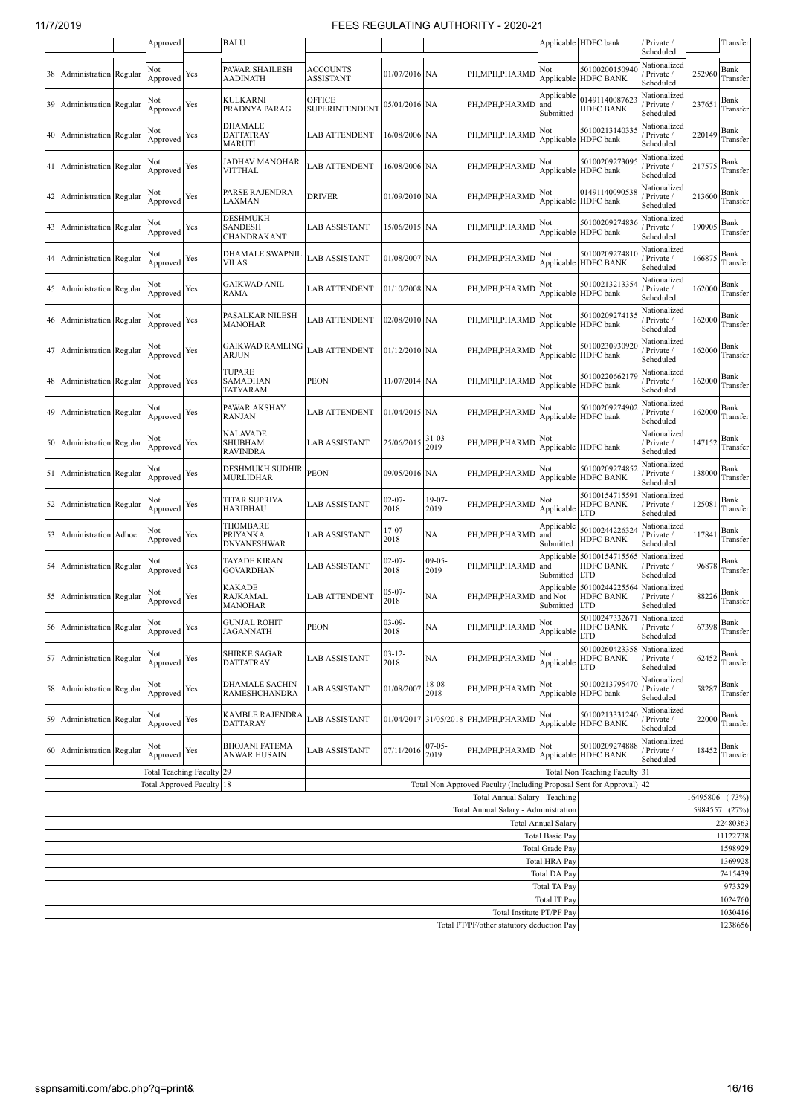|                           | Approved        |                                                               | <b>BALU</b>                                      |                                     |                     |                     |                                                                      |                                    | Applicable HDFC bank                      | Private /<br>Scheduled                 |          | Transfer           |
|---------------------------|-----------------|---------------------------------------------------------------|--------------------------------------------------|-------------------------------------|---------------------|---------------------|----------------------------------------------------------------------|------------------------------------|-------------------------------------------|----------------------------------------|----------|--------------------|
| 38 Administration Regular | Not<br>Approved | Yes                                                           | PAWAR SHAILESH<br>AADINATH                       | <b>ACCOUNTS</b><br><b>ASSISTANT</b> | 01/07/2016 NA       |                     | PH, MPH, PHARMD                                                      | Not                                | 50100200150940<br>Applicable HDFC BANK    | Nationalized<br>Private /<br>Scheduled | 252960   | Bank<br>Transfer   |
| 39 Administration Regular | Not<br>Approved | Yes                                                           | KULKARNI<br>PRADNYA PARAG                        | OFFICE<br><b>SUPERINTENDENT</b>     | 05/01/2016 NA       |                     | PH, MPH, PHARMD                                                      | Applicable<br>and<br>Submitted     | 01491140087623<br>HDFC BANK               | Nationalized<br>Private /<br>Scheduled | 237651   | Bank<br>Transfer   |
| 40 Administration Regular | Not<br>Approved | Yes                                                           | <b>DHAMALE</b><br><b>DATTATRAY</b><br>MARUTI     | <b>LAB ATTENDENT</b>                | 16/08/2006 NA       |                     | PH, MPH, PHARMD                                                      | √ot                                | 50100213140335<br>Applicable HDFC bank    | Nationalized<br>Private /<br>Scheduled | 220149   | Bank<br>Transfer   |
| 41 Administration Regular | Not<br>Approved | Yes                                                           | JADHAV MANOHAR<br>VITTHAL                        | <b>LAB ATTENDENT</b>                | 16/08/2006 NA       |                     | PH, MPH, PHARMD                                                      | Not                                | 50100209273095<br>Applicable HDFC bank    | Nationalized<br>Private /<br>Scheduled | 217575   | Bank<br>Transfer   |
| 42 Administration Regular | Not<br>Approved | Yes                                                           | PARSE RAJENDRA<br>LAXMAN                         | <b>DRIVER</b>                       | 01/09/2010 NA       |                     | PH, MPH, PHARMD                                                      | Not                                | 01491140090538<br>Applicable HDFC bank    | Nationalized<br>Private /<br>Scheduled | 213600   | Bank<br>Transfer   |
| 43 Administration Regular | Not<br>Approved | Yes                                                           | <b>DESHMUKH</b><br><b>SANDESH</b><br>CHANDRAKANT | <b>LAB ASSISTANT</b>                | 15/06/2015 NA       |                     | PH, MPH, PHARMD                                                      | √ot                                | 50100209274836<br>Applicable HDFC bank    | Nationalized<br>Private /<br>Scheduled | 190905   | Bank<br>Transfer   |
| 44 Administration Regular | Not<br>Approved | Yes                                                           | DHAMALE SWAPNIL<br>VILAS                         | <b>LAB ASSISTANT</b>                | 01/08/2007 NA       |                     | PH,MPH,PHARMD                                                        | Not                                | 5010020927481<br>Applicable HDFC BANK     | Nationalized<br>Private /<br>Scheduled | 166875   | Bank<br>Transfer   |
| 45 Administration Regular | Not<br>Approved | Yes                                                           | <b>GAIKWAD ANIL</b><br>RAMA                      | LAB ATTENDENT                       | 01/10/2008 NA       |                     | PH,MPH,PHARMD                                                        | Not                                | 5010021321335<br>Applicable HDFC bank     | Nationalized<br>Private /<br>Scheduled | 162000   | Bank<br>Transfer   |
| 46 Administration Regular | Not<br>Approved | Yes                                                           | PASALKAR NILESH<br>MANOHAR                       | <b>LAB ATTENDENT</b>                | 02/08/2010 NA       |                     | PH,MPH,PHARMD                                                        | Not                                | 5010020927413<br>Applicable HDFC bank     | Nationalized<br>Private /<br>Scheduled | 162000   | Bank<br>Transfer   |
| 47 Administration Regular | Not<br>Approved | Yes                                                           | GAIKWAD RAMLING<br>ARJUN                         | LAB ATTENDENT                       | 01/12/2010 NA       |                     | PH,MPH,PHARMD                                                        | √ot                                | 50100230930920<br>Applicable HDFC bank    | Nationalized<br>Private /<br>Scheduled | 162000   | Bank<br>Transfer   |
| 48 Administration Regular | Not<br>Approved | Yes                                                           | <b>TUPARE</b><br>SAMADHAN<br><b>TATYARAM</b>     | <b>PEON</b>                         | 11/07/2014 NA       |                     | PH,MPH,PHARMD                                                        | √ot                                | 50100220662179<br>Applicable HDFC bank    | Nationalized<br>Private /<br>Scheduled | 162000   | Bank<br>Transfer   |
| 49 Administration Regular | Not<br>Approved | Yes                                                           | PAWAR AKSHAY<br><b>RANJAN</b>                    | LAB ATTENDENT                       | 01/04/2015 NA       |                     | PH, MPH, PHARMD                                                      | √ot                                | 50100209274902<br>Applicable HDFC bank    | Nationalized<br>Private /<br>Scheduled | 162000   | Bank<br>Transfer   |
| 50 Administration Regular | Not<br>Approved | Yes                                                           | NALAVADE<br>SHUBHAM<br><b>RAVINDRA</b>           | <b>LAB ASSISTANT</b>                | 25/06/2015          | $31 - 03 -$<br>2019 | PH, MPH, PHARMD                                                      | Not                                | Applicable HDFC bank                      | Nationalized<br>Private /<br>Scheduled | 147152   | Bank<br>Transfer   |
| 51 Administration Regular | Not<br>Approved | Yes                                                           | DESHMUKH SUDHIR<br>MURLIDHAR                     | <b>PEON</b>                         | 09/05/2016 NA       |                     | PH, MPH, PHARMD                                                      | ٧ot<br>Applicable                  | 50100209274852<br><b>HDFC BANK</b>        | Nationalized<br>Private /<br>Scheduled | 138000   | Bank<br>Transfer   |
| 52 Administration Regular | Not<br>Approved | Yes                                                           | TITAR SUPRIYA<br>HARIBHAU                        | <b>LAB ASSISTANT</b>                | $02 - 07 -$<br>2018 | $19-07-$<br>2019    | PH, MPH, PHARMD                                                      | Not<br>Applicable                  | 5010015471559<br><b>HDFC BANK</b><br>LTD  | Nationalized<br>Private /<br>Scheduled | 125081   | Bank<br>Transfer   |
| 53 Administration Adhoc   | Not<br>Approved | Yes                                                           | THOMBARE<br><b>PRIYANKA</b><br>DNYANESHWAR       | <b>LAB ASSISTANT</b>                | $17-07-$<br>2018    | NA                  | PH,MPH,PHARMD                                                        | Applicable<br>and<br>Submitted     | 5010024422632<br>HDFC BANK                | Nationalized<br>Private /<br>Scheduled | 117841   | Bank<br>Transfer   |
| 54 Administration Regular | Not<br>Approved | Yes                                                           | TAYADE KIRAN<br><b>GOVARDHAN</b>                 | <b>LAB ASSISTANT</b>                | $02 - 07 -$<br>2018 | 09-05-<br>2019      | PH, MPH, PHARMD                                                      | Applicable<br>and<br>Submitted     | 50100154715565<br>HDFC BANK<br><b>LTD</b> | Nationalized<br>Private /<br>Scheduled | 96878    | Bank<br>Transfer   |
| 55 Administration Regular | Not<br>Approved | Yes                                                           | KAKADE<br>RAJKAMAL<br>MANOHAR                    | <b>LAB ATTENDENT</b>                | $05-07-$<br>2018    | NA                  | PH, MPH, PHARMD                                                      | Applicable<br>and Not<br>Submitted | 50100244225564<br>HDFC BANK<br><b>LTD</b> | Nationalized<br>Private /<br>Scheduled | 88226    | Bank<br>Transfer   |
| 56 Administration Regular | Not<br>Approved | Yes                                                           | <b>GUNJAL ROHIT</b><br><b>JAGANNATH</b>          | PEON                                | $03-09-$<br>2018    | NA                  | $\text{PH,MPH,PHARMD}$ Not                                           | Applicable LTD                     | 50100247332671 Nationalized<br>HDFC BANK  | Private /<br>Scheduled                 | 67398    | Bank<br>Transfer   |
| 57 Administration Regular | Not<br>Approved | Yes                                                           | <b>SHIRKE SAGAR</b><br><b>DATTATRAY</b>          | <b>LAB ASSISTANT</b>                | $03 - 12 -$<br>2018 | NA                  | PH, MPH, PHARMD                                                      | Not<br>Applicable                  | 50100260423358<br><b>HDFC BANK</b><br>LTD | Nationalized<br>Private /<br>Scheduled | 62452    | Bank<br>Transfer   |
| 58 Administration Regular | Not<br>Approved | Yes                                                           | DHAMALE SACHIN<br>RAMESHCHANDRA                  | <b>LAB ASSISTANT</b>                | 01/08/2007          | $18-08-$<br>2018    | PH, MPH, PHARMD                                                      | Not                                | 50100213795470<br>Applicable HDFC bank    | Nationalized<br>Private /<br>Scheduled | 58287    | Bank<br>Transfer   |
| 59 Administration Regular | Not<br>Approved | Yes                                                           | KAMBLE RAJENDRA<br><b>DATTARAY</b>               | <b>LAB ASSISTANT</b>                |                     |                     | 01/04/2017 31/05/2018 PH, MPH, PHARMD                                | Not                                | 50100213331240<br>Applicable HDFC BANK    | Nationalized<br>Private /<br>Scheduled | 22000    | Bank<br>Transfer   |
| 60 Administration Regular | Not<br>Approved | Yes                                                           | <b>BHOJANI FATEMA</b><br>ANWAR HUSAIN            | <b>LAB ASSISTANT</b>                | 07/11/2016          | $07 - 05 -$<br>2019 | PH, MPH, PHARMD                                                      | Not                                | 50100209274888<br>Applicable HDFC BANK    | Nationalized<br>Private /<br>Scheduled | 18452    | Bank<br>Transfer   |
|                           |                 | Total Teaching Faculty 29<br><b>Total Approved Faculty</b> 18 |                                                  |                                     |                     |                     | Total Non Approved Faculty (Including Proposal Sent for Approval) 42 |                                    | Total Non Teaching Faculty 31             |                                        |          |                    |
|                           |                 |                                                               |                                                  |                                     |                     |                     | Total Annual Salary - Teaching                                       |                                    |                                           |                                        | 16495806 | (73%)              |
|                           |                 |                                                               |                                                  |                                     |                     |                     | Total Annual Salary - Administration                                 |                                    |                                           |                                        |          | 5984557 (27%)      |
|                           |                 |                                                               |                                                  |                                     |                     |                     |                                                                      | <b>Total Annual Salary</b>         |                                           |                                        |          | 22480363           |
|                           |                 |                                                               |                                                  |                                     |                     |                     |                                                                      | <b>Total Basic Pay</b>             |                                           |                                        |          | 11122738           |
|                           |                 |                                                               |                                                  |                                     |                     |                     |                                                                      | Total Grade Pay<br>Total HRA Pay   |                                           |                                        |          | 1598929<br>1369928 |
|                           |                 |                                                               |                                                  |                                     |                     |                     |                                                                      | Total DA Pay                       |                                           |                                        |          | 7415439            |
|                           |                 |                                                               |                                                  |                                     |                     |                     |                                                                      | <b>Total TA Pay</b>                |                                           |                                        |          | 973329             |
|                           |                 |                                                               |                                                  |                                     |                     |                     |                                                                      | Total IT Pay                       |                                           |                                        |          | 1024760            |
|                           |                 |                                                               |                                                  |                                     |                     |                     | Total Institute PT/PF Pay                                            |                                    |                                           |                                        |          | 1030416            |
|                           |                 |                                                               |                                                  |                                     |                     |                     | Total PT/PF/other statutory deduction Pay                            |                                    |                                           |                                        |          | 1238656            |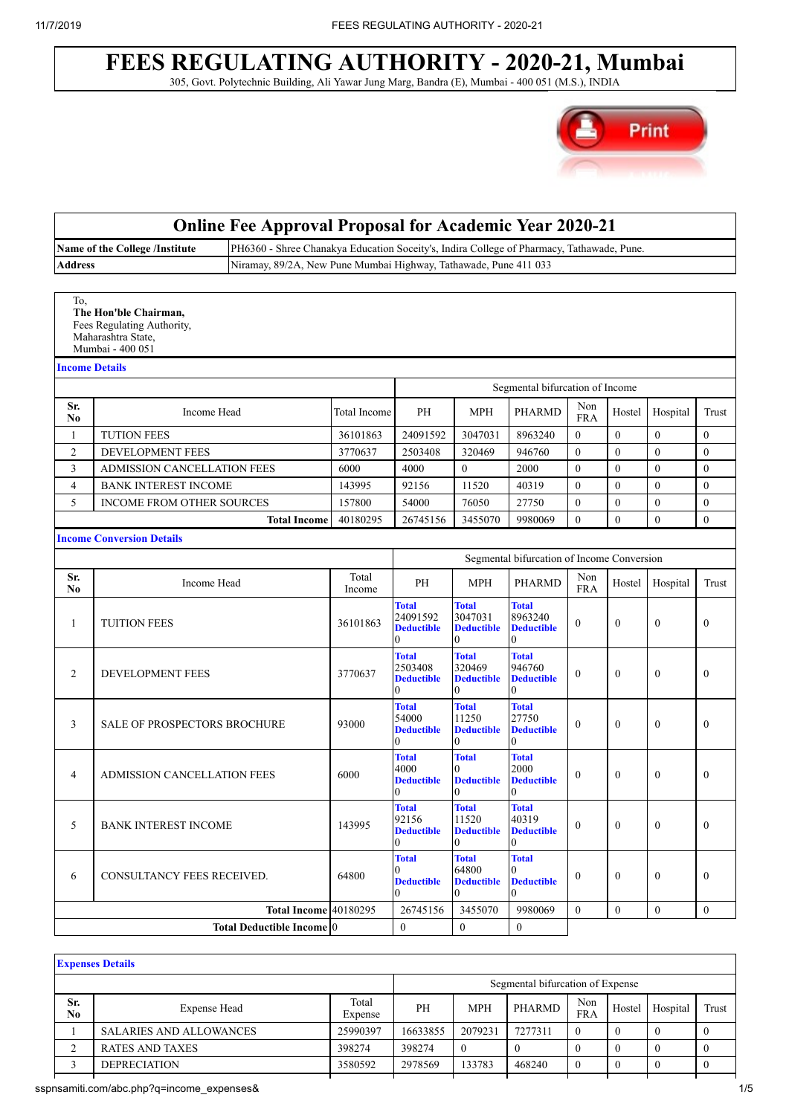Г

## **FEES REGULATING AUTHORITY - 2020-21, Mumbai** 305, Govt. Polytechnic Building, Ali Yawar Jung Marg, Bandra (E), Mumbai - 400 051 (M.S.), INDIA

Print

٦

|                       |                                                                                               | <b>Online Fee Approval Proposal for Academic Year 2020-21</b>                             |                 |                                                                |                                                               |                                                    |                   |                  |                  |                  |
|-----------------------|-----------------------------------------------------------------------------------------------|-------------------------------------------------------------------------------------------|-----------------|----------------------------------------------------------------|---------------------------------------------------------------|----------------------------------------------------|-------------------|------------------|------------------|------------------|
|                       | Name of the College /Institute                                                                | PH6360 - Shree Chanakya Education Soceity's, Indira College of Pharmacy, Tathawade, Pune. |                 |                                                                |                                                               |                                                    |                   |                  |                  |                  |
| <b>Address</b>        |                                                                                               | Niramay, 89/2A, New Pune Mumbai Highway, Tathawade, Pune 411 033                          |                 |                                                                |                                                               |                                                    |                   |                  |                  |                  |
|                       |                                                                                               |                                                                                           |                 |                                                                |                                                               |                                                    |                   |                  |                  |                  |
| To,                   | The Hon'ble Chairman,<br>Fees Regulating Authority,<br>Maharashtra State,<br>Mumbai - 400 051 |                                                                                           |                 |                                                                |                                                               |                                                    |                   |                  |                  |                  |
| <b>Income Details</b> |                                                                                               |                                                                                           |                 |                                                                |                                                               |                                                    |                   |                  |                  |                  |
|                       |                                                                                               |                                                                                           |                 |                                                                |                                                               | Segmental bifurcation of Income                    |                   |                  |                  |                  |
| Sr.<br>No             | Income Head                                                                                   |                                                                                           | Total Income    | PH                                                             | <b>MPH</b>                                                    | <b>PHARMD</b>                                      | Non<br><b>FRA</b> | Hostel           | Hospital         | Trust            |
| $\mathbf{1}$          | <b>TUTION FEES</b>                                                                            |                                                                                           | 36101863        | 24091592                                                       | 3047031                                                       | 8963240                                            | $\theta$          | $\theta$         | $\mathbf{0}$     | $\theta$         |
| $\overline{2}$        | <b>DEVELOPMENT FEES</b>                                                                       |                                                                                           | 3770637         | 2503408                                                        | 320469                                                        | 946760                                             | $\theta$          | $\theta$         | $\mathbf{0}$     | $\mathbf{0}$     |
| 3                     | ADMISSION CANCELLATION FEES                                                                   |                                                                                           | 6000            | 4000                                                           | $\theta$                                                      | 2000                                               | $\theta$          | $\Omega$         | $\mathbf{0}$     | $\mathbf{0}$     |
| $\overline{4}$        | <b>BANK INTEREST INCOME</b>                                                                   |                                                                                           | 143995          | 92156                                                          | 11520                                                         | 40319                                              | $\mathbf{0}$      | $\Omega$         | $\mathbf{0}$     | $\mathbf{0}$     |
| 5                     | INCOME FROM OTHER SOURCES                                                                     |                                                                                           | 157800          | 54000                                                          | 76050                                                         | 27750                                              | $\theta$          | $\theta$         | $\mathbf{0}$     | $\overline{0}$   |
|                       |                                                                                               | <b>Total Income</b>                                                                       | 40180295        | 26745156                                                       | 3455070                                                       | 9980069                                            | $\theta$          | $\mathbf{0}$     | $\mathbf{0}$     | $\boldsymbol{0}$ |
|                       | <b>Income Conversion Details</b>                                                              |                                                                                           |                 |                                                                |                                                               |                                                    |                   |                  |                  |                  |
|                       |                                                                                               |                                                                                           |                 |                                                                |                                                               | Segmental bifurcation of Income Conversion         |                   |                  |                  |                  |
| Sr.<br>No             | Income Head                                                                                   |                                                                                           | Total<br>Income | PH                                                             | <b>MPH</b>                                                    | <b>PHARMD</b>                                      | Non<br><b>FRA</b> | Hostel           | Hospital         | Trust            |
| $\mathbf{1}$          | <b>TUITION FEES</b>                                                                           |                                                                                           | 36101863        | <b>Total</b><br>24091592<br><b>Deductible</b><br>0             | <b>Total</b><br>3047031<br><b>Deductible</b><br>$\Omega$      | <b>Total</b><br>8963240<br><b>Deductible</b><br>0  | $\mathbf{0}$      | $\mathbf{0}$     | $\boldsymbol{0}$ | $\mathbf{0}$     |
| 2                     | <b>DEVELOPMENT FEES</b>                                                                       |                                                                                           | 3770637         | <b>Total</b><br>2503408<br><b>Deductible</b><br>$\theta$       | <b>Total</b><br>320469<br><b>Deductible</b><br>$\theta$       | <b>Total</b><br>946760<br><b>Deductible</b><br>0   | $\theta$          | $\theta$         | $\theta$         | $\theta$         |
| 3                     | <b>SALE OF PROSPECTORS BROCHURE</b>                                                           |                                                                                           | 93000           | <b>Total</b><br>54000<br><b>Deductible</b><br>$\boldsymbol{0}$ | <b>Total</b><br>11250<br><b>Deductible</b><br>$\theta$        | <b>Total</b><br>27750<br><b>Deductible</b><br>0    | $\mathbf{0}$      | $\mathbf{0}$     | $\boldsymbol{0}$ | $\mathbf{0}$     |
| 4                     | <b>ADMISSION CANCELLATION FEES</b>                                                            |                                                                                           | 6000            | <b>Total</b><br>4000<br><b>Deductible</b><br>$\boldsymbol{0}$  | <b>Total</b><br>$\theta$<br><b>Deductible</b><br>$\mathbf{0}$ | <b>Total</b><br>2000<br><b>Deductible</b><br>0     | $\mathbf{0}$      | $\mathbf{0}$     | $\boldsymbol{0}$ | $\mathbf{0}$     |
| 5                     | <b>BANK INTEREST INCOME</b>                                                                   |                                                                                           | 143995          | <b>Total</b><br>92156<br><b>Deductible</b><br>$\Omega$         | <b>Total</b><br>11520<br><b>Deductible</b><br>0               | <b>Total</b><br>40319<br><b>Deductible</b><br>0    | $\mathbf{0}$      | $\boldsymbol{0}$ | $\boldsymbol{0}$ | $\mathbf{0}$     |
| 6                     | CONSULTANCY FEES RECEIVED.                                                                    |                                                                                           | 64800           | <b>Total</b><br>0<br><b>Deductible</b><br>0                    | <b>Total</b><br>64800<br><b>Deductible</b><br>0               | <b>Total</b><br>$\theta$<br><b>Deductible</b><br>0 | $\boldsymbol{0}$  | $\boldsymbol{0}$ | $\boldsymbol{0}$ | $\mathbf{0}$     |
|                       |                                                                                               | <b>Total Income 40180295</b>                                                              |                 | 26745156                                                       | 3455070                                                       | 9980069                                            | $\mathbf{0}$      | $\boldsymbol{0}$ | $\boldsymbol{0}$ | $\boldsymbol{0}$ |
|                       |                                                                                               | Total Deductible Income <sup>0</sup>                                                      |                 | $\boldsymbol{0}$                                               | $\bf{0}$                                                      | $\boldsymbol{0}$                                   |                   |                  |                  |                  |

|           |                                |                  |          |            | Segmental bifurcation of Expense |                   |        |          |       |
|-----------|--------------------------------|------------------|----------|------------|----------------------------------|-------------------|--------|----------|-------|
| Sr.<br>No | <b>Expense Head</b>            | Total<br>Expense | PH       | <b>MPH</b> | PHARMD                           | Non<br><b>FRA</b> | Hostel | Hospital | Trust |
|           | <b>SALARIES AND ALLOWANCES</b> | 25990397         | 16633855 | 2079231    | 7277311                          | $\overline{0}$    |        |          |       |
|           | <b>RATES AND TAXES</b>         | 398274           | 398274   | - 0        |                                  |                   |        |          |       |
|           | <b>DEPRECIATION</b>            | 3580592          | 2978569  | 133783     | 468240                           | $\overline{0}$    |        |          |       |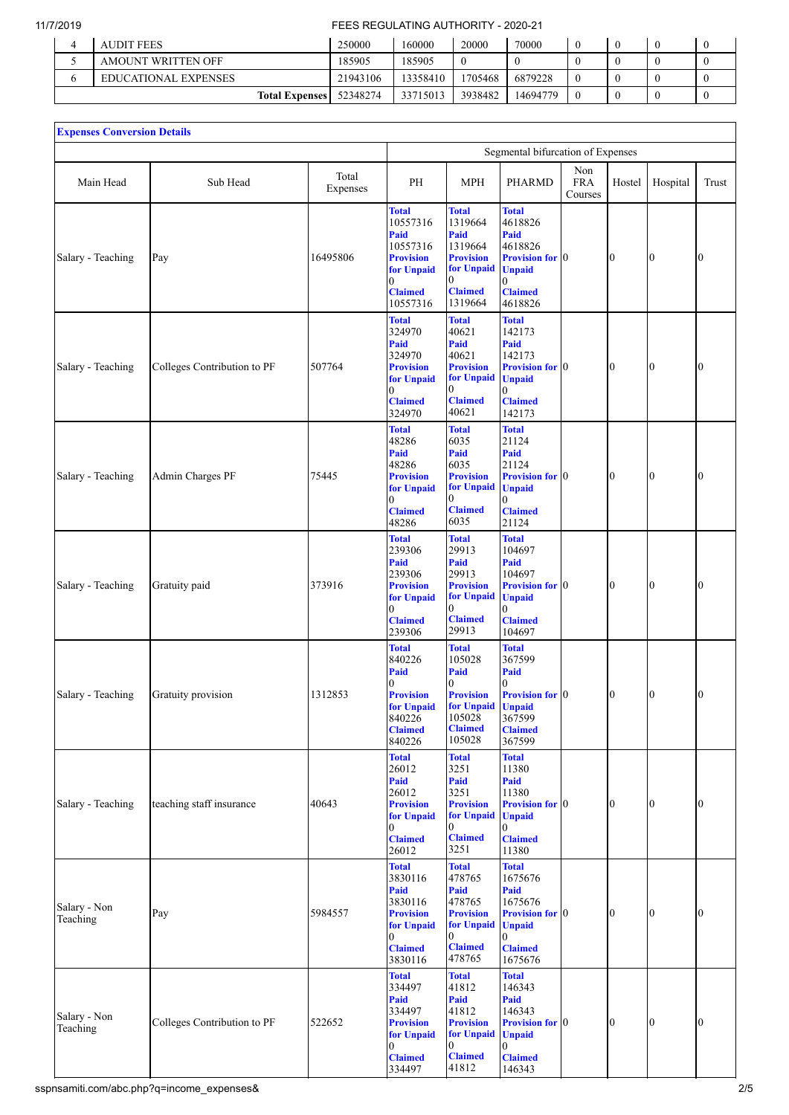| <b>AUDIT FEES</b>           | 250000   | 160000   | 20000   | 70000    |  |  |
|-----------------------------|----------|----------|---------|----------|--|--|
| AMOUNT WRITTEN OFF          | 185905   | 185905   |         |          |  |  |
| <b>EDUCATIONAL EXPENSES</b> | 21943106 | 3358410  | 1705468 | 6879228  |  |  |
| <b>Total Expenses</b>       | 52348274 | 33715013 | 3938482 | 14694779 |  |  |

| <b>Expenses Conversion Details</b> |                             |                   |                                                                                                                   |                                                                                                                       |                                                                                                                                 |                              |                |                  |                  |
|------------------------------------|-----------------------------|-------------------|-------------------------------------------------------------------------------------------------------------------|-----------------------------------------------------------------------------------------------------------------------|---------------------------------------------------------------------------------------------------------------------------------|------------------------------|----------------|------------------|------------------|
|                                    |                             |                   |                                                                                                                   |                                                                                                                       | Segmental bifurcation of Expenses                                                                                               |                              |                |                  |                  |
| Main Head                          | Sub Head                    | Total<br>Expenses | PH                                                                                                                | MPH                                                                                                                   | <b>PHARMD</b>                                                                                                                   | Non<br><b>FRA</b><br>Courses | Hostel         | Hospital         | Trust            |
| Salary - Teaching                  | Pay                         | 16495806          | <b>Total</b><br>10557316<br>Paid<br>10557316<br><b>Provision</b><br>for Unpaid<br>0<br><b>Claimed</b><br>10557316 | <b>Total</b><br>1319664<br>Paid<br>1319664<br><b>Provision</b><br>for Unpaid<br>0<br><b>Claimed</b><br>1319664        | <b>Total</b><br>4618826<br>Paid<br>4618826<br><b>Provision for 0</b><br><b>Unpaid</b><br>$\theta$<br><b>Claimed</b><br>4618826  |                              | $\overline{0}$ | $\overline{0}$   | 0                |
| Salary - Teaching                  | Colleges Contribution to PF | 507764            | <b>Total</b><br>324970<br>Paid<br>324970<br><b>Provision</b><br>for Unpaid<br>0<br><b>Claimed</b><br>324970       | <b>Total</b><br>40621<br>Paid<br>40621<br><b>Provision</b><br>for Unpaid<br>0<br><b>Claimed</b><br>40621              | <b>Total</b><br>142173<br>Paid<br>142173<br><b>Provision for 0</b><br><b>Unpaid</b><br>$\theta$<br><b>Claimed</b><br>142173     |                              | $\mathbf{0}$   | 0                | 0                |
| Salary - Teaching                  | Admin Charges PF            | 75445             | <b>Total</b><br>48286<br>Paid<br>48286<br><b>Provision</b><br>for Unpaid<br>0<br><b>Claimed</b><br>48286          | <b>Total</b><br>6035<br>Paid<br>6035<br><b>Provision</b><br>for Unpaid<br>0<br><b>Claimed</b><br>6035                 | <b>Total</b><br>21124<br>Paid<br>21124<br><b>Provision for 0</b><br><b>Unpaid</b><br>0<br><b>Claimed</b><br>21124               |                              | $\overline{0}$ | $\boldsymbol{0}$ | 0                |
| Salary - Teaching                  | Gratuity paid               | 373916            | <b>Total</b><br>239306<br>Paid<br>239306<br><b>Provision</b><br>for Unpaid<br>0<br><b>Claimed</b><br>239306       | <b>Total</b><br>29913<br>Paid<br>29913<br><b>Provision</b><br>for Unpaid<br>$\overline{0}$<br><b>Claimed</b><br>29913 | <b>Total</b><br>104697<br>Paid<br>104697<br><b>Provision for 0</b><br><b>Unpaid</b><br>0<br><b>Claimed</b><br>104697            |                              | $\overline{0}$ | 0                | 0                |
| Salary - Teaching                  | Gratuity provision          | 1312853           | <b>Total</b><br>840226<br>Paid<br>0<br><b>Provision</b><br>for Unpaid<br>840226<br><b>Claimed</b><br>840226       | <b>Total</b><br>105028<br>Paid<br>0<br><b>Provision</b><br>for Unpaid Unpaid<br>105028<br><b>Claimed</b><br>105028    | <b>Total</b><br>367599<br>Paid<br>0<br><b>Provision for</b> 0<br>367599<br><b>Claimed</b><br>367599                             |                              | $\overline{0}$ | $\boldsymbol{0}$ | 0                |
| Salary - Teaching                  | teaching staff insurance    | 40643             | <b>Total</b><br>26012<br>Paid<br>26012<br><b>Provision</b><br>for Unpaid<br><b>Claimed</b><br>26012               | <b>Total</b><br>3251<br>Paid<br>3251<br><b>Provision</b><br>for Unpaid<br>0<br><b>Claimed</b><br>3251                 | <b>Total</b><br>11380<br>Paid<br>11380<br><b>Provision for 0</b><br><b>Unpaid</b><br>0<br><b>Claimed</b><br>11380               |                              | $\mathbf{0}$   | $\bf{0}$         | 0                |
| Salary - Non<br>Teaching           | Pay                         | 5984557           | <b>Total</b><br>3830116<br>Paid<br>3830116<br><b>Provision</b><br>for Unpaid<br><b>Claimed</b>                    | <b>Total</b><br>478765<br>Paid<br>478765<br><b>Provision</b><br>for Unpaid<br>0<br><b>Claimed</b><br>478765           | <b>Total</b><br>1675676<br>Paid<br>1675676<br><b>Provision for 0</b><br><b>Unpaid</b><br>0<br><b>Claimed</b>                    |                              | $\mathbf{0}$   | $\bf{0}$         | $\boldsymbol{0}$ |
| Salary - Non<br>Teaching           | Colleges Contribution to PF | 522652            | 3830116<br><b>Total</b><br>334497<br>Paid<br>334497<br><b>Provision</b><br>for Unpaid<br><b>Claimed</b><br>334497 | <b>Total</b><br>41812<br>Paid<br>41812<br><b>Provision</b><br>for Unpaid<br>$\overline{0}$<br><b>Claimed</b><br>41812 | 1675676<br><b>Total</b><br>146343<br>Paid<br>146343<br><b>Provision for 0</b><br><b>Unpaid</b><br>0<br><b>Claimed</b><br>146343 |                              | $\overline{0}$ | $\bf{0}$         | 0                |

sspnsamiti.com/abc.php?q=income\_expenses& 2/5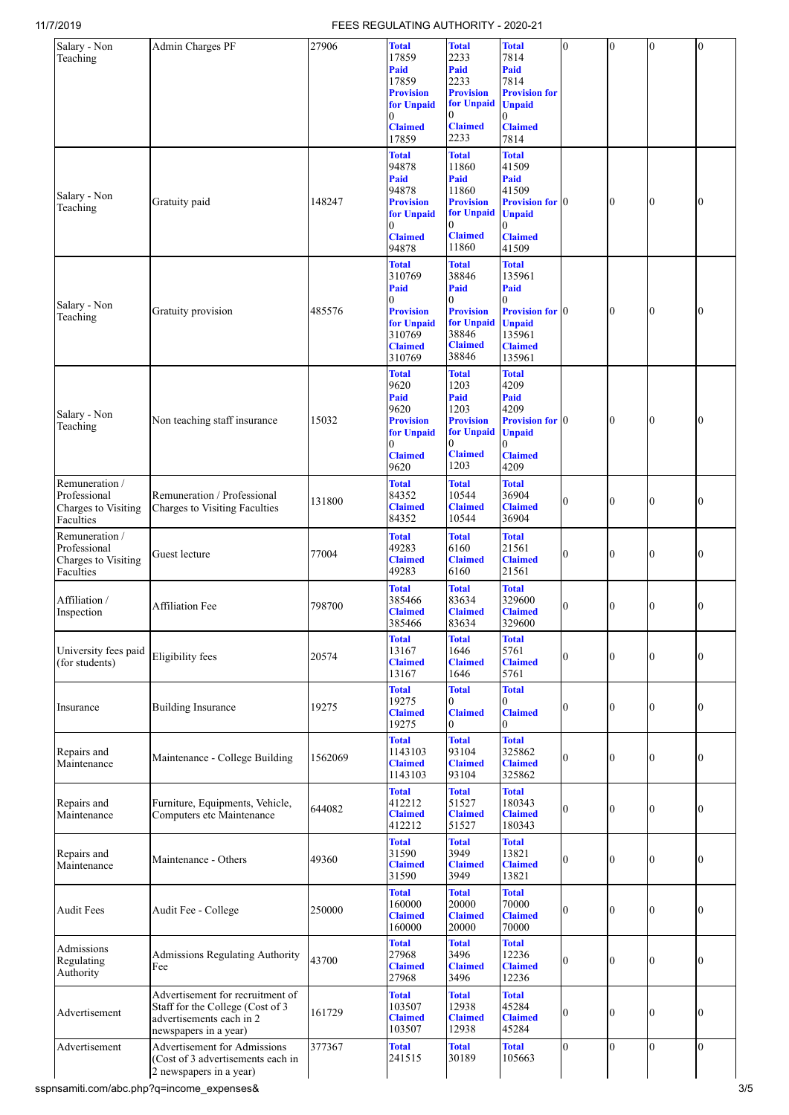| Salary - Non                           | Admin Charges PF                                             | 27906   | <b>Total</b>                   | <b>Total</b>                     | <b>Total</b>                            | 0              | $\theta$       | $\boldsymbol{0}$ | 0                |
|----------------------------------------|--------------------------------------------------------------|---------|--------------------------------|----------------------------------|-----------------------------------------|----------------|----------------|------------------|------------------|
| Teaching                               |                                                              |         | 17859                          | 2233                             | 7814                                    |                |                |                  |                  |
|                                        |                                                              |         | Paid<br>17859                  | Paid<br>2233                     | Paid<br>7814                            |                |                |                  |                  |
|                                        |                                                              |         | <b>Provision</b>               | <b>Provision</b>                 | <b>Provision for</b>                    |                |                |                  |                  |
|                                        |                                                              |         | for Unpaid                     | for Unpaid<br>$\mathbf{0}$       | <b>Unpaid</b>                           |                |                |                  |                  |
|                                        |                                                              |         | 0<br><b>Claimed</b><br>17859   | <b>Claimed</b><br>2233           | 0<br><b>Claimed</b><br>7814             |                |                |                  |                  |
|                                        |                                                              |         | <b>Total</b>                   | <b>Total</b>                     | <b>Total</b>                            |                |                |                  |                  |
|                                        |                                                              |         | 94878                          | 11860                            | 41509                                   |                |                |                  |                  |
|                                        |                                                              |         | Paid<br>94878                  | Paid<br>11860                    | Paid<br>41509                           |                |                |                  |                  |
| Salary - Non<br>Teaching               | Gratuity paid                                                | 148247  | <b>Provision</b>               | <b>Provision</b>                 | <b>Provision for 0</b>                  |                | $\Omega$       | $\bf{0}$         | $\overline{0}$   |
|                                        |                                                              |         | for Unpaid<br>0                | for Unpaid<br>$\theta$           | <b>Unpaid</b>                           |                |                |                  |                  |
|                                        |                                                              |         | <b>Claimed</b>                 | <b>Claimed</b>                   | $\mathbf{0}$<br><b>Claimed</b>          |                |                |                  |                  |
|                                        |                                                              |         | 94878                          | 11860                            | 41509                                   |                |                |                  |                  |
|                                        |                                                              |         | <b>Total</b><br>310769         | <b>Total</b><br>38846            | <b>Total</b><br>135961                  |                |                |                  |                  |
|                                        |                                                              |         | Paid                           | Paid                             | Paid                                    |                |                |                  |                  |
| Salary - Non                           |                                                              |         | 0                              | $\theta$                         |                                         |                |                |                  |                  |
| Teaching                               | Gratuity provision                                           | 485576  | <b>Provision</b><br>for Unpaid | <b>Provision</b><br>for Unpaid   | <b>Provision for 0</b><br><b>Unpaid</b> |                | $\overline{0}$ | $\bf{0}$         | $\overline{0}$   |
|                                        |                                                              |         | 310769                         | 38846                            | 135961                                  |                |                |                  |                  |
|                                        |                                                              |         | <b>Claimed</b><br>310769       | <b>Claimed</b><br>38846          | <b>Claimed</b><br>135961                |                |                |                  |                  |
|                                        |                                                              |         | <b>Total</b>                   | <b>Total</b>                     | <b>Total</b>                            |                |                |                  |                  |
|                                        |                                                              |         | 9620                           | 1203                             | 4209                                    |                |                |                  |                  |
|                                        |                                                              |         | Paid<br>9620                   | Paid<br>1203                     | Paid<br>4209                            |                |                |                  |                  |
| Salary - Non<br>Teaching               | Non teaching staff insurance                                 | 15032   | <b>Provision</b>               | <b>Provision</b>                 | <b>Provision for</b> 0                  |                | $\Omega$       | $\bf{0}$         | $\Omega$         |
|                                        |                                                              |         | for Unpaid<br>0                | for Unpaid<br>$\theta$           | <b>Unpaid</b><br>0                      |                |                |                  |                  |
|                                        |                                                              |         | <b>Claimed</b>                 | <b>Claimed</b>                   | <b>Claimed</b>                          |                |                |                  |                  |
|                                        |                                                              |         | 9620                           | 1203                             | 4209                                    |                |                |                  |                  |
| Remuneration /<br>Professional         | Remuneration / Professional                                  |         | <b>Total</b><br>84352          | <b>Total</b><br>10544            | <b>Total</b><br>36904                   |                |                |                  |                  |
| Charges to Visiting                    | Charges to Visiting Faculties                                | 131800  | <b>Claimed</b>                 | <b>Claimed</b>                   | <b>Claimed</b>                          | 0              | 0              | $\boldsymbol{0}$ | $\boldsymbol{0}$ |
| Faculties                              |                                                              |         | 84352                          | 10544                            | 36904                                   |                |                |                  |                  |
| Remuneration /                         |                                                              |         | <b>Total</b>                   | <b>Total</b>                     | <b>Total</b>                            |                |                |                  |                  |
| Professional<br>Charges to Visiting    | Guest lecture                                                | 77004   | 49283<br><b>Claimed</b>        | 6160<br><b>Claimed</b>           | 21561<br><b>Claimed</b>                 | 0              | $\theta$       | $\bf{0}$         | $\boldsymbol{0}$ |
| Faculties                              |                                                              |         | 49283                          | 6160                             | 21561                                   |                |                |                  |                  |
|                                        |                                                              |         | <b>Total</b>                   | <b>Total</b>                     | <b>Total</b>                            |                |                |                  |                  |
| Affiliation /<br>Inspection            | Affiliation Fee                                              | 798700  | 385466<br><b>Claimed</b>       | 83634<br><b>Claimed</b>          | 329600<br><b>Claimed</b>                | 0              | $\mathbf{0}$   | $\boldsymbol{0}$ | 0                |
|                                        |                                                              |         | 385466                         | 83634                            | 329600                                  |                |                |                  |                  |
|                                        |                                                              |         | <b>Total</b>                   | <b>Total</b><br>1646             | <b>Total</b><br>5761                    |                |                |                  |                  |
| University fees paid<br>(for students) | Eligibility fees                                             | 20574   | 13167<br><b>Claimed</b>        | <b>Claimed</b>                   | <b>Claimed</b>                          | 0              | $\bf{0}$       | $\bf{0}$         | 0                |
|                                        |                                                              |         | 13167                          | 1646                             | 5761                                    |                |                |                  |                  |
|                                        |                                                              |         | <b>Total</b><br>19275          | <b>Total</b>                     | <b>Total</b><br>$\theta$                |                |                |                  |                  |
| Insurance                              | <b>Building Insurance</b>                                    | 19275   | <b>Claimed</b>                 | $\overline{0}$<br><b>Claimed</b> | <b>Claimed</b>                          | 0              | $\mathbf{0}$   | $\boldsymbol{0}$ | $\boldsymbol{0}$ |
|                                        |                                                              |         | 19275                          | $\theta$                         | 0                                       |                |                |                  |                  |
|                                        |                                                              |         | <b>Total</b><br>1143103        | <b>Total</b><br>93104            | <b>Total</b><br>325862                  |                |                |                  |                  |
| Repairs and<br>Maintenance             | Maintenance - College Building                               | 1562069 | <b>Claimed</b>                 | <b>Claimed</b>                   | <b>Claimed</b>                          | $\mathbf{0}$   | $\theta$       | $\overline{0}$   | 0                |
|                                        |                                                              |         | 1143103                        | 93104                            | 325862                                  |                |                |                  |                  |
|                                        | Furniture, Equipments, Vehicle,                              |         | <b>Total</b><br>412212         | <b>Total</b><br>51527            | <b>Total</b><br>180343                  |                |                |                  |                  |
| Repairs and<br>Maintenance             | Computers etc Maintenance                                    | 644082  | <b>Claimed</b>                 | <b>Claimed</b>                   | <b>Claimed</b>                          | 0              | 0              | $\bf{0}$         | 0                |
|                                        |                                                              |         | 412212                         | 51527                            | 180343                                  |                |                |                  |                  |
| Repairs and                            |                                                              |         | <b>Total</b><br>31590          | <b>Total</b><br>3949             | <b>Total</b><br>13821                   |                |                |                  |                  |
| Maintenance                            | Maintenance - Others                                         | 49360   | <b>Claimed</b>                 | <b>Claimed</b>                   | <b>Claimed</b>                          | 0              | $\bf{0}$       | $\boldsymbol{0}$ | $\mathbf{0}$     |
|                                        |                                                              |         | 31590                          | 3949                             | 13821                                   |                |                |                  |                  |
|                                        |                                                              |         | <b>Total</b><br>160000         | <b>Total</b><br>20000            | <b>Total</b><br>70000                   |                |                |                  |                  |
| Audit Fees                             | Audit Fee - College                                          | 250000  | <b>Claimed</b>                 | <b>Claimed</b>                   | <b>Claimed</b>                          | 0              | 0              | $\boldsymbol{0}$ | $\boldsymbol{0}$ |
|                                        |                                                              |         | 160000                         | 20000                            | 70000                                   |                |                |                  |                  |
| Admissions                             | <b>Admissions Regulating Authority</b>                       |         | <b>Total</b><br>27968          | <b>Total</b><br>3496             | <b>Total</b><br>12236                   |                |                |                  |                  |
| Regulating                             | Fee                                                          | 43700   | <b>Claimed</b>                 | <b>Claimed</b>                   | <b>Claimed</b>                          | 0              | $\bf{0}$       | $\bf{0}$         | 0                |
| Authority                              |                                                              |         | 27968                          | 3496                             | 12236                                   |                |                |                  |                  |
|                                        | Advertisement for recruitment of                             |         | <b>Total</b>                   | <b>Total</b>                     | <b>Total</b>                            |                |                |                  |                  |
| Advertisement                          | Staff for the College (Cost of 3<br>advertisements each in 2 | 161729  | 103507<br><b>Claimed</b>       | 12938<br><b>Claimed</b>          | 45284<br><b>Claimed</b>                 | 0              | $\theta$       | $\mathbf{0}$     | 0                |
|                                        | newspapers in a year)                                        |         | 103507                         | 12938                            | 45284                                   |                |                |                  |                  |
| Advertisement                          | Advertisement for Admissions                                 | 377367  | <b>Total</b>                   | <b>Total</b>                     | <b>Total</b>                            | $\overline{0}$ | $\mathbf{0}$   | $\overline{0}$   | $\theta$         |
|                                        | (Cost of 3 advertisements each in<br>2 newspapers in a year) |         | 241515                         | 30189                            | 105663                                  |                |                |                  |                  |
|                                        |                                                              |         |                                |                                  |                                         |                |                |                  |                  |

sspnsamiti.com/abc.php?q=income\_expenses& 3/5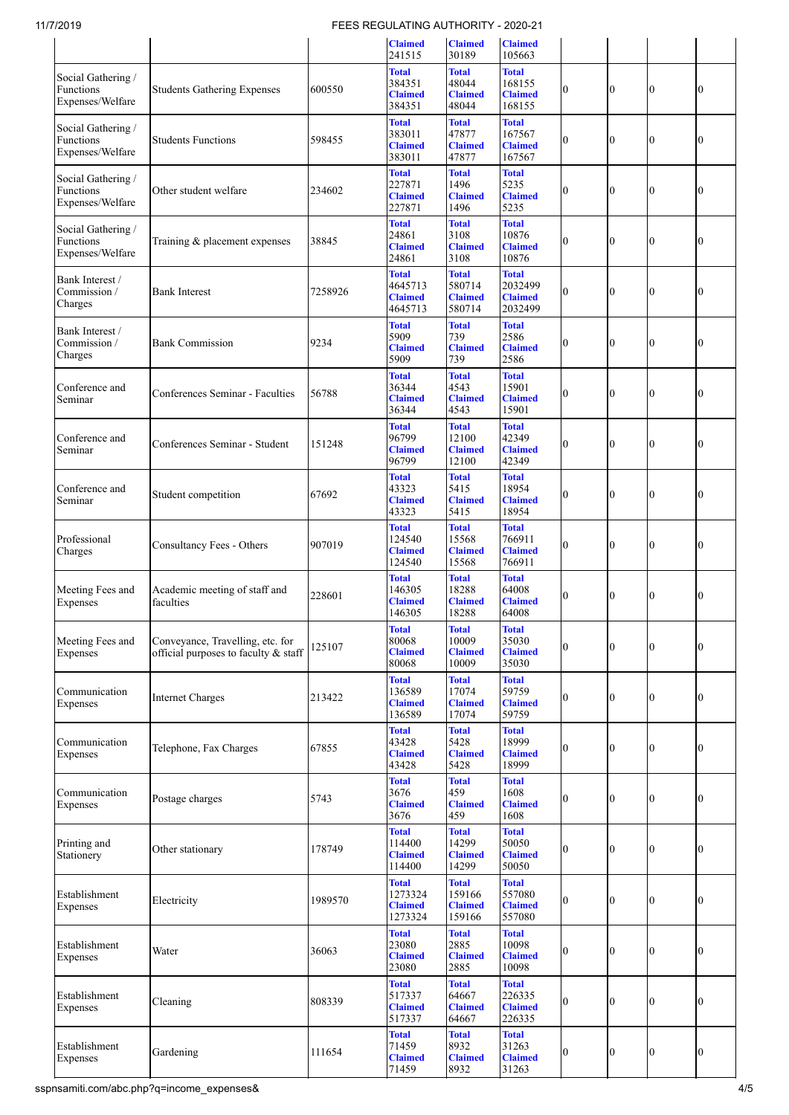|                                                     |                                                                          |         | <b>Claimed</b><br>241515                             | <b>Claimed</b><br>30189                            | <b>Claimed</b><br>105663                             |                  |                |                  |                  |
|-----------------------------------------------------|--------------------------------------------------------------------------|---------|------------------------------------------------------|----------------------------------------------------|------------------------------------------------------|------------------|----------------|------------------|------------------|
| Social Gathering /<br>Functions<br>Expenses/Welfare | <b>Students Gathering Expenses</b>                                       | 600550  | <b>Total</b><br>384351<br><b>Claimed</b><br>384351   | <b>Total</b><br>48044<br><b>Claimed</b><br>48044   | <b>Total</b><br>168155<br><b>Claimed</b><br>168155   | $\mathbf{0}$     | Ю              | $\overline{0}$   | 0                |
| Social Gathering /<br>Functions<br>Expenses/Welfare | <b>Students Functions</b>                                                | 598455  | <b>Total</b><br>383011<br><b>Claimed</b><br>383011   | <b>Total</b><br>47877<br><b>Claimed</b><br>47877   | <b>Total</b><br>167567<br><b>Claimed</b><br>167567   | $\boldsymbol{0}$ | 10             | $\overline{0}$   | 0                |
| Social Gathering /<br>Functions<br>Expenses/Welfare | Other student welfare                                                    | 234602  | <b>Total</b><br>227871<br><b>Claimed</b><br>227871   | <b>Total</b><br>1496<br><b>Claimed</b><br>1496     | <b>Total</b><br>5235<br><b>Claimed</b><br>5235       | 0                | 0              | $\boldsymbol{0}$ | 0                |
| Social Gathering /<br>Functions<br>Expenses/Welfare | Training & placement expenses                                            | 38845   | <b>Total</b><br>24861<br><b>Claimed</b><br>24861     | <b>Total</b><br>3108<br><b>Claimed</b><br>3108     | <b>Total</b><br>10876<br><b>Claimed</b><br>10876     | 0                | Ю              | 0                | 0                |
| Bank Interest /<br>Commission /<br>Charges          | <b>Bank Interest</b>                                                     | 7258926 | <b>Total</b><br>4645713<br><b>Claimed</b><br>4645713 | <b>Total</b><br>580714<br><b>Claimed</b><br>580714 | <b>Total</b><br>2032499<br><b>Claimed</b><br>2032499 | $\boldsymbol{0}$ | $\Omega$       | $\overline{0}$   | 0                |
| Bank Interest /<br>Commission /<br>Charges          | <b>Bank Commission</b>                                                   | 9234    | <b>Total</b><br>5909<br><b>Claimed</b><br>5909       | <b>Total</b><br>739<br><b>Claimed</b><br>739       | <b>Total</b><br>2586<br><b>Claimed</b><br>2586       | 0                | Ю              | $\overline{0}$   | 0                |
| Conference and<br>Seminar                           | Conferences Seminar - Faculties                                          | 56788   | <b>Total</b><br>36344<br><b>Claimed</b><br>36344     | <b>Total</b><br>4543<br><b>Claimed</b><br>4543     | <b>Total</b><br>15901<br><b>Claimed</b><br>15901     | 0                | $\overline{0}$ | $\bf{0}$         | 0                |
| Conference and<br>Seminar                           | Conferences Seminar - Student                                            | 151248  | <b>Total</b><br>96799<br><b>Claimed</b><br>96799     | <b>Total</b><br>12100<br><b>Claimed</b><br>12100   | <b>Total</b><br>42349<br><b>Claimed</b><br>42349     | $\mathbf{0}$     | Ю              | $\mathbf{0}$     | 0                |
| Conference and<br>Seminar                           | Student competition                                                      | 67692   | <b>Total</b><br>43323<br><b>Claimed</b><br>43323     | <b>Total</b><br>5415<br><b>Claimed</b><br>5415     | <b>Total</b><br>18954<br><b>Claimed</b><br>18954     | 0                | Ю              | $\overline{0}$   | 0                |
| Professional<br>Charges                             | Consultancy Fees - Others                                                | 907019  | <b>Total</b><br>124540<br><b>Claimed</b><br>124540   | <b>Total</b><br>15568<br><b>Claimed</b><br>15568   | <b>Total</b><br>766911<br><b>Claimed</b><br>766911   | $\boldsymbol{0}$ | 0              | $\mathbf{0}$     | 0                |
| Meeting Fees and<br>Expenses                        | Academic meeting of staff and<br>faculties                               | 228601  | <b>Total</b><br>146305<br><b>Claimed</b><br>146305   | <b>Total</b><br>18288<br><b>Claimed</b><br>18288   | <b>Total</b><br>64008<br><b>Claimed</b><br>64008     | 0                | Ю              | $\overline{0}$   | 0                |
| Meeting Fees and<br>Expenses                        | Conveyance, Travelling, etc. for<br>official purposes to faculty & staff | 125107  | <b>Total</b><br>80068<br><b>Claimed</b><br>80068     | <b>Total</b><br>10009<br><b>Claimed</b><br>10009   | <b>Total</b><br>35030<br><b>Claimed</b><br>35030     | $\bf{0}$         | 0              | $\bf{0}$         | $\boldsymbol{0}$ |
| Communication<br>Expenses                           | <b>Internet Charges</b>                                                  | 213422  | <b>Total</b><br>136589<br><b>Claimed</b><br>136589   | <b>Total</b><br>17074<br><b>Claimed</b><br>17074   | <b>Total</b><br>59759<br><b>Claimed</b><br>59759     | 0                | Ю              | $\mathbf{0}$     | 0                |
| Communication<br>Expenses                           | Telephone, Fax Charges                                                   | 67855   | <b>Total</b><br>43428<br><b>Claimed</b><br>43428     | <b>Total</b><br>5428<br><b>Claimed</b><br>5428     | <b>Total</b><br>18999<br><b>Claimed</b><br>18999     | 0                | $\overline{0}$ | $\mathbf{0}$     | $\mathbf{0}$     |
| Communication<br>Expenses                           | Postage charges                                                          | 5743    | <b>Total</b><br>3676<br><b>Claimed</b><br>3676       | <b>Total</b><br>459<br><b>Claimed</b><br>459       | <b>Total</b><br>1608<br><b>Claimed</b><br>1608       | $\boldsymbol{0}$ | $\overline{0}$ | $\boldsymbol{0}$ | $\boldsymbol{0}$ |
| Printing and<br>Stationery                          | Other stationary                                                         | 178749  | <b>Total</b><br>114400<br><b>Claimed</b><br>114400   | <b>Total</b><br>14299<br><b>Claimed</b><br>14299   | <b>Total</b><br>50050<br><b>Claimed</b><br>50050     | $\boldsymbol{0}$ | $\overline{0}$ | $\mathbf{0}$     | 0                |
| Establishment<br>Expenses                           | Electricity                                                              | 1989570 | <b>Total</b><br>1273324<br><b>Claimed</b><br>1273324 | <b>Total</b><br>159166<br><b>Claimed</b><br>159166 | <b>Total</b><br>557080<br><b>Claimed</b><br>557080   | 0                | Ю              | $\bf{0}$         | 0                |
| Establishment<br>Expenses                           | Water                                                                    | 36063   | <b>Total</b><br>23080<br><b>Claimed</b><br>23080     | <b>Total</b><br>2885<br><b>Claimed</b><br>2885     | <b>Total</b><br>10098<br><b>Claimed</b><br>10098     | $\boldsymbol{0}$ | 0              | $\mathbf{0}$     | $\mathbf{0}$     |
| Establishment<br>Expenses                           | Cleaning                                                                 | 808339  | <b>Total</b><br>517337<br><b>Claimed</b><br>517337   | <b>Total</b><br>64667<br><b>Claimed</b><br>64667   | <b>Total</b><br>226335<br><b>Claimed</b><br>226335   | $\boldsymbol{0}$ | $\overline{0}$ | $\mathbf{0}$     | $\mathbf{0}$     |
| Establishment<br>Expenses                           | Gardening                                                                | 111654  | <b>Total</b><br>71459<br><b>Claimed</b><br>71459     | <b>Total</b><br>8932<br><b>Claimed</b><br>8932     | <b>Total</b><br>31263<br><b>Claimed</b><br>31263     | 0                | 10             | $\bf{0}$         | 0                |

sspnsamiti.com/abc.php?q=income\_expenses& 4/5